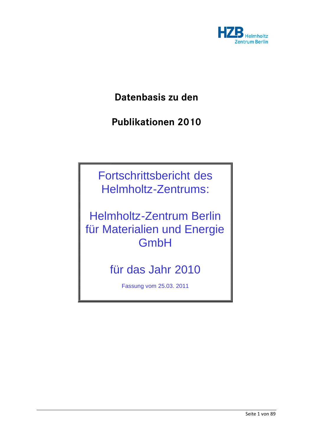

**Datenbasis zu den** 

**Publikationen 2010** 

Fortschrittsbericht des Helmholtz-Zentrums:

Helmholtz-Zentrum Berlin für Materialien und Energie **GmbH** 

für das Jahr 2010

Fassung vom 25.03. 2011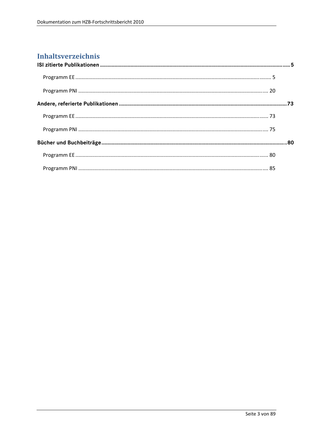# **Inhaltsverzeichnis**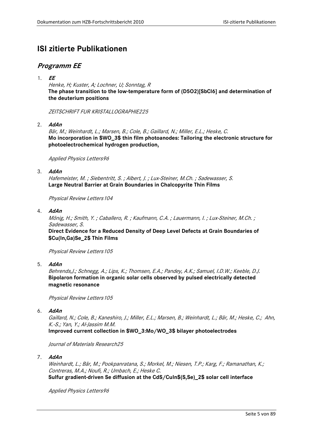# <span id="page-4-0"></span>**ISI zitierte Publikationen**

# **Programm EE**

1. **EE**

Henke, H; Kuster, A; Lochner, U; Sonntag, R **The phase transition to the low-temperature form of (D5O2)[SbCl6] and determination of the deuterium positions**

ZEITSCHRIFT FUR KRISTALLOGRAPHIE225

2. **AdAn** 

Bär, M.; Weinhardt, L.; Marsen, B.; Cole, B.; Gaillard, N.; Miller, E.L.; Heske, C. **Mo incorporation in \$WO\_3\$ thin film photoanodes: Tailoring the electronic structure for photoelectrochemical hydrogen production,** 

Applied Physics Letters96

3. **AdAn**

Hafemeister, M. ; Siebentritt, S. ; Albert, J. ; Lux-Steiner, M.Ch. ; Sadewasser, S. **Large Neutral Barrier at Grain Boundaries in Chalcopyrite Thin Films**

Physical Review Letters104

4. **AdAn**

Mönig, H.; Smith, Y. ; Caballero, R. ; Kaufmann, C.A. ; Lauermann, I. ; Lux-Steiner, M.Ch. ; Sadewasser, S.

**Direct Evidence for a Reduced Density of Deep Level Defects at Grain Boundaries of \$Cu(In,Ga)Se\_2\$ Thin Films**

Physical Review Letters105

5. **AdAn**

Behrends,J.; Schnegg, A.; Lips, K.; Thomsen, E.A.; Pandey, A.K.; Samuel, I.D.W.; Keeble, D.J. **Bipolaron formation in organic solar cells observed by pulsed electrically detected magnetic resonance**

Physical Review Letters105

6. **AdAn**

Gaillard, N.; Cole, B.; Kaneshiro, J.; Miller, E.L.; Marsen, B.; Weinhardt, L.; Bär, M.; Heske, C.; Ahn, K.-S.; Yan, Y.; Al-Jassim M.M.

**Improved current collection in \$WO\_3:Mo/WO\_3\$ bilayer photoelectrodes**

Journal of Materials Research25

7. **AdAn**

Weinhardt, L.; Bär, M.; Pookpanratana, S.; Morkel, M.; Niesen, T.P.; Karg, F.; Ramanathan, K.; Contreras, M.A.; Noufi, R.; Umbach, E.; Heske C. **Sulfur gradient-driven Se diffusion at the CdS/CuIn\$(S,Se)\_2\$ solar cell interface**

Applied Physics Letters96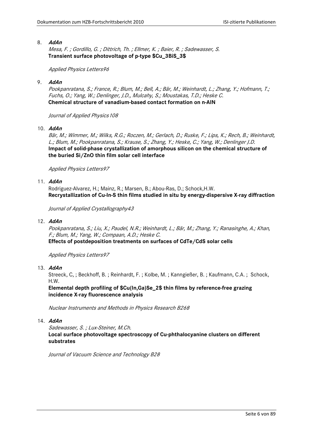#### 8. **AdAn**

Mesa, F. ; Gordillo, G. ; Dittrich, Th. ; Ellmer, K. ; Baier, R. ; Sadewasser, S. **Transient surface photovoltage of p-type \$Cu\_3BiS\_3\$**

#### Applied Physics Letters96

## 9. **AdAn**

Pookpanratana, S.; France, R.; Blum, M.; Bell, A.; Bär, M.; Weinhardt, L.; Zhang, Y.; Hofmann, T.; Fuchs, O.; Yang, W.; Denlinger, J.D., Mulcahy, S.; Moustakas, T.D.; Heske C. **Chemical structure of vanadium-based contact formation on n-AlN**

Journal of Applied Physics 108

10. **AdAn**

Bär, M.; Wimmer, M.; Wilks, R.G.; Roczen, M.; Gerlach, D.; Ruske, F.; Lips, K.; Rech, B.; Weinhardt, L.; Blum, M.; Pookpanratana, S.; Krause, S.; Zhang, Y.; Heske, C.; Yang, W.; Denlinger J.D. **Impact of solid-phase crystallization of amorphous silicon on the chemical structure of the buried Si/ZnO thin film solar cell interface**

Applied Physics Letters97

# 11. **AdAn**

Rodriguez-Alvarez, H.; Mainz, R.; Marsen, B.; Abou-Ras, D.; Schock,H.W. **Recrystallization of Cu-In-S thin films studied in situ by energy-dispersive X-ray diffraction** 

Journal of Applied Crystallography43

12. **AdAn**

Pookpanratana, S.; Liu, X.; Paudel, N.R.; Weinhardt, L.; Bär, M.; Zhang, Y.; Ranasinghe, A.; Khan, F.; Blum, M.; Yang, W.; Compaan, A.D.; Heske C. **Effects of postdeposition treatments on surfaces of CdTe/CdS solar cells**

Applied Physics Letters97

13. **AdAn**

Streeck, C, ; Beckhoff, B. ; Reinhardt, F. ; Kolbe, M. ; Kanngießer, B. ; Kaufmann, C.A. ; Schock, H.W.

**Elemental depth profiling of \$Cu(In,Ga)Se\_2\$ thin films by reference-free grazing incidence X-ray fluorescence analysis**

Nuclear Instruments and Methods in Physics Research B268

14. **AdAn**

Sadewasser, S. ; Lux-Steiner, M.Ch.

**Local surface photovoltage spectroscopy of Cu-phthalocyanine clusters on different substrates**

Journal of Vacuum Science and Technology B28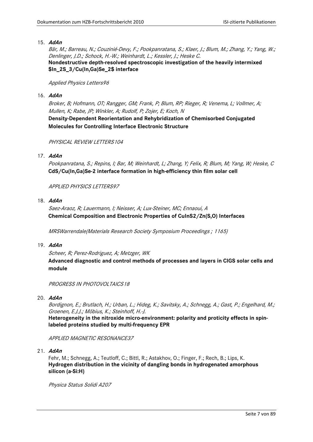## 15. **AdAn**

Bär, M.; Barreau, N.; Couzinié-Devy, F.; Pookpanratana, S.; Klaer, J.; Blum, M.; Zhang, Y.; Yang, W.; Denlinger, J.D.; Schock, H.-W.; Weinhardt, L.; Kessler, J.; Heske C. **Nondestructive depth-resolved spectroscopic investigation of the heavily intermixed \$In\_2S\_3/Cu(In,Ga)Se\_2\$ interface**

## Applied Physics Letters96

## 16. **AdAn**

Broker, B; Hofmann, OT; Rangger, GM; Frank, P; Blum, RP; Rieger, R; Venema, L; Vollmer, A; Mullen, K; Rabe, JP; Winkler, A; Rudolf, P; Zojer, E; Koch, N **Density-Dependent Reorientation and Rehybridization of Chemisorbed Conjugated Molecules for Controlling Interface Electronic Structure**

PHYSICAL REVIEW LETTERS 104

# 17. **AdAn**

Pookpanratana, S.; Repins, I; Bar, M; Weinhardt, L; Zhang, Y; Felix, R; Blum, M; Yang, W; Heske, C **CdS/Cu(In,Ga)Se-2 interface formation in high-efficiency thin film solar cell**

APPLIED PHYSICS LETTERS97

# 18. **AdAn**

Saez-Araoz, R; Lauermann, I; Neisser, A; Lux-Steiner, MC; Ennaoui, A **Chemical Composition and Electronic Properties of CuInS2/Zn(S,O) Interfaces** 

MRSWarrendale(Materials Research Society Symposium Proceedings ; 1165)

#### 19. **AdAn**

Scheer, R; Perez-Rodriguez, A; Metzger, WK **Advanced diagnostic and control methods of processes and layers in CIGS solar cells and module**

PROGRESS IN PHOTOVOLTAICS18

# 20. **AdAn**

Bordignon, E.; Brutlach, H.; Urban, L.; Hideg, K.; Savitsky, A.; Schnegg, A.; Gast, P.; Engelhard, M.; Groenen, E.J.J.; Möbius, K.; Steinhoff, H.-J.

**Heterogeneity in the nitroxide micro-environment: polarity and proticity effects in spinlabeled proteins studied by multi-frequency EPR**

APPLIED MAGNETIC RESONANCE37

21. **AdAn**

Fehr, M.; Schnegg, A.; Teutloff, C.; Bittl, R.; Astakhov, O.; Finger, F.; Rech, B.; Lips, K. **Hydrogen distribution in the vicinity of dangling bonds in hydrogenated amorphous silicon (a-Si:H)**

Physica Status Solidi A207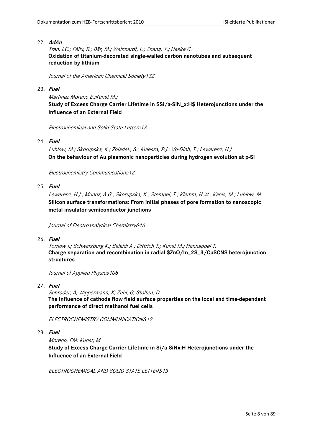## 22. **AdAn**

Tran, I.C.; Félix, R.; Bär, M.; Weinhardt, L.; Zhang, Y.; Heske C. **Oxidation of titanium-decorated single-walled carbon nanotubes and subsequent reduction by lithium**

Journal of the American Chemical Society132

#### 23. **Fuel**

Martinez Moreno E.;Kunst M.;

**Study of Excess Charge Carrier Lifetime in \$Si/a-SiN\_x:H\$ Heterojunctions under the Influence of an External Field**

Electrochemical and Solid-State Letters13

# 24. **Fuel**

Lublow, M.; Skorupska, K.; Zoladek, S.; Kulesza, P.J.; Vo-Dinh, T.; Lewerenz, H.J. **On the behaviour of Au plasmonic nanoparticles during hydrogen evolution at p-Si**

Electrochemistry Communications12

# 25. **Fuel**

Lewerenz, H.J.; Munoz, A.G.; Skorupska, K.; Stempel, T.; Klemm, H.W.; Kanis, M.; Lublow, M. **Silicon surface transformations: From initial phases of pore formation to nanoscopic metal-insulator-semiconductor junctions**

Journal of Electroanalytical Chemistry646

26. **Fuel**

Tornow J.; Schwarzburg K.; Belaidi A.; Dittrich T.; Kunst M.; Hannappel T. **Charge separation and recombination in radial \$ZnO/In\_2S\_3/CuSCN\$ heterojunction structures**

Journal of Applied Physics 108

# 27. **Fuel**

Schroder, A; Wippermann, K; Zehl, G; Stolten, D **The influence of cathode flow field surface properties on the local and time-dependent performance of direct methanol fuel cells**

ELECTROCHEMISTRY COMMUNICATIONS12

28. **Fuel**

Moreno, EM; Kunst, M

**Study of Excess Charge Carrier Lifetime in Si/a-SiNx:H Heterojunctions under the Influence of an External Field**

ELECTROCHEMICAL AND SOLID STATE LETTERS13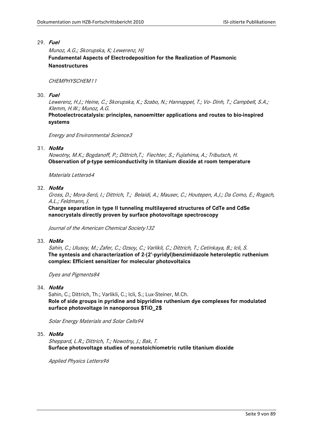## 29. **Fuel**

Munoz, A.G.; Skorupska, K; Lewerenz, HJ **Fundamental Aspects of Electrodeposition for the Realization of Plasmonic Nanostructures**

#### CHEMPHYSCHEM11

## 30. **Fuel**

Lewerenz, H.J.; Heine, C.; Skorupska, K.; Szabo, N.; Hannappel, T.; Vo- Dinh, T.; Campbell, S.A.; Klemm, H.W.; Munoz, A.G.

**Photoelectrocatalysis: principles, nanoemitter applications and routes to bio-inspired systems**

Energy and Environmental Science3

# 31. **NoMa**

Nowotny, M.K.; Bogdanoff, P.; Dittrich,T.; Fiechter, S.; Fujishima, A.; Tributsch, H. **Observation of p-type semiconductivity in titanium dioxide at room temperature**

Materials Letters64

# 32. **NoMa**

Gross, D.; Mora-Seró, I.; Dittrich, T.; Belaidi, A.; Mauser, C.; Houtepen, A.J.; Da Como, E.; Rogach, A.L.; Feldmann, J.

**Charge separation in type II tunneling multilayered structures of CdTe and CdSe nanocrystals directly proven by surface photovoltage spectroscopy**

Journal of the American Chemical Society132

#### 33. **NoMa**

Sahin, C.; Ulusoy, M.; Zafer, C.; Ozsoy, C.; Varlikli, C.; Dittrich, T.; Cetinkaya, B.; Icli, S. **The syntesis and characterization of 2-(2'-pyridyl)benzimidazole heteroleptic ruthenium complex: Efficient sensitizer for molecular photovoltaics**

Dyes and Pigments84

# 34. **NoMa**

Sahin, C.; Dittrich, Th.; Varlikli, C.; Icli, S.; Lux-Steiner, M.Ch. **Role of side groups in pyridine and bipyridine ruthenium dye complexes for modulated surface photovoltage in nanoporous \$TiO\_2\$** 

Solar Energy Materials and Solar Cells94

#### 35. **NoMa**

Sheppard, L.R.; Dittrich, T.; Nowotny, J.; Bak, T. **Surface photovoltage studies of nonstoichiometric rutile titanium dioxide**

Applied Physics Letters96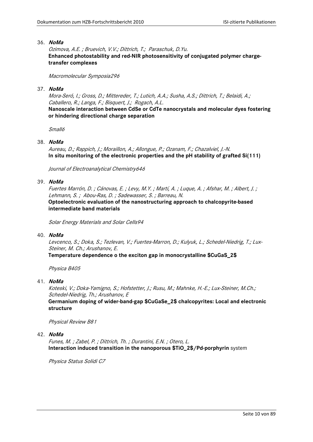## 36. **NoMa**

Ozimova, A.E. ; Bruevich, V.V.; Dittrich, T.; Paraschuk, D.Yu. **Enhanced photostability and red-NIR photosensitivity of conjugated polymer chargetransfer complexes**

Macromolecular Symposia296

## 37. **NoMa**

Mora-Seró, I.; Gross, D.; Mittereder, T.; Lutich, A.A.; Susha, A.S.; Dittrich, T.; Belaidi, A.; Caballero, R.; Langa, F.; Bisquert, J.; Rogach, A.L.

**Nanoscale interaction between CdSe or CdTe nanocrystals and molecular dyes fostering or hindering directional charge separation**

Small<sub>6</sub>

## 38. **NoMa**

Aureau, D.; Rappich, J.; Moraillon, A.; Allongue, P.; Ozanam, F.; Chazalviel, J.-N. **In situ monitoring of the electronic properties and the pH stability of grafted Si(111)**

Journal of Electroanalytical Chemistry646

# 39. **NoMa**

Fuertes Marrón, D. ; Cánovas, E. ; Levy, M.Y. ; Martí, A. ; Luque, A. ; Afshar, M. ; Albert, J. ; Lehmann, S. ; Abou-Ras, D. ; Sadewasser, S. ; Barreau, N.

**Optoelectronic evaluation of the nanostructuring approach to chalcopyrite-based intermediate band materials**

Solar Energy Materials and Solar Cells94

#### 40. **NoMa**

Levcenco, S.; Doka, S.; Tezlevan, V.; Fuertes-Marron, D.; Kulyuk, L.; Schedel-Niedrig, T.; Lux-Steiner, M. Ch.; Arushanov, E.

**Temperature dependence o the exciton gap in monocrystalline \$CuGaS\_2\$**

Physica B405

41. **NoMa**

Koteski, V.; Doka-Yamigno, S.; Hofstetter, J.; Rusu, M.; Mahnke, H.-E.; Lux-Steiner, M.Ch.; Schedel-Niedrig, Th.; Arushanov, E **Germanium doping of wider-band-gap \$CuGaSe\_2\$ chalcopyrites: Local and electronic structure** 

Physical Review B81

#### 42. **NoMa**

Funes, M. ; Zabel, P. ; Dittrich, Th. ; Durantini, E.N. ; Otero, L. **Interaction induced transition in the nanoporous \$TiO\_2\$/Pd-porphyrin** system

Physica Status Solidi C7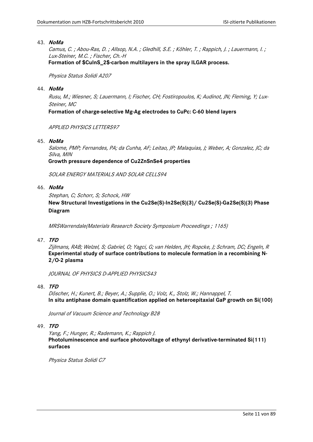## 43. **NoMa**

Camus, C. ; Abou-Ras, D. ; Allsop, N.A. ; Gledhill, S.E. ; Köhler, T. ; Rappich, J. ; Lauermann, I. ; Lux-Steiner, M.C. ; Fischer, Ch.-H **Formation of \$CuInS\_2\$-carbon multilayers in the spray ILGAR process.**

Physica Status Solidi A207

## 44. **NoMa**

Rusu, M.; Wiesner, S; Lauermann, I; Fischer, CH; Fostiropoulos, K; Audinot, JN; Fleming, Y; Lux-Steiner, MC

**Formation of charge-selective Mg-Ag electrodes to CuPc: C-60 blend layers**

APPLIED PHYSICS LETTERS97

45. **NoMa**

Salome, PMP; Fernandes, PA; da Cunha, AF; Leitao, JP; Malaquias, J; Weber, A; Gonzalez, JC; da Silva, MIN

**Growth pressure dependence of Cu2ZnSnSe4 properties**

SOLAR ENERGY MATERIALS AND SOLAR CELLS94

# 46. **NoMa**

Stephan, C; Schorr, S; Schock, HW

**New Structural Investigations in the Cu2Se(S)-In2Se(S)(3)/ Cu2Se(S)-Ga2Se(S)(3) Phase Diagram** 

MRSWarrendale(Materials Research Society Symposium Proceedings ; 1165)

# 47. **TFD**

Zijlmans, RAB; Welzel, S; Gabriel, O; Yagci, G; van Helden, JH; Ropcke, J; Schram, DC; Engeln, R **Experimental study of surface contributions to molecule formation in a recombining N-2/O-2 plasma**

JOURNAL OF PHYSICS D-APPLIED PHYSICS43

# 48. **TFD**

Döscher, H.; Kunert, B.; Beyer, A.; Supplie, O.; Volz, K., Stolz, W.; Hannappel, T. **In situ antiphase domain quantification applied on heteroepitaxial GaP growth on Si(100)**

Journal of Vacuum Science and Technology B28

# 49. **TFD**

Yang, F.; Hunger, R.; Rademann, K.; Rappich J. **Photoluminescence and surface photovoltage of ethynyl derivative-terminated Si(111) surfaces**

Physica Status Solidi C7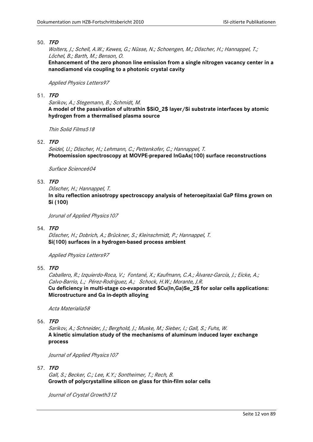Wolters, J.; Schell, A.W.; Kewes, G.; Nüsse, N.; Schoengen, M.; Döscher, H.; Hannappel, T.; Löchel, B.; Barth, M.; Benson, O.

**Enhancement of the zero phonon line emission from a single nitrogen vacancy center in a nanodiamond via coupling to a photonic crystal cavity**

Applied Physics Letters97

## 51. **TFD**

Sarikov, A.; Stegemann, B.; Schmidt, M. **A model of the passivation of ultrathin \$SiO\_2\$ layer/Si substrate interfaces by atomic hydrogen from a thermalised plasma source**

Thin Solid Films518

52. **TFD**

Seidel, U.; Döscher, H.; Lehmann, C.; Pettenkofer, C.; Hannappel, T. **Photoemission spectroscopy at MOVPE-prepared InGaAs(100) surface reconstructions**

Surface Science604

# 53. **TFD**

Döscher, H.; Hannappel, T. **In situ reflection anisotropy spectroscopy analysis of heteroepitaxial GaP films grown on Si (100)**

Jorunal of Applied Physics 107

# 54. **TFD**

Döscher, H.; Dobrich, A.; Brückner, S.; Kleinschmidt, P.; Hannappel, T. **Si(100) surfaces in a hydrogen-based process ambient**

Applied Physics Letters97

55. **TFD**

Caballero, R.; Izquierdo-Roca, V.; Fontané, X.; Kaufmann, C.A.; Àlvarez-García, J.; Eicke, A.; Calvo-Barrio, L.; Pérez-Rodríguez, A.; Schock, H.W.; Morante, J.R. **Cu deficiency in multi-stage co-evaporated \$Cu(In,Ga)Se\_2\$ for solar cells applications: Microstructure and Ga in-depth alloying**

Acta Materialia58

56. **TFD**

Sarikov, A.; Schneider, J.; Berghold, J.; Muske, M.; Sieber, I.; Gall, S.; Fuhs, W. **A kinetic simulation study of the mechanisms of aluminum induced layer exchange process**

Journal of Applied Physics107

# 57. **TFD**

Gall, S.; Becker, C.; Lee, K.Y.; Sontheimer, T.; Rech, B. **Growth of polycrystalline silicon on glass for thin-film solar cells**

Journal of Crystal Growth312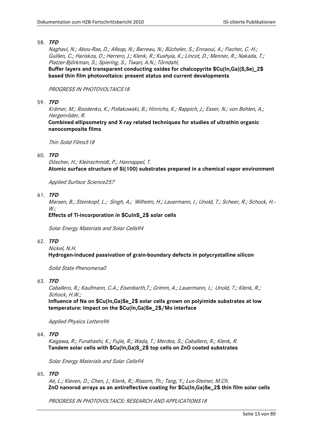Naghavi, N.; Abou-Ras, D.; Allsop, N.; Barreau, N.; Bücheler, S.; Ennaoui, A.; Fischer, C.-H.; Guillen, C.; Hariskos, D.; Herrero, J.; Klenk, R.; Kushyia, K.; Lincot, D.; Menner, R.; Nakada, T.; Platzer-Björkman, S.; Spiering, S.; Tiwari, A.N.; Törndahl,

**Buffer layers and transparent conducting oxides for chalcopyrite \$Cu(In,Ga)(S,Se)\_2\$ based thin film photovoltaics: present status and current developments**

# PROGRESS IN PHOTOVOLTAICS18

#### 59. **TFD**

Krämer, M.; Roodenko, K.; Pollakowski, B.; Hinrichs, K.; Rappich, J.; Esser, N.; von Bohlen, A.; Hergenröder, R.

**Combined ellipsometry and X-ray related techniques for studies of ultrathin organic nanocomposite films**

Thin Solid Films518

#### 60. **TFD**

Döscher, H.; Kleinschmidt, P.; Hannappel, T. **Atomic surface structure of Si(100) substrates prepared in a chemical vapor environment**

Applied Surface Science257

61. **TFD**

Marsen, B.; Steinkopf, L.; Singh, A.; Wilhelm, H.; Lauermann, I.; Unold, T.; Scheer, R.; Schock, H.-  $W:$ 

**Effects of Ti-incorporation in \$CuInS\_2\$ solar cells**

Solar Energy Materials and Solar Cells94

62. **TFD**

Nickel, N.H. **Hydrogen-induced passivation of grain-boundary defects in polycrystalline silicon**

Solid State Phenomena0

63. **TFD**

Caballero, R.; Kaufmann, C.A.; Eisenbarth,T.; Grimm, A.; Lauermann, I.; Unold, T.; Klenk, R.; Schock, H.W.;

**Influence of Na on \$Cu(In,Ga)Se\_2\$ solar cells grown on polyimide substrates at low temperature: Impact on the \$Cu(In,Ga)Se\_2\$/Mo interface**

Applied Physics Letters96

64. **TFD**

Kaigawa, R.; Funahashi, K.; Fujie, R.; Wada, T.; Merdes, S.; Caballero, R.; Klenk, R. **Tandem solar cells with \$Cu(In,Ga)S\_2\$ top cells on ZnO coated substrates**

Solar Energy Materials and Solar Cells94

65. **TFD**

Aé, L.; Kieven, D.; Chen, J.; Klenk, R.; Rissom, Th.; Tang, Y.; Lux-Steiner, M.Ch. **ZnO nanorod arrays as an antireflective coating for \$Cu(In,Ga)Se\_2\$ thin film solar cells**

PROGRESS IN PHOTOVOLTAICS: RESEARCH AND APPLICATIONS18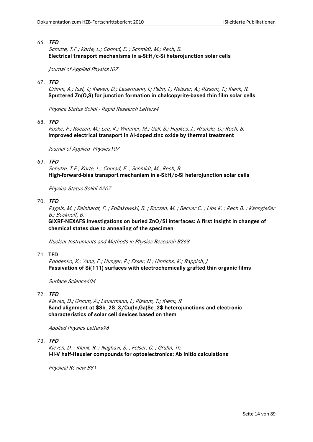Schulze, T.F.; Korte, L.; Conrad, E. ; Schmidt, M.; Rech, B. **Electrical transport mechanisms in a-Si:H/c-Si heterojunction solar cells**

Journal of Applied Physics107

## 67. **TFD**

Grimm, A.; Just, J.; Kieven, D.; Lauermann, I.; Palm, J.; Neisser, A.; Rissom, T.; Klenk, R. **Sputtered Zn(O,S) for junction formation in chalcopyrite-based thin film solar cells**

Physica Status Solidi - Rapid Research Letters4

68. **TFD**

Ruske, F.; Roczen, M.; Lee, K.; Wimmer, M.; Gall, S.; Hüpkes, J.; Hrunski, D.; Rech, B. **Improved electrical transport in Al-doped zinc oxide by thermal treatment**

Journal of Applied Physics 107

## 69. **TFD**

Schulze, T.F.; Korte, L.; Conrad, E. ; Schmidt, M.; Rech, B. **High-forward-bias transport mechanism in a-Si:H/c-Si heterojunction solar cells**

Physica Status Solidi A207

70. **TFD**

Pagels, M. ; Reinhardt, F. ; Pollakowski, B. ; Roczen, M. ; Becker C. ; Lips K. ; Rech B. ; Kanngießer B.; Beckhoff, B.

**GIXRF-NEXAFS investigations on buried ZnO/Si interfaces: A first insight in changes of chemical states due to annealing of the specimen**

Nuclear Instruments and Methods in Physics Research B268

#### 71. **TFD**

Roodenko, K.; Yang, F.; Hunger, R.; Esser, N.; Hinrichs, K.; Rappich, J. **Passivation of Si(111) surfaces with electrochemically grafted thin organic films**

Surface Science604

# 72. **TFD**

Kieven, D.; Grimm, A.; Lauermann, I.; Rissom, T.; Klenk, R. **Band alignment at \$Sb\_2S\_3/Cu(In,Ga)Se\_2\$ heterojunctions and electronic characteristics of solar cell devices based on them**

Applied Physics Letters96

73. **TFD**

Kieven, D. ; Klenk, R. ; Naghavi, S. ; Felser, C. ; Gruhn, Th. **I-II-V half-Heusler compounds for optoelectronics: Ab initio calculations**

Physical Review B81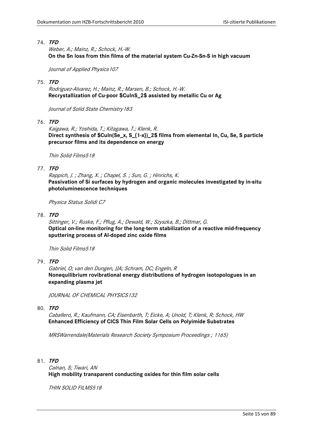Weber, A.; Mainz, R.; Schock, H.-W. **On the Sn loss from thin films of the material system Cu-Zn-Sn-S in high vacuum**

Journal of Applied Physics107

## 75. **TFD**

Rodriguez-Alvarez, H.; Mainz, R.; Marsen, B.; Schock, H.-W. **Recrystallization of Cu-poor \$CuInS\_2\$ assisted by metallic Cu or Ag**

Journal of Solid State Chemistry183

76. **TFD**

Kaigawa, R.; Yoshida, T.; Kitagawa, T.; Klenk, R. **Direct synthesis of \$CuIn(Se\_x, S\_{1-x})\_2\$ films from elemental In, Cu, Se, S particle precursor films and its dependence on energy**

Thin Solid Films518

## 77. **TFD**

Rappich, J. ; Zhang, X. ; Chapel, S. ; Sun, G. ; Hinrichs, K. **Passivation of Si surfaces by hydrogen and organic molecules investigated by in-situ photoluminescence techniques**

Physica Status Solidi C7

78. **TFD**

Sittinger, V.; Ruske, F.; Pflug, A.; Dewald, W.; Szyszka, B.; Dittmar, G. **Optical on-line monitoring for the long-term stabilization of a reactive mid-frequency sputtering process of Al-doped zinc oxide films**

Thin Solid Films518

79. **TFD**

Gabriel, O; van den Dungen, JJA; Schram, DC; Engeln, R **Nonequilibrium rovibrational energy distributions of hydrogen isotopologues in an expanding plasma jet**

JOURNAL OF CHEMICAL PHYSICS132

80. **TFD**

Caballero, R.; Kaufmann, CA; Eisenbarth, T; Eicke, A; Unold, T; Klenk, R; Schock, HW **Enhanced Efficiency of CICS Thin Film Solar Cells on Polyimide Substrates**

MRSWarrendale(Materials Research Society Symposium Proceedings ; 1165)

81. **TFD**

Calnan, S; Tiwari, AN **High mobility transparent conducting oxides for thin film solar cells**

THIN SOLID FILMS518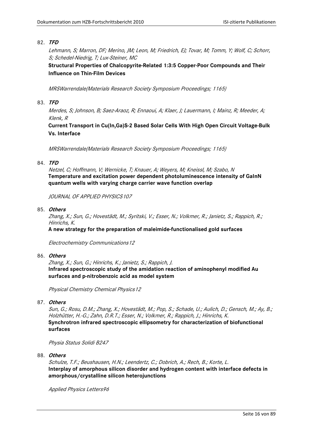Lehmann, S; Marron, DF; Merino, JM; Leon, M; Friedrich, EJ; Tovar, M; Tomm, Y; Wolf, C; Schorr, S; Schedel-Niedrig, T; Lux-Steiner, MC

**Structural Properties of Chalcopyrite-Related 1:3:5 Copper-Poor Compounds and Their Influence on Thin-Film Devices** 

MRSWarrendale(Materials Research Society Symposium Proceedings; 1165)

# 83. **TFD**

Merdes, S; Johnson, B; Saez-Araoz, R; Ennaoui, A; Klaer, J; Lauermann, I; Mainz, R; Meeder, A; Klenk, R

**Current Transport in Cu(In,Ga)S-2 Based Solar Cells With High Open Circuit Voltage-Bulk Vs. Interface** 

MRSWarrendale(Materials Research Society Symposium Proceedings; 1165)

## 84. **TFD**

Netzel, C; Hoffmann, V; Wernicke, T; Knauer, A; Weyers, M; Kneissl, M; Szabo, N **Temperature and excitation power dependent photoluminescence intensity of GaInN quantum wells with varying charge carrier wave function overlap**

JOURNAL OF APPLIED PHYSICS107

85. **Others**

Zhang, X.; Sun, G.; Hovestädt, M.; Syritski, V.; Esser, N.; Volkmer, R.; Janietz, S.; Rappich, R.; Hinrichs, K.

**A new strategy for the preparation of maleimide-functionalised gold surfaces**

Electrochemistry Communications12

#### 86. **Others**

Zhang, X.; Sun, G.; Hinrichs, K.; Janietz, S.; Rappich, J. **Infrared spectroscopic study of the amidation reaction of aminophenyl modified Au surfaces and p-nitrobenzoic acid as model system**

Physical Chemistry Chemical Physics12

87. **Others**

Sun, G.; Rosu, D.M.; Zhang, X.; Hovestädt, M.; Pop, S.; Schade, U.; Aulich, D.; Gensch, M.; Ay, B.; Holzhütter, H.-G.; Zahn, D.R.T.; Esser, N.; Volkmer, R.; Rappich, J.; Hinrichs, K. **Synchrotron infrared spectroscopic ellipsometry for characterization of biofunctional surfaces**

Physia Status Solidi B247

88. **Others**

Schulze, T.F.; Beushausen, H.N.; Leendertz, C.; Dobrich, A.; Rech, B.; Korte, L. **Interplay of amorphous silicon disorder and hydrogen content with interface defects in amorphous/crystalline silicon heterojunctions**

Applied Physics Letters96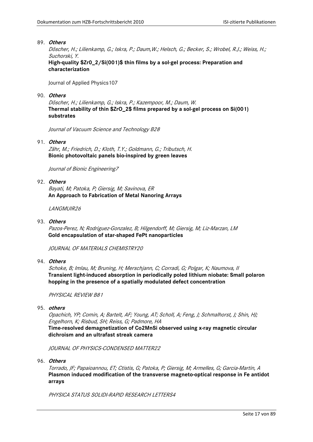## 89. **Others**

Döscher, H.; Lilienkamp, G.; Iskra, P.; Daum,W.; Helsch, G.; Becker, S.; Wrobel, R.J.; Weiss, H.; Suchorski, Y.

**High-quality \$Zr0\_2/Si(001)\$ thin films by a sol-gel process: Preparation and characterization**

Journal of Applied Physics107

## 90. **Others**

Döscher, H.; Lilienkamp, G.; Iskra, P.; Kazempoor, M.; Daum, W. **Thermal stability of thin \$ZrO\_2\$ films prepared by a sol-gel process on Si(001) substrates**

Journal of Vacuum Science and Technology B28

## 91. **Others**

Zähr, M.; Friedrich, D.; Kloth, T.Y.; Goldmann, G.; Tributsch, H. **Bionic photovoltaic panels bio-inspired by green leaves**

Journal of Bionic Engineering7

## 92. **Others**

Bayati, M; Patoka, P; Giersig, M; Savinova, ER **An Approach to Fabrication of Metal Nanoring Arrays**

LANGMUIR26

## 93. **Others**

Pazos-Perez, N; Rodriguez-Gonzalez, B; Hilgendorff, M; Giersig, M; Liz-Marzan, LM **Gold encapsulation of star-shaped FePt nanoparticles**

JOURNAL OF MATERIALS CHEMISTRY20

#### 94. **Others**

Schoke, B; Imlau, M; Bruning, H; Merschjann, C; Corradi, G; Polgar, K; Naumova, II **Transient light-induced absorption in periodically poled lithium niobate: Small polaron hopping in the presence of a spatially modulated defect concentration**

PHYSICAL REVIEW B81

## 95. **others**

Opachich, YP; Comin, A; Bartelt, AF; Young, AT; Scholl, A; Feng, J; Schmalhorst, J; Shin, HJ; Engelhorn, K; Risbud, SH; Reiss, G; Padmore, HA

**Time-resolved demagnetization of Co2MnSi observed using x-ray magnetic circular dichroism and an ultrafast streak camera**

JOURNAL OF PHYSICS-CONDENSED MATTER22

96. **Others**

Torrado, JF; Papaioannou, ET; Ctistis, G; Patoka, P; Giersig, M; Armelles, G; Garcia-Martin, A **Plasmon induced modification of the transverse magneto-optical response in Fe antidot arrays**

PHYSICA STATUS SOLIDI-RAPID RESEARCH LETTERS4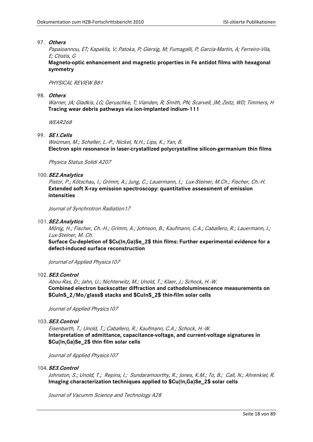## 97. **Others**

Papaioannou, ET; Kapaklis, V; Patoka, P; Giersig, M; Fumagalli, P; Garcia-Martin, A; Ferreiro-Vila, E; Ctistis, G

**Magneto-optic enhancement and magnetic properties in Fe antidot films with hexagonal symmetry**

PHYSICAL REVIEW B81

#### 98. **Others**

Warner, JA; Gladkis, LG; Geruschke, T; Vianden, R; Smith, PN; Scarvell, JM; Zeitz, WD; Timmers, H **Tracing wear debris pathways via ion-implanted indium-111**

WEAR268

# 99. **SE1.Cells**

Weizman, M.; Scheller, L.-P.; Nickel, N.H.; Lips, K.; Yan, B. **Electron spin resonance in laser-crystallized polycrystalline silicon-germanium thin films**

Physica Status Solidi A207

## 100.**SE2.Analytics**

Pistor, P.; Kötschau, I.; Grimm, A.; Jung, C.; Lauermann, I.; Lux-Steiner, M.Ch.; Fischer, Ch.-H. **Extended soft X-ray emission spectroscopy: quantitative assessment of emission intensities**

Journal of Synchrotron Radiation17

#### 101.**SE2.Analytics**

Mönig, H.; Fischer, Ch.-H.; Grimm, A.; Johnson, B.; Kaufmann, C.A.; Caballero, R.; Lauermann, I.; Lux-Steiner, M. Ch.

**Surface Cu-depletion of \$Cu(In,Ga)Se\_2\$ thin films: Further experimental evidence for a defect-induced surface reconstruction**

Jorurnal of Applied Physics107

## 102.**SE3.Control**

Abou-Ras, D.; Jahn, U.; Nichterwitz, M.; Unold, T.; Klaer, J.; Schock, H.-W. **Combined electron backscatter diffraction and cathodoluminescence measurements on \$CuInS\_2/Mo/glass\$ stacks and \$CuInS\_2\$ thin-film solar cells** 

Journal of Applied Physics107

#### 103.**SE3.Control**

Eisenbarth, T.; Unold, T.; Caballero, R.; Kaufmann, C.A.; Schock, H.-W. **Interpretation of admittance, capacitance-voltage, and current-voltage signatures in \$Cu(In,Ga)Se\_2\$ thin film solar cells**

Journal of Applied Physics 107

#### 104.**SE3.Control**

Johnston, S.; Unold, T.; Repins, I.; Sundaramoorthy, R.; Jones, K.M.; To, B.; Call, N.; Ahrenkiel, R. **Imaging characterization techniques applied to \$Cu(In,Ga)Se\_2\$ solar cells**

Journal of Vacumm Science and Technology A28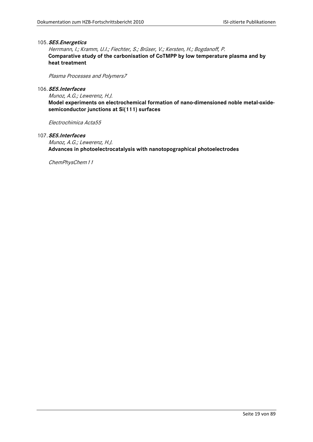#### 105.**SE5.Energetics**

Herrmann, I.; Kramm, U.I.; Fiechter, S.; Brüser, V.; Kersten, H.; Bogdanoff, P. **Comparative study of the carbonisation of CoTMPP by low temperature plasma and by heat treatment**

Plasma Processes and Polymers7

# 106.**SE5.Interfaces**

Munoz, A.G.; Lewerenz, H.J. **Model experiments on electrochemical formation of nano-dimensioned noble metal-oxidesemiconductor junctions at Si(111) surfaces**

Electrochimica Acta55

107.**SE5.Interfaces**

Munoz, A.G.; Lewerenz, H.J. **Advances in photoelectrocatalysis with nanotopographical photoelectrodes**

ChemPhysChem11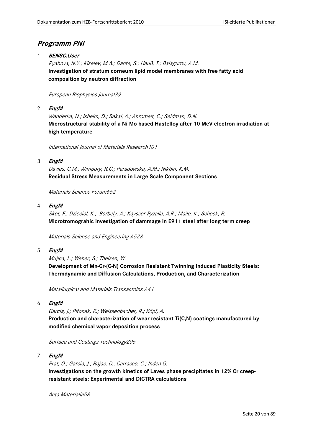# <span id="page-19-0"></span>**Programm PNI**

1. **BENSC.User** 

Ryabova, N.Y.; Kiselev, M.A.; Dante, S.; Hauß, T.; Balagurov, A.M. **Investigation of stratum corneum lipid model membranes with free fatty acid composition by neutron diffraction**

# European Biophysics Journal39

2. **EngM**

Wanderka, N.; Isheim, D.; Bakai, A.; Abromeit, C.; Seidman, D.N. **Microstructural stability of a Ni-Mo based Hastelloy after 10 MeV electron irradiation at high temperature**

International Journal of Materials Research101

3. **EngM**

Davies, C.M.; Wimpory, R.C.; Paradowska, A.M.; Nikbin, K.M. **Residual Stress Measurements in Large Scale Component Sections**

Materials Science Forum652

4. **EngM**

Sket, F.; Dzieciol, K.; Borbely, A.; Kaysser-Pyzalla, A.R.; Maile, K.; Scheck, R. **Microtromograhic investigation of dammage in E911 steel after long term creep**

Materials Science and Engineering A528

5. **EngM**

Mujica, L.; Weber, S.; Theisen, W. **Development of Mn-Cr-(C-N) Corrosion Resistent Twinning Induced Plasticity Steels: Thermdynamic and Diffusion Calculations, Production, and Characterization**

Metallurgical and Materials Transactoins A41

6. **EngM**

Garcia, J.; Pitonak, R.; Weissenbacher, R.; Köpf, A. **Production and characterization of wear resistant Ti(C,N) coatings manufactured by modified chemical vapor deposition process**

Surface and Coatings Technology205

7. **EngM**

Prat, O.; Garcia, J.; Rojas, D.; Carrasco, C.; Inden G. **Investigations on the growth kinetics of Laves phase precipitates in 12% Cr creepresistant steels: Experimental and DICTRA calculations**

Acta Materialia58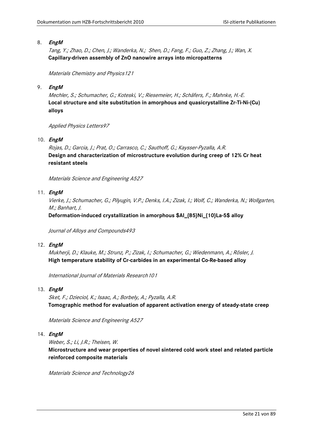Tang, Y.; Zhao, D.; Chen, J.; Wanderka, N.; Shen, D.; Fang, F.; Guo, Z.; Zhang, J.; Wan, X. **Capillary-driven assembly of ZnO nanowire arrays into micropatterns**

Materials Chemistry and Physics121

9. **EngM**

Mechler, S.; Schumacher, G.; Koteski, V.; Riesemeier, H.; Schäfers, F.; Mahnke, H.-E. **Local structure and site substitution in amorphous and quasicrystalline Zr-Ti-Ni-(Cu) alloys**

Applied Physics Letters97

10. **EngM**

Rojas, D.; Garcia, J.; Prat, O.; Carrasco, C.; Sauthoff, G.; Kaysser-Pyzalla, A.R. **Design and characterization of microstructure evolution during creep of 12% Cr heat resistant steels**

Materials Science and Engineering A527

## 11. **EngM**

Vierke, J.; Schumacher, G.; Pilyugin, V.P.; Denks, I.A.; Zizak, I.; Wolf, C.; Wanderka, N.; Wollgarten, M.; Banhart, J.

**Deformation-induced crystallization in amorphous \$Al\_{85}Ni\_{10}La-5\$ alloy**

Journal of Alloys and Compounds493

#### 12. **EngM**

Mukherji, D.; Klauke, M.; Strunz, P.; Zizak, I.; Schumacher, G.; Wiedenmann, A.; Rösler, J. **High temperature stability of Cr-carbides in an experimental Co-Re-based alloy**

International Journal of Materials Research101

#### 13. **EngM**

Sket, F.; Dzieciol, K.; Isaac, A.; Borbely, A.; Pyzalla, A.R. **Tomographic method for evaluation of apparent activation energy of steady-state creep**

Materials Science and Engineering A527

## 14. **EngM**

Weber, S.; Li, J.R.; Theisen, W.

**Microstructure and wear properties of novel sintered cold work steel and related particle reinforced composite materials**

Materials Science and Technology26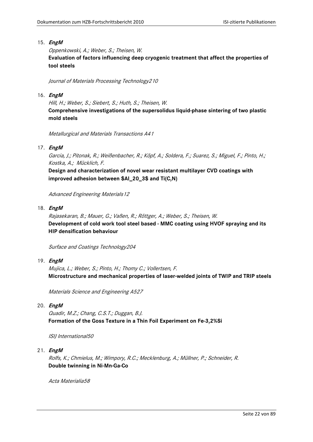Oppenkowski, A.; Weber, S.; Theisen, W. **Evaluation of factors influencing deep cryogenic treatment that affect the properties of tool steels**

Journal of Materials Processing Technology210

# 16. **EngM**

Hill, H.; Weber, S.; Siebert, S.; Huth, S.; Theisen, W. **Comprehensive investigations of the supersolidus liquid-phase sintering of two plastic mold steels**

Metallurgical and Materials Transactions A41

# 17. **EngM**

Garcia, J.; Pitonak, R.; Weißenbacher, R.; Köpf, A.; Soldera, F.; Suarez, S.; Miguel, F.; Pinto, H.; Kostka, A.; Mücklich, F.

**Design and characterization of novel wear resistant multilayer CVD coatings with improved adhesion between \$Al\_20\_3\$ and Ti(C,N)**

Advanced Engineering Materials12

## 18. **EngM**

Rajasekaran, B.; Mauer, G.; Vaßen, R.; Röttger, A.; Weber, S.; Theisen, W. **Development of cold work tool steel based - MMC coating using HVOF spraying and its HIP densification behaviour**

Surface and Coatings Technology204

#### 19. **EngM**

Mujica, L.; Weber, S.; Pinto, H.; Thomy C.; Vollertsen, F. **Microstructure and mechanical properties of laser-welded joints of TWIP and TRIP steels**

Materials Science and Engineering A527

# 20. **EngM**

Quadir, M.Z.; Chang, C.S.T.; Duggan, B.J. **Formation of the Goss Texture in a Thin Foil Experiment on Fe-3,2%Si**

ISIJ International50

# 21. **EngM**

Rolfs, K.; Chmielus, M.; Wimpory, R.C.; Mecklenburg, A.; Müllner, P.; Schneider, R. **Double twinning in Ni-Mn-Ga-Co**

Acta Materialia58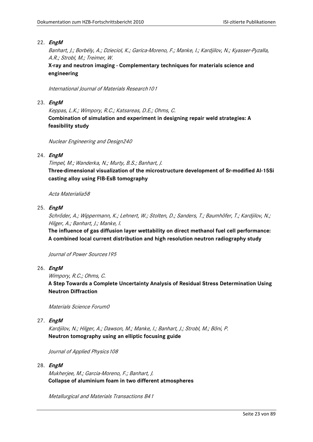Banhart, J.; Borbély, A.; Dzieciol, K.; Garica-Moreno, F.; Manke, I.; Kardjilov, N.; Kyasser-Pyzalla, A.R.; Strobl, M.; Treimer, W.

**X-ray and neutron imaging - Complementary techniques for materials science and engineering**

International Journal of Materials Research101

## 23. **EngM**

Keppas, L.K.; Wimpory, R.C.; Katsareas, D.E.; Ohms, C. **Combination of simulation and experiment in designing repair weld strategies: A feasibility study**

Nuclear Engineering and Design240

# 24. **EngM**

Timpel, M.; Wanderka, N.; Murty, B.S.; Banhart, J.

**Three-dimensional visualization of the microstructure development of Sr-modified Al-15Si casting alloy using FIB-EsB tomography**

Acta Materialia58

## 25. **EngM**

Schröder, A.; Wippermann, K.; Lehnert, W.; Stolten, D.; Sanders, T.; Baumhöfer, T.; Kardjilov, N.; Hilger, A.; Banhart, J.; Manke, I.

**The influence of gas diffusion layer wettability on direct methanol fuel cell performance: A combined local current distribution and high resolution neutron radiography study**

Journal of Power Sources195

- 26. **EngM**
	- Wimpory, R.C.; Ohms, C.

**A Step Towards a Complete Uncertainty Analysis of Residual Stress Determination Using Neutron Diffraction**

Materials Science Forum0

#### 27. **EngM**

Kardjilov, N.; Hilger, A.; Dawson, M.; Manke, I.; Banhart, J.; Strobl, M.; Böni, P. **Neutron tomography using an elliptic focusing guide**

Journal of Applied Physics 108

#### 28. **EngM**

Mukherjee, M.; Garcia-Moreno, F.; Banhart, J. **Collapse of aluminium foam in two different atmospheres**

Metallurgical and Materials Transactions B41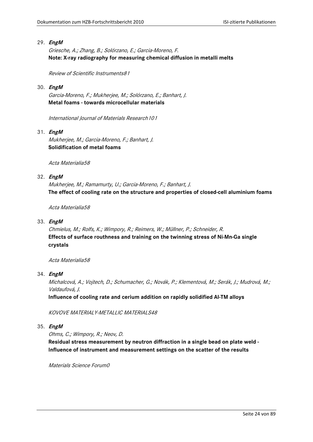Griesche, A.; Zhang, B.; Solórzano, E.; Garcia-Moreno, F. **Note: X-ray radiography for measuring chemical diffusion in metalli melts**

Review of Scientific Instruments81

## 30. **EngM**

Garcia-Moreno, F.; Mukherjee, M.; Solórzano, E.; Banhart, J. **Metal foams - towards microcellular materials**

International Journal of Materials Research101

# 31. **EngM**

Mukherjee, M.; Garcia-Moreno, F.; Banhart, J. **Solidification of metal foams**

Acta Materialia58

# 32. **EngM**

Mukherjee, M.; Ramamurty, U.; Garcia-Moreno, F.; Banhart, J. **The effect of cooling rate on the structure and properties of closed-cell aluminium foams**

Acta Materialia58

# 33. **EngM**

Chmielus, M.; Rolfs, K.; Wimpory, R.; Reimers, W.; Müllner, P.; Schneider, R. **Effects of surface routhness and training on the twinning stress of Ni-Mn-Ga single crystals**

Acta Materialia58

#### 34. **EngM**

Michalcová, A.; Vojtech, D.; Schumacher, G.; Novák, P.; Klementová, M.; Serák, J.; Mudrová, M.; Valdaufová, J.

**Influence of cooling rate and cerium addition on rapidly solidified Al-TM alloys**

KOVOVE MATERIALY-METALLIC MATERIALS48

# 35. **EngM**

Ohms, C.; Wimpory, R.; Neov, D.

**Residual stress measurement by neutron diffraction in a single bead on plate weld - Influence of instrument and measurement settings on the scatter of the results**

Materials Science Forum0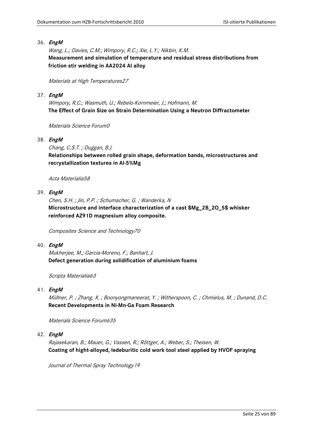Wang, L.; Davies, C.M.; Wimpory, R.C.; Xie, L.Y.; Nikbin, K.M. **Measurement and simulation of temperature and residual stress distributions from friction stir welding in AA2024 Al alloy**

Materials at High Temperatures27

# 37. **EngM**

Wimpory, R.C.; Wasmuth, U.; Rebelo-Kornmeier, J.; Hofmann, M. **The Effect of Grain Size on Strain Determination Using a Neutron Diffractometer**

Materials Science Forum0

# 38. **EngM**

Chang, C.S.T. ; Duggan, B.J.

**Relationships between rolled grain shape, deformation bands, microstructures and recrystallization textures in Al-5%Mg**

Acta Materialia58

# 39. **EngM**

Chen, S.H. ; Jin, P.P. ; Schumacher, G. ; Wanderka, N **Microstructure and interface characterization of a cast \$Mg\_2B\_2O\_5\$ whisker reinforced AZ91D magnesium alloy composite.**

Composites Science and Technology70

# 40. **EngM**

Mukherjee, M.; Garcia-Moreno, F.; Banhart, J. **Defect generation during solidification of aluminium foams**

Scripta Materialia63

# 41. **EngM**

Müllner, P. ; Zhang, X. ; Boonyongmaneerat, Y. ; Witherspoon, C. ; Chmielus, M. ; Dunand, D.C. **Recent Developments in Ni-Mn-Ga Foam Research**

Materials Science Forum635

# 42. **EngM**

Rajasekaran, B.; Mauer, G.; Vassen, R.; Röttger, A.; Weber, S.; Theisen, W. **Coating of hight-alloyed, ledeburitic cold work tool steel applied by HVOF spraying**

Journal of Thermal Spray Technology19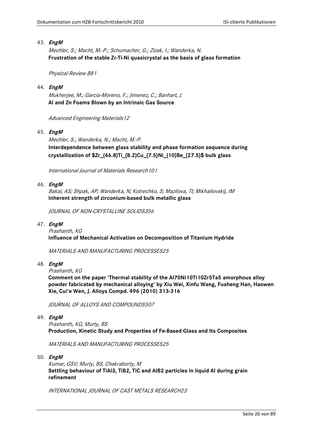Mechler, S.; Macht, M.-P.; Schumacher, G.; Zizak, I.; Wanderka, N. **Frustration of the stable Zr-Ti-Ni quasicrystal as the basis of glass formation**

Physical Review B81

## 44. **EngM**

Mukherjee, M.; Garcia-Moreno, F.; Jimenez, C.; Banhart, J. **Al and Zn Foams Blown by an Intrinsic Gas Source**

Advanced Engineering Materials12

## 45. **EngM**

Mechler, S.; Wanderka, N.; Macht, M.-P. **Interdependence between glass stability and phase formation sequence during crystallization of \$Zr\_{46.8}Ti\_{8.2}Cu\_{7.5}Ni\_{10}Be\_{27.5}\$ bulk glass**

International Journal of Materials Research101

## 46. **EngM**

Bakai, AS; Shpak, AP; Wanderka, N; Kotrechko, S; Mazilova, TI; Mikhailovskij, IM **Inherent strength of zirconium-based bulk metallic glass**

JOURNAL OF NON-CRYSTALLINE SOLIDS356

## 47. **EngM**

Prashanth, KG **Influence of Mechanical Activation on Decomposition of Titanium Hydride**

MATERIALS AND MANUFACTURING PROCESSES25

- 48. **EngM**
	- Prashanth, KG

**Comment on the paper 'Thermal stability of the Al70Ni10Ti10Zr5Ta5 amorphous alloy powder fabricated by mechanical alloying' by Xiu Wei, Xinfu Wang, Fusheng Han, Haowen Xie, Cui'e Wen, J. Alloys Compd. 496 (2010) 313-316**

JOURNAL OF ALLOYS AND COMPOUNDS507

49. **EngM**

Prashanth, KG; Murty, BS **Production, Kinetic Study and Properties of Fe-Based Glass and Its Composites**

MATERIALS AND MANUFACTURING PROCESSES25

50. **EngM**

Kumar, GSV; Murty, BS; Chakraborty, M **Settling behaviour of TiAl3, TiB2, TiC and AlB2 particles in liquid Al during grain refinement**

INTERNATIONAL JOURNAL OF CAST METALS RESEARCH23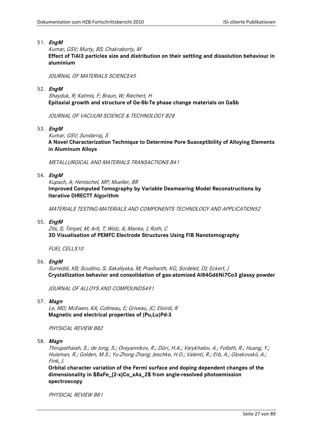Kumar, GSV; Murty, BS; Chakraborty, M **Effect of TiAl3 particles size and distribution on their settling and dissolution behaviour in aluminium**

JOURNAL OF MATERIALS SCIENCE45

52. **EngM**

Shayduk, R; Katmis, F; Braun, W; Riechert, H **Epitaxial growth and structure of Ge-Sb-Te phase change materials on GaSb**

JOURNAL OF VACUUM SCIENCE & TECHNOLOGY B28

53. **EngM**

Kumar, GSV; Sundarraj, S **A Novel Characterization Technique to Determine Pore Susceptibility of Alloying Elements in Aluminum Alloys**

METALLURGICAL AND MATERIALS TRANSACTIONS B41

54. **EngM**

Kupsch, A; Hentschel, MP; Mueller, BR **Improved Computed Tomography by Variable Desmearing Model Reconstructions by Iterative DIRECTT Algorithm**

MATERIALS TESTING-MATERIALS AND COMPONENTS TECHNOLOGY AND APPLICATION52

55. **EngM**

Zils, S; Timpel, M; Arlt, T; Wolz, A; Manke, I; Roth, C **3D Visualisation of PEMFC Electrode Structures Using FIB Nanotomography**

FUEL CELLS10

56. **EngM**

Surreddi, KB; Scudino, S; Sakaliyska, M; Prashanth, KG; Sordelet, DJ; Eckert, J **Crystallization behavior and consolidation of gas-atomized Al84Gd6Ni7Co3 glassy powder**

JOURNAL OF ALLOYS AND COMPOUNDS491

57. **Magn**

Le, MD; McEwen, KA; Colineau, E; Griveau, JC; Eloirdi, R **Magnetic and electrical properties of (Pu,Lu)Pd-3**

PHYSICAL REVIEW B82

58. **Magn**

Thirupathaiah, S.; de Jong, S.; Ovsyannikov, R.; Dürr, H.A.; Varykhalov, A.; Follath, R.; Huang, Y.; Huisman, R.; Golden, M.S.; Yu-Zhong Zhang; Jeschke, H.O.; Valentí, R.; Erb, A.; Gloskovskii, A.; Fink, J.

**Orbital character variation of the Fermi surface and doping dependent changes of the dimensionality in \$BaFe\_{2-x}Co\_xAs\_2\$ from angle-resolved photoemission spectroscopy**

PHYSICAL REVIEW B81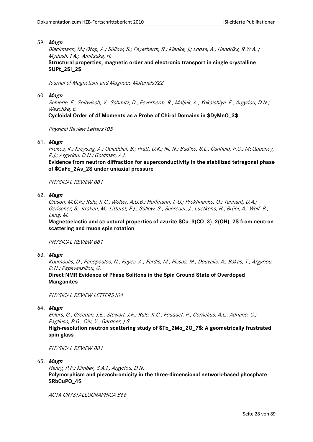Bleckmann, M.; Otop, A.; Süllow, S.; Feyerherm, R.; Klenke, J.; Loose, A.; Hendrikx, R.W.A. ; Mydosh, J.A.; Amitsuka, H.

**Structural properties, magnetic order and electronic transport in single crystalline \$UPt\_2Si\_2\$**

Journal of Magnetism and Magnetic Materials322

#### 60. **Magn**

Schierle, E.; Soltwisch, V.; Schmitz, D.; Feyerherm, R.; Maljuk, A.; Yokaichiya, F.; Argyriou, D.N.; Weschke, E.

**Cycloidal Order of 4f Moments as a Probe of Chiral Domains in \$DyMnO\_3\$**

Physical Review Letters 105

# 61. **Magn**

Prokes, K.; Kreyssig, A.; Ouladdiaf, B.; Pratt, D.K.; Ni, N.; Bud'ko, S.L.; Canfield, P.C.; McQueeney, R.J.; Argyriou, D.N.; Goldman, A.I.

**Evidence from neutron diffraction for superconductivity in the stabilized tetragonal phase of \$CaFe\_2As\_2\$ under uniaxial pressure**

PHYSICAL REVIEW B81

## 62. **Magn**

Gibson, M.C.R.; Rule, K.C.; Wolter, A.U.B.; Hoffmann, J.-U.; Prokhnenko, O.; Tennant, D.A.; Gerischer, S.; Kraken, M.; Litterst, F.J.; Süllow, S.; Schreuer, J.; Luetkens, H.; Brühl, A.; Wolf, B.; Lang, M.

**Magnetoelastic and structural properties of azurite \$Cu\_3(CO\_3)\_2(OH)\_2\$ from neutron scattering and muon spin rotation**

PHYSICAL REVIEW B81

#### 63. **Magn**

Koumoulis, D.; Panopoulos, N.; Reyes, A.; Fardis, M.; Pissas, M.; Douvalis, A.; Bakas, T.; Argyriou, D.N.; Papavassiliou, G.

**Direct NMR Evidence of Phase Solitons in the Spin Ground State of Overdoped Manganites**

PHYSICAL REVIEW LETTERS 104

# 64. **Magn**

Ehlers, G.; Greedan, J.E.; Stewart, J.R.; Rule, K.C.; Fouquet, P.; Cornelius, A.L.; Adriano, C.; Pagliuso, P.G.; Qiu, Y.; Gardner, J.S.

**High-resolution neutron scattering study of \$Tb\_2Mo\_2O\_7\$: A geometrically frustrated spin glass**

PHYSICAL REVIEW B81

65. **Magn**

Henry, P.F.; Kimber, S.A.J.; Argyriou, D.N. **Polymorphism and piezochromicity in the three-dimensional network-based phosphate \$RbCuPO\_4\$**

ACTA CRYSTALLOGRAPHICA B66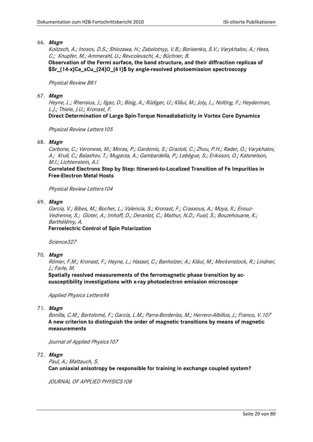Koitzsch, A.; Inosov, D.S.; Shiozawa, H.; Zabolotnyy, V.B.; Borisenko, S.V.; Varykhalov, A.; Hess, C.; Knupfer, M.; Ammerahl, U.; Revcolevschi, A.; Büchner, B.

**Observation of the Fermi surface, the band structure, and their diffraction replicas of \$Sr\_{14-x}Ca\_xCu\_{24}O\_{41}\$ by angle-resolved photoemission spectroscopy**

#### Physical Review B81

#### 67. **Magn**

Heyne, L.; Rhensius, J.; Ilgaz, D.; Bisig, A.; Rüdiger, U.; Kläui, M.; Joly, L.; Nolting, F.; Heyderman, L.J.; Thiele, J.U.; Kronast, F.

**Direct Determination of Large Spin-Torque Nonadiabaticity in Vortex Core Dynamics**

Physical Review Letters 105

## 68. **Magn**

Carbone, C.; Veronese, M.; Moras, P.; Gardonio, S.; Grazioli, C.; Zhou, P.H.; Rader, O.; Varykhalov, A.; Krull, C.; Balashov, T.; Mugarza, A.; Gambardella, P.; Lebègue, S.; Eriksson, O.; Katsnelson, M.I.; Lichtenstein, A.I.

**Correlated Electrons Step by Step: Itinerant-to-Localized Transition of Fe Impurities in Free-Electron Metal Hosts**

Physical Review Letters104

## 69. **Magn**

Garcia, V.; Bibes, M.; Bocher, L.; Valencia, S.; Kronast, F.; Crassous, A.; Moya, X.; Enouz-Vedrenne, S.; Gloter, A.; Imhoff, D.; Deranlot, C.; Mathur, N.D.; Fusil, S.; Bouzehouane, K.; Barthélémy, A.

**Ferroelectric Control of Spin Polarization**

Science327

# 70. **Magn**

Römer, F.M.; Kronast, F.; Heyne, L.; Hassel, C.; Banholzer, A.; Kläui, M.; Meckenstock, R.; Lindner, J.; Farle, M.

**Spatially resolved measurements of the ferromagnetic phase transition by acsusceptibility investigations with x-ray photoelectron emission microscope**

Applied Physics Letters96

# 71. **Magn**

Bonilla, C.M.; Bartolomé, F.; García, L.M.; Parra-Borderías, M.; Herrero-Albillos, J.; Franco, V.107 **A new criterion to distinguish the order of magnetic transitions by means of magnetic measurements**

Journal of Applied Physics 107

72. **Magn**

Paul, A.; Mattauch, S. **Can uniaxial anisotropy be responsible for training in exchange coupled system?**

JOURNAL OF APPLIED PHYSICS 108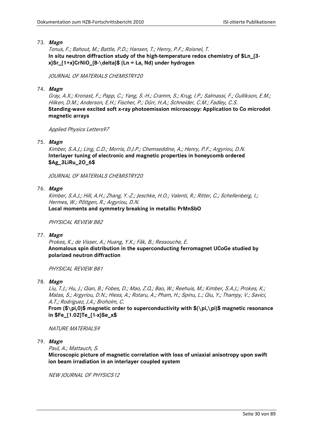Tonus, F.; Bahout, M.; Battle, P.D.; Hansen, T.; Henry, P.F.; Roisnel, T. **In situ neutron diffraction study of the high-temperature redox chemistry of \$Ln\_{3 x}Sr\_{1+x}CrNiO\_{8-\delta}\$ (Ln = La, Nd) under hydrogen**

JOURNAL OF MATERIALS CHEMISTRY20

## 74. **Magn**

Gray, A.X.; Kronast, F.; Papp, C.; Yang, S.-H.; Cramm, S.; Krug, I.P.; Salmassi, F.; Gullikson, E.M.; Hilken, D.M.; Anderson, E.H.; Fischer, P.; Dürr, H.A.; Schneider, C.M.; Fadley, C.S. **Standing-wave excited soft x-ray photoemission microscopy: Application to Co microdot magnetic arrays**

Applied Physics Letters97

## 75. **Magn**

Kimber, S.A.J.; Ling, C.D.; Morris, D.J.P.; Chemseddine, A.; Henry, P.F.; Argyriou, D.N. **Interlayer tuning of electronic and magnetic properties in honeycomb ordered \$Ag\_3LiRu\_2O\_6\$**

JOURNAL OF MATERIALS CHEMISTRY20

## 76. **Magn**

Kimber, S.A.J.; Hill, A.H.; Zhang, Y.-Z.; Jeschke, H.O.; Valenti, R.; Ritter, C.; Schellenberg, I.; Hermes, W.; Pöttgen, R.; Argyriou, D.N.

**Local moments and symmetry breaking in metallic PrMnSbO**

PHYSICAL REVIEW B82

# 77. **Magn**

Prokes, K.; de Visser, A.; Huang, Y.K.; Fåk, B.; Ressouche, E. **Anomalous spin distribution in the superconducting ferromagnet UCoGe studied by polarized neutron diffraction**

PHYSICAL REVIEW B81

78. **Magn**

Liu, T.J.; Hu, J.; Qian, B.; Fobes, D.; Mao, Z.Q.; Bao, W.; Reehuis, M.; Kimber, S.A.J.; Prokes, K.; Matas, S.; Argyriou, D.N.; Hiess, A.; Rotaru, A.; Pham, H.; Spinu, L.; Qiu, Y.; Thampy, V.; Savici, A.T.; Rodriguez, J.A.; Broholm, C.

**From (\$\pi,0)\$ magnetic order to superconductivity with \$(\pi,\pi)\$ magnetic resonance in \$Fe\_{1.02}Te\_{1-x}Se\_x\$**

**NATURE MATERIALS9** 

# 79. **Magn**

Paul, A.; Mattauch, S.

**Microscopic picture of magnetic correlation with loss of uniaxial anisotropy upon swift ion beam irradiation in an interlayer coupled system**

NEW JOURNAL OF PHYSICS12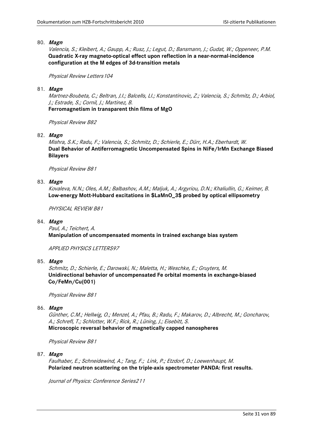Valencia, S.; Kleibert, A.; Gaupp, A.; Rusz, J.; Legut, D.; Bansmann, J.; Gudat, W.; Oppeneer, P.M. **Quadratic X-ray magneto-optical effect upon reflection in a near-normal-incidence configuration at the M edges of 3d-transition metals**

Physical Review Letters104

## 81. **Magn**

Martnez-Boubeta, C.; Beltran, J.I.; Balcells, Ll.; Konstantinovic, Z.; Valencia, S.; Schmitz, D.; Arbiol, J.; Estrade, S.; Cornil, J.; Martinez, B.

**Ferromagnetism in transparent thin films of MgO**

Physical Review B82

82. **Magn**

Mishra, S.K.; Radu, F.; Valencia, S.; Schmitz, D.; Schierle, E.; Dürr, H.A.; Eberhardt, W. **Dual Behavior of Antiferromagnetic Uncompensated Spins in NiFe/IrMn Exchange Biased Bilayers**

Physical Review B81

## 83. **Magn**

Kovaleva, N.N.; Oles, A.M.; Balbashov, A.M.; Maljuk, A.; Argyriou, D.N.; Khaliullin, G.; Keimer, B. **Low-energy Mott-Hubbard excitations in \$LaMnO\_3\$ probed by optical ellipsometry**

PHYSICAL REVIEW B81

## 84. **Magn**

Paul, A.; Teichert, A. **Manipulation of uncompensated moments in trained exchange bias system**

APPLIED PHYSICS LETTERS97

85. **Magn**

Schmitz, D.; Schierle, E.; Darowski, N.; Maletta, H.; Weschke, E.; Gruyters, M. **Unidirectional behavior of uncompensated Fe orbital moments in exchange-biased Co/FeMn/Cu(001)**

Physical Review B81

# 86. **Magn**

Günther, C.M.; Hellwig, O.; Menzel, A.; Pfau, B.; Radu, F.; Makarov, D.; Albrecht, M.; Goncharov, A.; Schrefl, T.; Schlotter, W.F.; Rick, R.; Lüning, J.; Eisebitt, S.

**Microscopic reversal behavior of magnetically capped nanospheres**

Physical Review B81

87. **Magn**

Faulhaber, E.; Schneidewind, A.; Tang, F.; Link, P.; Etzdorf, D.; Loewenhaupt, M. **Polarized neutron scattering on the triple-axis spectrometer PANDA: first results.**

Journal of Physics: Conference Series211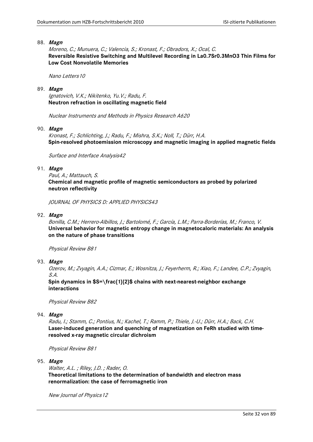Moreno, C.; Munuera, C.; Valencia, S.; Kronast, F.; Obradors, X.; Ocal, C. **Reversible Resistive Switching and Multilevel Recording in La0.7Sr0.3MnO3 Thin Films for Low Cost Nonvolatile Memories**

Nano Letters10

89. **Magn**

Ignatovich, V.K.; Nikitenko, Yu.V.; Radu, F. **Neutron refraction in oscillating magnetic field**

Nuclear Instruments and Methods in Physics Research A620

## 90. **Magn**

Kronast, F.; Schlichting, J.; Radu, F.; Mishra, S.K.; Noll, T.; Dürr, H.A. **Spin-resolved photoemission microscopy and magnetic imaging in applied magnetic fields**

Surface and Interface Analysis42

## 91. **Magn**

Paul, A.; Mattauch, S. **Chemical and magnetic profile of magnetic semiconductors as probed by polarized neutron reflectivity**

JOURNAL OF PHYSICS D: APPLIED PHYSICS43

92. **Magn**

Bonilla, C.M.; Herrero-Albillos, J.; Bartolomé, F.; García, L.M.; Parra-Borderías, M.; Franco, V. **Universal behavior for magnetic entropy change in magnetocaloric materials: An analysis on the nature of phase transitions**

Physical Review B81

93. **Magn**

Ozerov, M.; Zvyagin, A.A.; Cizmar, E.; Wosnitza, J.; Feyerherm, R.; Xiao, F.; Landee, C.P.; Zvyagin, S.A.

**Spin dynamics in \$S=\frac{1}{2}\$ chains with next-nearest-neighbor exchange interactions**

Physical Review B82

# 94. **Magn**

Radu, I.; Stamm, C.; Pontius, N.; Kachel, T.; Ramm, P.; Thiele, J.-U.; Dürr, H.A.; Back, C.H. **Laser-induced generation and quenching of magnetization on FeRh studied with timeresolved x-ray magnetic circular dichroism**

Physical Review B81

#### 95. **Magn**

Walter, A.L. ; Riley, J.D. ; Rader, O. **Theoretical limitations to the determination of bandwidth and electron mass renormalization: the case of ferromagnetic iron**

New Journal of Physics12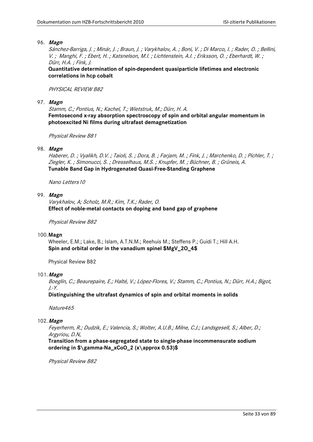Sánchez-Barriga, J. ; Minár, J. ; Braun, J. ; Varykhalov, A. ; Boni, V. ; Di Marco, I. ; Rader, O. ; Bellini, V. ; Manghi, F. ; Ebert, H. ; Katsnelson, M.I. ; Lichtenstein, A.I. ; Eriksson, O. ; Eberhardt, W. ; Dürr, H.A. ; Fink, J.

**Quantitative determination of spin-dependent quasiparticle lifetimes and electronic correlations in hcp cobalt**

## PHYSICAL REVIEW B82

97. **Magn**

Stamm, C.; Pontius, N.; Kachel, T.; Wietstruk, M.; Dürr, H. A. **Femtosecond x-ray absorption spectroscopy of spin and orbital angular momentum in photoexcited Ni films during ultrafast demagnetization**

Physical Review B81

## 98. **Magn**

Haberer, D. ; Vyalikh, D.V. ; Taioli, S. ; Dora, B. ; Farjam, M. ; Fink, J. ; Marchenko, D. ; Pichler, T. ; Ziegler, K. ; Simonucci, S. ; Dresselhaus, M.S. ; Knupfer, M. ; Büchner, B. ; Grüneis, A. **Tunable Band Gap in Hydrogenated Quasi-Free-Standing Graphene**

Nano Letters10

# 99. **Magn**

Varykhalov, A; Scholz, M.R.; Kim, T.K.; Rader, O. **Effect of noble-metal contacts on doping and band gap of graphene**

Physical Review B82

#### 100.**Magn**

Wheeler, E.M.; Lake, B.; Islam, A.T.N.M.; Reehuis M.; Steffens P.; Guidi T.; Hill A.H. **Spin and orbital order in the vanadium spinel \$MgV\_2O\_4\$**

Physical Review B82

# 101.**Magn**

Boeglin, C.; Beaurepaire, E.; Halté, V.; López-Flores, V.; Stamm, C.; Pontius, N.; Dürr, H.A.; Bigot, J.-Y.

**Distinguishing the ultrafast dynamics of spin and orbital moments in solids**

Nature465

#### 102.**Magn**

Feyerherm, R.; Dudzik, E.; Valencia, S.; Wolter, A.U.B.; Milne, C.J.; Landsgesell, S.; Alber, D.; Argyriou, D.N,

**Transition from a phase-segregated state to single-phase incommensurate sodium ordering in \$\gamma-Na\_xCoO\_2 (x\approx 0.53)\$**

Physical Review B82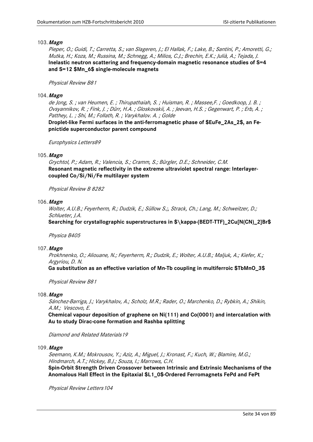Pieper, O.; Guidi, T.; Carretta, S.; van Slageren, J.; El Hallak, F.; Lake, B.; Santini, P.; Amoretti, G.; Mutka, H.; Koza, M.; Russina, M.; Schnegg, A.; Milios, C.J.; Brechin, E.K.; Julià, A.; Tejada, J. **Inelastic neutron scattering and frequency-domain magnetic resonance studies of S=4 and S=12 \$Mn\_6\$ single-molecule magnets**

#### Physical Review B81

#### 104.**Magn**

de Jong, S. ; van Heumen, E. ; Thirupathaiah, S. ; Huisman, R. ; Massee,F. ; Goedkoop, J. B. ; Ovsyannikov, R. ; Fink, J. ; Dürr, H.A. ; Gloskovskii, A. ; Jeevan, H.S. ; Gegenwart, P. ; Erb, A. ; Patthey, L. ; Shi, M.; Follath, R. ; Varykhalov. A. ; Golde

**Droplet-like Fermi surfaces in the anti-ferromagnetic phase of \$EuFe\_2As\_2\$, an Fepnictide superconductor parent compound**

Europhysics Letters89

## 105.**Magn**

Grychtol, P.; Adam, R.; Valencia, S.; Cramm, S.; Bürgler, D.E.; Schneider, C.M. **Resonant magnetic reflectivity in the extreme ultraviolet spectral range: Interlayercoupled Co/Si/Ni/Fe multilayer system**

Physical Review B 8282

#### 106.**Magn**

Wolter, A.U.B.; Feyerherm, R.; Dudzik, E.; Süllow S.;, Strack, Ch.; Lang, M.; Schweitzer, D.; Schlueter, J.A.

**Searching for crystallographic superstructures in \$\kappa-(BEDT-TTF)\_2Cu[N(CN)\_2]Br\$**

Physica B405

#### 107.**Magn**

Prokhnenko, O.; Aliouane, N.; Feyerherm, R.; Dudzik, E.; Wolter, A.U.B.; Maljuk, A.; Kiefer, K.; Argyriou, D. N.

**Ga substitution as an effective variation of Mn-Tb coupling in multiferroic \$TbMnO\_3\$**

Physical Review B81

#### 108.**Magn**

Sánchez-Barriga, J.; Varykhalov, A.; Scholz, M.R.; Rader, O.; Marchenko, D.; Rybkin, A.; Shikin, A.M.; Vescovo, E.

**Chemical vapour deposition of graphene on Ni(111) and Co(0001) and intercalation with Au to study Dirac-cone formation and Rashba splitting**

Diamond and Related Materials19

#### 109.**Magn**

Seemann, K.M.; Mokrousov, Y.; Aziz, A.; Miguel, J.; Kronast, F.; Kuch, W.; Blamire, M.G.; Hindmarch, A.T.; Hickey, B.J.; Souza, I.; Marrows, C.H. **Spin-Orbit Strength Driven Crossover between Intrinsic and Extrinsic Mechanisms of the** 

**Anomalous Hall Effect in the Epitaxial \$L1\_0\$-Ordered Ferromagnets FePd and FePt**

Physical Review Letters104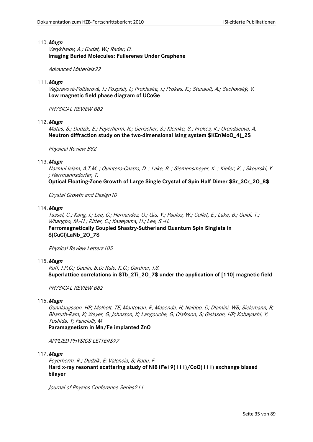Varykhalov, A.; Gudat, W.; Rader, O. **Imaging Buried Molecules: Fullerenes Under Graphene**

Advanced Materials22

#### 111.**Magn**

Vejpravová-Poltierová, J.; Pospísil, J.; Prokleska, J.; Prokes, K.; Stunault, A.; Sechovský, V. **Low magnetic field phase diagram of UCoGe**

PHYSICAL REVIEW B82

#### 112.**Magn**

Matas, S.; Dudzik, E.; Feyerherm, R.; Gerischer, S.; Klemke, S.; Prokes, K.; Orendacova, A. **Neutron diffraction study on the two-dimensional Ising system \$KEr(MoO\_4)\_2\$**

Physical Review B82

## 113.**Magn**

Nazmul Islam, A.T.M. ; Quintero-Castro, D. ; Lake, B. ; Siemensmeyer, K. ; Kiefer, K. ; Skourski, Y. ; Herrmannsdorfer, T.

**Optical Floating-Zone Growth of Large Single Crystal of Spin Half Dimer \$Sr\_3Cr\_2O\_8\$**

Crystal Growth and Design10

## 114.**Magn**

Tassel, C.; Kang, J.; Lee, C.; Hernandez, O.; Qiu, Y.; Paulus, W.; Collet, E.; Lake, B.; Guidi, T.; Whangbo, M.-H.; Ritter, C.; Kageyama, H.; Lee, S.-H. **Ferromagnetically Coupled Shastry-Sutherland Quantum Spin Singlets in \$(CuCl)LaNb\_2O\_7\$**

Physical Review Letters105

#### 115.**Magn**

Ruff, J.P.C.; Gaulin, B.D; Rule, K.C.; Gardner, J.S. **Superlattice correlations in \$Tb\_2Ti\_2O\_7\$ under the application of [110] magnetic field**

PHYSICAL REVIEW B82

#### 116.**Magn**

Gunnlaugsson, HP; Molholt, TE; Mantovan, R; Masenda, H; Naidoo, D; Dlamini, WB; Sielemann, R; Bharuth-Ram, K; Weyer, G; Johnston, K; Langouche, G; Olafsson, S; Gislason, HP; Kobayashi, Y; Yoshida, Y; Fanciulli, M

**Paramagnetism in Mn/Fe implanted ZnO**

APPLIED PHYSICS LETTERS97

117.**Magn**

Feyerherm, R.; Dudzik, E; Valencia, S; Radu, F **Hard x-ray resonant scattering study of Ni81Fe19(111)/CoO(111) exchange biased bilayer**

Journal of Physics Conference Series211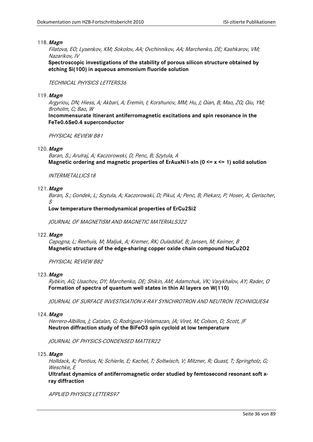Filatova, EO; Lysenkov, KM; Sokolov, AA; Ovchinnikov, AA; Marchenko, DE; Kashkarov, VM; Nazarikov, IV

**Spectroscopic investigations of the stability of porous silicon structure obtained by etching Si(100) in aqueous ammonium fluoride solution**

#### TECHNICAL PHYSICS LETTERS36

#### 119.**Magn**

Argyriou, DN; Hiess, A; Akbari, A; Eremin, I; Korshunov, MM; Hu, J; Qian, B; Mao, ZQ; Qiu, YM; Broholm, C; Bao, W

**Incommensurate itinerant antiferromagnetic excitations and spin resonance in the FeTe0.6Se0.4 superconductor**

PHYSICAL REVIEW B81

#### 120.**Magn**

Baran, S.; Arulraj, A; Kaczorowski, D; Penc, B; Szytula, A **Magnetic ordering and magnetic properties of ErAuxNi1-xIn (0 <= x <= 1) solid solution**

INTERMETALLICS18

#### 121.**Magn**

Baran, S.; Gondek, L; Szytula, A; Kaczorowski, D; Pikul, A; Penc, B; Piekarz, P; Hoser, A; Gerischer, S

#### **Low temperature thermodynamical properties of ErCu2Si2**

JOURNAL OF MAGNETISM AND MAGNETIC MATERIALS322

#### 122.**Magn**

Capogna, L; Reehuis, M; Maljuk, A; Kremer, RK; Ouladdiaf, B; Jansen, M; Keimer, B **Magnetic structure of the edge-sharing copper oxide chain compound NaCu2O2**

PHYSICAL REVIEW B82

#### 123.**Magn**

Rybkin, AG; Usachov, DY; Marchenko, DE; Shikin, AM; Adamchuk, VK; Varykhalov, AY; Rader, O **Formation of spectra of quantum well states in thin Al layers on W(110)**

JOURNAL OF SURFACE INVESTIGATION-X-RAY SYNCHROTRON AND NEUTRON TECHNIQUES4

#### 124.**Magn**

Herrero-Albillos, J; Catalan, G; Rodriguez-Velamazan, JA; Viret, M; Colson, D; Scott, JF **Neutron diffraction study of the BiFeO3 spin cycloid at low temperature**

JOURNAL OF PHYSICS-CONDENSED MATTER22

#### 125.**Magn**

Holldack, K; Pontius, N; Schierle, E; Kachel, T; Soltwisch, V; Mitzner, R; Quast, T; Springholz, G; Weschke, E

**Ultrafast dynamics of antiferromagnetic order studied by femtosecond resonant soft xray diffraction**

APPLIED PHYSICS LETTERS97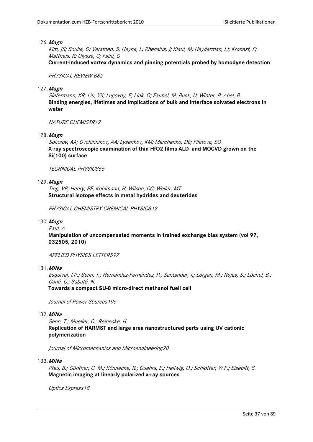# 126.**Magn**

Kim, JS; Boulle, O; Verstoep, S; Heyne, L; Rhensius, J; Klaui, M; Heyderman, LJ; Kronast, F; Mattheis, R; Ulysse, C; Faini, G **Current-induced vortex dynamics and pinning potentials probed by homodyne detection**

PHYSICAL REVIEW B82

# 127.**Magn**

Siefermann, KR; Liu, YX; Lugovoy, E; Link, O; Faubel, M; Buck, U; Winter, B; Abel, B **Binding energies, lifetimes and implications of bulk and interface solvated electrons in water**

NATURE CHEMISTRY2

128.**Magn**

Sokolov, AA; Ovchinnikov, AA; Lysenkov, KM; Marchenko, DE; Filatova, EO **X-ray spectroscopic examination of thin HfO2 films ALD- and MOCVD-grown on the Si(100) surface**

# TECHNICAL PHYSICS55

# 129.**Magn**

Ting, VP; Henry, PF; Kohlmann, H; Wilson, CC; Weller, MT **Structural isotope effects in metal hydrides and deuterides**

PHYSICAL CHEMISTRY CHEMICAL PHYSICS 12

# 130.**Magn**

Paul, A

**Manipulation of uncompensated moments in trained exchange bias system (vol 97, 032505, 2010)**

APPLIED PHYSICS LETTERS97

131.**MiNa**

Esquivel, J.P.; Senn, T.; Hernández-Fernández, P.; Santander, J.; Lörgen, M.; Rojas, S.; Löchel, B.; Cané, C.; Sabaté, N.

**Towards a compact SU-8 micro-direct methanol fuell cell**

Journal of Power Sources195

# 132.**MiNa**

Senn, T.; Mueller, C.; Reinecke, H. **Replication of HARMST and large area nanostructured parts using UV cationic polymerization**

Journal of Micromechanics and Microengineering20

## 133.**MiNa**

Pfau, B.; Günther, C. M.; Könnecke, R.; Guehrs, E.; Hellwig, O.; Schlotter, W.F.; Eisebitt, S. **Magnetic imaging at linearly polarized x-ray sources**

Optics Express 18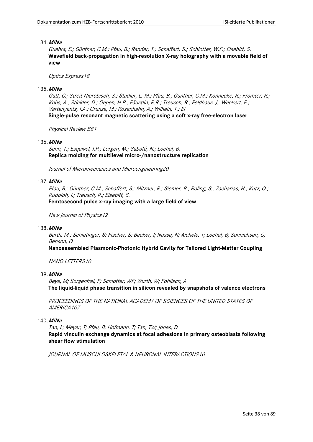# 134.**MiNa**

Guehrs, E.; Günther, C.M.; Pfau, B.; Rander, T.; Schaffert, S.; Schlotter, W.F.; Eisebitt, S. **Wavefield back-propagation in high-resolution X-ray holography with a movable field of view**

# Optics Express18

# 135.**MiNa**

Gutt, C.; Streit-Nierobisch, S.; Stadler, L.-M.; Pfau, B.; Günther, C.M.; Könnecke, R.; Frömter, R.; Kobs, A.; Stickler, D.; Oepen, H.P.; Fäustlin, R.R.; Treusch, R.; Feldhaus, J.; Weckert, E.; Vartanyants, I.A.; Grunze, M.; Rosenhahn, A.; Wilhein, T.; Ei **Single-pulse resonant magnetic scattering using a soft x-ray free-electron laser**

Physical Review B81

# 136.**MiNa**

Senn, T.; Esquivel, J.P.; Lörgen, M.; Sabaté, N.; Löchel, B. **Replica molding for multilevel micro-/nanostructure replication**

Journal of Micromechanics and Microengineering20

# 137.**MiNa**

Pfau, B.; Günther, C.M.; Schaffert, S.; Mitzner, R.; Siemer, B.; Roling, S.; Zacharias, H.; Kutz, O.; Rudolph, I.; Treusch, R.; Eisebitt, S. **Femtosecond pulse x-ray imaging with a large field of view**

New Journal of Physics12

## 138.**MiNa**

Barth, M.; Schietinger, S; Fischer, S; Becker, J; Nusse, N; Aichele, T; Lochel, B; Sonnichsen, C; Benson, O

**Nanoassembled Plasmonic-Photonic Hybrid Cavity for Tailored Light-Matter Coupling**

NANO LETTERS10

# 139.**MiNa**

Beye, M; Sorgenfrei, F; Schlotter, WF; Wurth, W; Fohlisch, A **The liquid-liquid phase transition in silicon revealed by snapshots of valence electrons**

PROCEEDINGS OF THE NATIONAL ACADEMY OF SCIENCES OF THE UNITED STATES OF AMERICA107

# 140.**MiNa**

Tan, L; Meyer, T; Pfau, B; Hofmann, T; Tan, TW; Jones, D **Rapid vinculin exchange dynamics at focal adhesions in primary osteoblasts following shear flow stimulation**

JOURNAL OF MUSCULOSKELETAL & NEURONAL INTERACTIONS10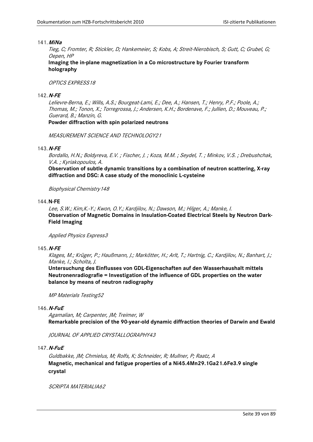# 141.**MiNa**

Tieg, C; Fromter, R; Stickler, D; Hankemeier, S; Kobs, A; Streit-Nierobisch, S; Gutt, C; Grubel, G; Oepen, HP

**Imaging the in-plane magnetization in a Co microstructure by Fourier transform holography**

# OPTICS EXPRESS18

# 142.**N-FE**

Lelievre-Berna, E.; Wills, A.S.; Bourgeat-Lami, E.; Dee, A.; Hansen, T.; Henry, P.F.; Poole, A.; Thomas, M.; Tonon, X.; Torregrossa, J.; Andersen, K.H.; Bordenave, F.; Jullien, D.; Mouveau, P.; Guerard, B.; Manzin, G. **Powder diffraction with spin polarized neutrons**

MEASUREMENT SCIENCE AND TECHNOLOGY21

# 143.**N-FE**

Bordallo, H.N.; Boldyreva, E.V. ; Fischer, J. ; Koza, M.M. ; Seydel, T. ; Minkov, V.S. ; Drebushchak, V.A. ; Kyriakopoulos, A.

**Observation of subtle dynamic transitions by a combination of neutron scattering, X-ray diffraction and DSC: A case study of the monoclinic L-cysteine**

Biophysical Chemistry148

## 144.**N-FE**

Lee, S.W.; Kim,K.-Y.; Kwon, O.Y.; Kardjilov, N.; Dawson, M.; Hilger, A.; Manke, I. **Observation of Magnetic Domains in Insulation-Coated Electrical Steels by Neutron Dark-Field Imaging**

Applied Physics Express3

# 145.**N-FE**

Klages, M.; Krüger, P.; Haußmann, J.; Markötter, H.; Arlt, T.; Hartnig, C.; Kardjilov, N.; Banhart, J.; Manke, I.; Scholta, J.

**Untersuchung des Einflusses von GDL-Eigenschaften auf den Wasserhaushalt mittels Neutronenradiografie = Investigation of the influence of GDL properties on the water balance by means of neutron radiography**

MP Materials Testing52

# 146.**N-FuE**

Agamalian, M; Carpenter, JM; Treimer, W **Remarkable precision of the 90-year-old dynamic diffraction theories of Darwin and Ewald**

JOURNAL OF APPLIED CRYSTALLOGRAPHY43

# 147.**N-FuE**

Guldbakke, JM; Chmielus, M; Rolfs, K; Schneider, R; Mullner, P; Raatz, A **Magnetic, mechanical and fatigue properties of a Ni45.4Mn29.1Ga21.6Fe3.9 single crystal**

SCRIPTA MATERIAI IA62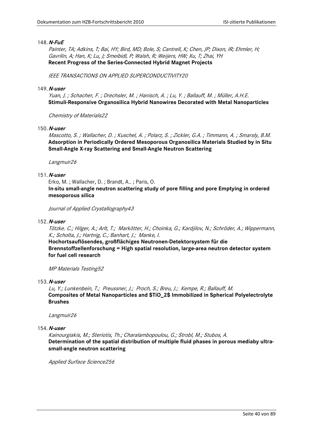# 148.**N-FuE**

Painter, TA; Adkins, T; Bai, HY; Bird, MD; Bole, S; Cantrell, K; Chen, JP; Dixon, IR; Ehmler, H; Gavrilin, A; Han, K; Lu, J; Smeibidl, P; Walsh, R; Weijers, HW; Xu, T; Zhai, YH **Recent Progress of the Series-Connected Hybrid Magnet Projects**

IEEE TRANSACTIONS ON APPLIED SUPERCONDUCTIVITY20

# 149.**N-user**

Yuan, J. ; Schacher, F. ; Drechsler, M. ; Hanisch, A. ; Lu, Y. ; Ballauff, M. ; Müller, A.H.E. **Stimuli-Responsive Organosilica Hybrid Nanowires Decorated with Metal Nanoparticles**

Chemistry of Materials22

## 150.**N-user**

Mascotto, S. ; Wallacher, D. ; Kuschel, A. ; Polarz, S. ; Zickler, G.A. ; Timmann, A. ; Smarsly, B.M. **Adsorption in Periodically Ordered Mesoporous Organosilica Materials Studied by in Situ Small-Angle X-ray Scattering and Small-Angle Neutron Scattering**

Langmuir26

# 151.**N-user**

Erko, M. ; Wallacher, D. ; Brandt, A.. ; Paris, O. **In-situ small-angle neutron scattering study of pore filling and pore Emptying in ordered mesoporous silica**

Journal of Applied Crystallography43

152.**N-user**

Tötzke. C.; Hilger, A.; Arlt, T.; Markötter, H.; Choinka, G.; Kardjilov, N.; Schröder, A.; Wippermann, K.; Scholta, J.; Hartnig, C.; Banhart, J.; Manke, I.

**Hochortsauflösendes, großflächiges Neutronen-Detektorsystem für die Brennstoffzellenforschung = High spatial resolution, large-area neutron detector system for fuel cell research**

MP Materials Testing52

153.**N-user**

Lu, Y.; Lunkenbein, T.; Preussner, J.; Proch, S.; Breu, J.; Kempe, R.; Ballauff, M. **Composites of Metal Nanoparticles and \$TiO\_2\$ Immobilized in Spherical Polyelectrolyte Brushes**

Langmuir26

154.**N-user**

Kainourgiakis, M.; Steriotis, Th.; Charalambopoulou, G.; Strobl, M.; Stubos, A. **Determination of the spatial distribution of multiple fluid phases in porous mediaby ultrasmall-angle neutron scattering**

Applied Surface Science256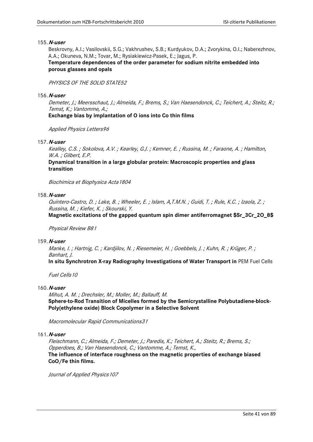Beskrovny, A.I.; Vasilovskii, S.G.; Vakhrushev, S.B.; Kurdyukov, D.A.; Zvorykina, O.I.; Naberezhnov, A.A.; Okuneva, N.M.; Tovar, M.; Rysiakiewicz-Pasek, E.; Jagus, P.

# **Temperature dependences of the order parameter for sodium nitrite embedded into porous glasses and opals**

# PHYSICS OF THE SOLID STATE52

## 156.**N-user**

Demeter, J.; Meersschaut, J.; Almeida, F.; Brems, S.; Van Haesendonck, C.; Teichert, A.; Steitz, R.; Temst, K.; Vantomme, A.;

**Exchange bias by implantation of O ions into Co thin films**

Applied Physics Letters96

# 157.**N-user**

Kealley, C.S. ; Sokolova, A.V. ; Kearley, G.J. ; Kemner, E. ; Russina, M. ; Faraone, A. ; Hamilton, W.A. ; Gilbert, E.P.

**Dynamical transition in a large globular protein: Macroscopic properties and glass transition**

Biochimica et Biophysica Acta1804

# 158.**N-user**

Quintero-Castro, D. ; Lake, B. ; Wheeler, E. ; Islam, A,T.M.N. ; Guidi, T. ; Rule, K.C. ; Izaola, Z. ; Russina, M. ; Kiefer, K. ; Skourski, Y.

**Magnetic excitations of the gapped quantum spin dimer antiferromagnet \$Sr\_3Cr\_2O\_8\$**

## Physical Review B81

## 159.**N-user**

Manke, I. ; Hartnig, C. ; Kardjilov, N. ; Riesemeier, H. ; Goebbels, J. ; Kuhn, R. ; Krüger, P. ; Banhart, J.

**In situ Synchrotron X-ray Radiography Investigations of Water Transport in** PEM Fuel Cells

Fuel Cells10

## 160.**N-user**

Mihut, A. M. ; Drechsler, M.; Moller, M.; Ballauff, M. **Sphere-to-Rod Transition of Micelles formed by the Semicrystalline Polybutadiene-block-Poly(ethylene oxide) Block Copolymer in a Selective Solvent**

Macromolecular Rapid Communications31

## 161.**N-user**

Fleischmann, C.; Almeida, F.; Demeter, J.; Paredis, K.; Teichert, A.; Steitz, R.; Brems, S.; Opperdoes, B.; Van Haesendonck, C.; Vantomme, A.; Temst, K., **The influence of interface roughness on the magnetic properties of exchange biased CoO/Fe thin films.**

Journal of Applied Physics 107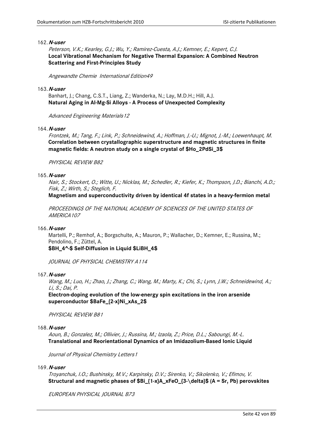Peterson, V.K.; Kearley, G.J.; Wu, Y.; Ramirez-Cuesta, A.J.; Kemner, E.; Kepert, C.J. **Local Vibrational Mechanism for Negative Thermal Expansion: A Combined Neutron Scattering and First-Principles Study**

Angewandte Chemie International Edition49

### 163.**N-user**

Banhart, J.; Chang, C.S.T., Liang, Z.; Wanderka, N.; Lay, M.D.H.; Hill, A.J. **Natural Aging in Al-Mg-Si Alloys - A Process of Unexpected Complexity**

Advanced Engineering Materials12

# 164.**N-user**

Frontzek, M.; Tang, F.; Link, P.; Schneidewind, A.; Hoffman, J.-U.; Mignot, J.-M.; Loewenhaupt, M. **Correlation between crystallographic superstructure and magnetic structures in finite magnetic fields: A neutron study on a single crystal of \$Ho\_2PdSi\_3\$**

PHYSICAL REVIEW B82

### 165.**N-user**

Nair, S.; Stockert, O.; Witte, U.; Nicklas, M.; Schedler, R.; Kiefer, K.; Thompson, J.D.; Bianchi, A.D.; Fisk, Z.; Wirth, S.; Steglich, F.

**Magnetism and superconductivity driven by identical 4f states in a heavy-fermion metal**

PROCEEDINGS OF THE NATIONAL ACADEMY OF SCIENCES OF THE UNITED STATES OF AMERICA107

#### 166.**N-user**

Martelli, P.; Remhof, A.; Borgschulte, A.; Mauron, P.; Wallacher, D.; Kemner, E.; Russina, M.; Pendolino, F.; Züttel, A.

**\$BH\_4^-\$ Self-Diffusion in Liquid \$LiBH\_4\$**

JOURNAL OF PHYSICAL CHEMISTRY A114

# 167.**N-user**

Wang, M.; Luo, H.; Zhao, J.; Zhang, C.; Wang, M.; Marty, K.; Chi, S.; Lynn, J.W.; Schneidewind, A.; Li, S.; Dai, P.

**Electron-doping evolution of the low-energy spin excitations in the iron arsenide superconductor \$BaFe\_{2-x}Ni\_xAs\_2\$**

PHYSICAL REVIEW B81

## 168.**N-user**

Aoun, B.; Gonzalez, M.; Ollivier, J.; Russina, M.; Izaola, Z.; Price, D.L.; Saboungi, M.-L. **Translational and Reorientational Dynamics of an Imidazolium-Based Ionic Liquid** 

Journal of Physical Chemistry Letters1

# 169.**N-user**

Troyanchuk, I.O.; Bushinsky, M.V.; Karpinsky, D.V.; Sirenko, V.; Sikolenko, V.; Efimov, V. **Structural and magnetic phases of \$Bi\_{1-x}A\_xFeO\_{3-\delta}\$ (A = Sr, Pb) perovskites**

EUROPEAN PHYSICAL JOURNAL B73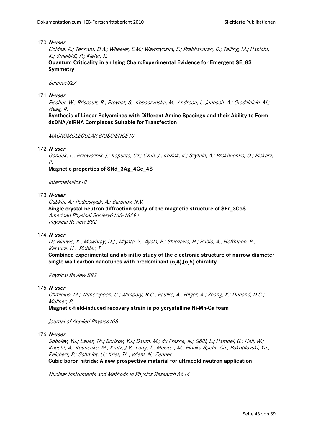Coldea, R.; Tennant, D.A.; Wheeler, E.M.; Wawrzynska, E.; Prabhakaran, D.; Telling, M.; Habicht, K.; Smeibidl, P.; Kiefer, K.

**Quantum Criticality in an Ising Chain:Experimental Evidence for Emergent \$E\_8\$ Symmetry**

Science327

# 171.**N-user**

Fischer, W.; Brissault, B.; Prevost, S.; Kopaczynska, M.; Andreou, I.; Janosch, A.; Gradzielski, M.; Haag, R.

**Synthesis of Linear Polyamines with Different Amine Spacings and their Ability to Form dsDNA/siRNA Complexes Suitable for Transfection**

MACROMOLECULAR BIOSCIENCE10

# 172.**N-user**

Gondek, L.; Przewoznik, J.; Kapusta, Cz.; Czub, J.; Kozlak, K.; Szytula, A.; Prokhnenko, O.; Piekarz, P.

**Magnetic properties of \$Nd\_3Ag\_4Ge\_4\$**

Intermetallics18

# 173.**N-user**

Gubkin, A.; Podlesnyak, A.; Baranov, N.V.

**Single-crystal neutron diffraction study of the magnetic structure of \$Er\_3Co\$** American Physical Society0163-18294 Physical Review B82

## 174.**N-user**

De Blauwe, K.; Mowbray, D.J.; Miyata, Y.; Ayala, P.; Shiozawa, H.; Rubio, A.; Hoffmann, P.; Kataura, H.; Pichler, T.

**Combined experimental and ab initio study of the electronic structure of narrow-diameter single-wall carbon nanotubes with predominant (6,4),(6,5) chirality**

Physical Review B82

# 175.**N-user**

Chmielus, M.; Witherspoon, C.; Wimpory, R.C.; Paulke, A.; Hilger, A.; Zhang, X.; Dunand, D.C.; Müllner, P.

**Magnetic-field-induced recovery strain in polycrystalline Ni-Mn-Ga foam**

Journal of Applied Physics 108

## 176.**N-user**

Sobolev, Yu.; Lauer, Th.; Borisov, Yu.; Daum, M.; du Fresne, N.; Göltl, L.; Hampel, G.; Heil, W.; Knecht, A.; Keunecke, M.; Kratz, J.V.; Lang, T.; Meister, M.; Plonka-Spehr, Ch.; Pokotilovski, Yu.; Reichert, P.; Schmidt, U.; Krist, Th.; Wiehl, N.; Zenner, **Cubic boron nitride: A new prospective material for ultracold neutron application**

Nuclear Instruments and Methods in Physics Research A614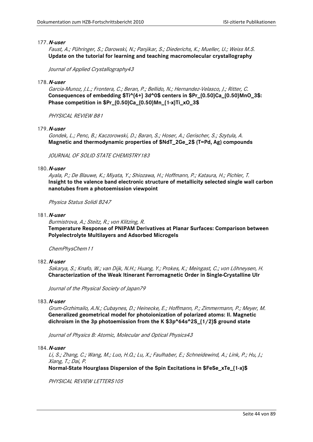Faust, A.; Pühringer, S.; Darowski, N.; Panjikar, S.; Diederichs, K.; Mueller, U.; Weiss M.S. **Update on the tutorial for learning and teaching macromolecular crystallography**

Journal of Applied Crystallography43

### 178.**N-user**

Garcia-Munoz, J.L.; Frontera, C.; Beran, P.; Bellido, N.; Hernandez-Velasco, J.; Ritter, C. **Consequences of embedding \$Ti^{4+} 3d^0\$ centers in \$Pr\_{0.50}Ca\_{0.50}MnO\_3\$: Phase competition in \$Pr\_{0.50}Ca\_{0.50}Mn\_{1-x}Ti\_xO\_3\$**

PHYSICAL REVIEW B81

# 179.**N-user**

Gondek, L.; Penc, B.; Kaczorowski, D.; Baran, S.; Hoser, A.; Gerischer, S.; Szytula, A. **Magnetic and thermodynamic properties of \$NdT\_2Ge\_2\$ (T=Pd, Ag) compounds**

JOURNAL OF SOLID STATE CHEMISTRY183

### 180.**N-user**

Ayala, P.; De Blauwe, K.; Miyata, Y.; Shiozawa, H.; Hoffmann, P.; Kataura, H.; Pichler, T. **Insight to the valence band electronic structure of metallicity selected single wall carbon nanotubes from a photoemission viewpoint**

Physica Status Solidi B247

### 181.**N-user**

Burmistrova, A.; Steitz, R.; von Klitzing, R. **Temperature Response of PNIPAM Derivatives at Planar Surfaces: Comparison between Polyelectrolyte Multilayers and Adsorbed Microgels**

ChemPhysChem11

### 182.**N-user**

Sakarya, S.; Knafo, W.; van Dijk, N.H.; Huang, Y.; Prokes, K.; Meingast, C.; von Löhneysen, H. **Characterization of the Weak Itinerant Ferromagnetic Order in Single-Crystalline UIr**

Journal of the Physical Society of Japan79

### 183.**N-user**

Grum-Grzhimailo, A.N.; Cubaynes, D.; Heinecke, E.; Hoffmann, P.; Zimmermann, P.; Meyer, M. **Generalized geometrical model for photoionization of polarized atoms: II. Magnetic dichroism in the 3p photoemission from the K \$3p^64s^2S\_{1/2}\$ ground state**

Journal of Physics B: Atomic, Molecular and Optical Physics43

# 184.**N-user**

Li, S.; Zhang, C.; Wang, M.; Luo, H.Q.; Lu, X.; Faulhaber, E.; Schneidewind, A.; Link, P.; Hu, J.; Xiang, T.; Dai, P.

**Normal-State Hourglass Dispersion of the Spin Excitations in \$FeSe\_xTe\_{1-x}\$**

PHYSICAL REVIEW LETTERS105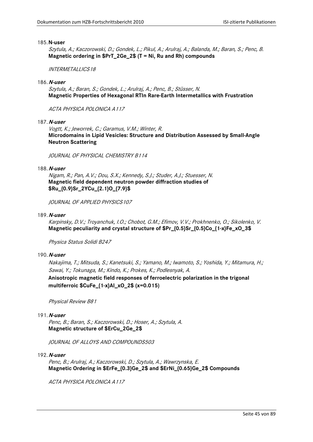Szytula, A.; Kaczorowski, D.; Gondek, L.; Pikul, A.; Arulraj, A.; Balanda, M.; Baran, S.; Penc, B. **Magnetic ordering in \$PrT\_2Ge\_2\$ (T = Ni, Ru and Rh) compounds**

INTERMETALLICS18

### 186.**N-user**

Szytula, A.; Baran, S.; Gondek, L.; Arulraj, A.; Penc, B.; Stüsser, N. **Magnetic Properties of Hexagonal RTIn Rare-Earth Intermetallics with Frustration**

ACTA PHYSICA POLONICA A117

187.**N-user**

Vogtt, K.; Jeworrek, C.; Garamus, V.M.; Winter, R. **Microdomains in Lipid Vesicles: Structure and Distribution Assessed by Small-Angle Neutron Scattering**

JOURNAL OF PHYSICAL CHEMISTRY B114

188.**N-user**

Nigam, R.; Pan, A.V.; Dou, S.X.; Kennedy, S.J.; Studer, A.J.; Stuesser, N. **Magnetic field dependent neutron powder diffraction studies of \$Ru\_{0.9}Sr\_2YCu\_{2.1}O\_{7.9}\$**

JOURNAL OF APPLIED PHYSICS107

189.**N-user**

Karpinsky, D.V.; Troyanchuk, I.O.; Chobot, G.M.; Efimov, V.V.; Prokhnenko, O.; Sikolenko, V. **Magnetic peculiarity and crystal structure of \$Pr\_{0.5}Sr\_{0.5}Co\_{1-x}Fe\_xO\_3\$**

Physica Status Solidi B247

#### 190.**N-user**

Nakajima, T.; Mitsuda, S.; Kanetsuki, S.; Yamano, M.; Iwamoto, S.; Yoshida, Y.; Mitamura, H.; Sawai, Y.; Tokunaga, M.; Kindo, K.; Prokes, K.; Podlesnyak, A.

**Anisotropic magnetic field responses of ferroelectric polarization in the trigonal multiferroic \$CuFe\_{1-x}Al\_xO\_2\$ (x=0.015)**

Physical Review B81

## 191.**N-user**

Penc, B.; Baran, S.; Kaczorowski, D.; Hoser, A.; Szytula, A. **Magnetic structure of \$ErCu\_2Ge\_2\$**

JOURNAL OF ALLOYS AND COMPOUNDS503

192.**N-user**

Penc, B.; Arulraj, A.; Kaczorowski, D.; Szytula, A.; Wawrzynska, E. **Magnetic Ordering in \$ErFe\_{0.3}Ge\_2\$ and \$ErNi\_{0.65}Ge\_2\$ Compounds**

ACTA PHYSICA POLONICA A117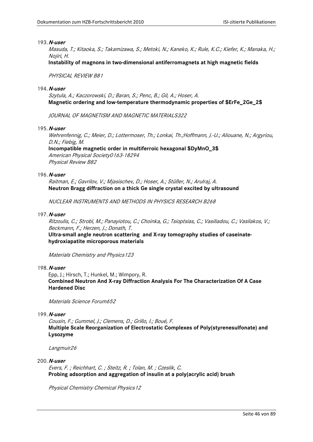Masuda, T.; Kitaoka, S.; Takamizawa, S.; Metoki, N.; Kaneko, K.; Rule, K.C.; Kiefer, K.; Manaka, H.; Nojiri, H.

**Instability of magnons in two-dimensional antiferromagnets at high magnetic fields**

PHYSICAL REVIEW B81

# 194.**N-user**

Szytula, A.; Kaczorowski, D.; Baran, S.; Penc, B.; Gil, A.; Hoser, A. **Magnetic ordering and low-temperature thermodynamic properties of \$ErFe\_2Ge\_2\$**

JOURNAL OF MAGNETISM AND MAGNETIC MATERIALS322

## 195.**N-user**

Wehrenfennig, C.; Meier, D.; Lottermoser, Th.; Lonkai, Th.;Hoffmann, J.-U.; Aliouane, N.; Argyriou, D.N.; Fiebig, M.

**Incompatible magnetic order in multiferroic hexagonal \$DyMnO\_3\$** American Physical Society0163-18294 Physical Review B82

# 196.**N-user**

Raitman, E.; Gavrilov, V.; Mjasischev, D.; Hoser, A.; Stüßer, N.; Arulraj, A. **Neutron Bragg diffraction on a thick Ge single crystal excited by ultrasound**

NUCLEAR INSTRUMENTS AND METHODS IN PHYSICS RESEARCH B268

# 197.**N-user**

Ritzoulis, C.; Strobl, M.; Panayiotou, C.; Choinka, G.; Tsioptsias, C.; Vasiliadou, C.; Vasilakos, V.; Beckmann, F.; Herzen, J.; Donath, T.

**Ultra-small angle neutron scattering and X-ray tomography studies of caseinatehydroxiapatite microporous materials**

Materials Chemistry and Physics123

# 198.**N-user**

Epp, J.; Hirsch, T.; Hunkel, M.; Wimpory, R. **Combined Neutron And X-ray Diffraction Analysis For The Characterization Of A Case Hardened Disc**

Materials Science Forum652

# 199.**N-user**

Cousin, F.; Gummel, J.; Clemens, D.; Grillo, I.; Boué, F. **Multiple Scale Reorganization of Electrostatic Complexes of Poly(styrenesulfonate) and Lysozyme**

Langmuir26

## 200.**N-user**

Evers, F. ; Reichhart, C. ; Steitz, R. ; Tolan, M. ; Czeslik, C. **Probing adsorption and aggregation of insulin at a poly(acrylic acid) brush**

Physical Chemistry Chemical Physics12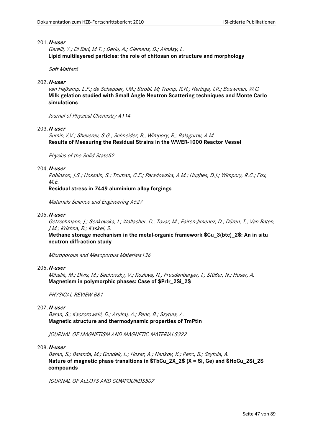Gerelli, Y.; Di Bari, M.T. ; Deriu, A.; Clemens, D.; Almásy, L. **Lipid multilayered particles: the role of chitosan on structure and morphology**

Soft Matter6

#### 202.**N-user**

van Hejkamp, L.F.; de Schepper, I.M.; Strobl, M; Tromp, R.H.; Heringa, J.R.; Bouwman, W.G. **Milk gelation studied with Small Angle Neutron Scattering techniques and Monte Carlo simulations**

Journal of Physical Chemistry A114

### 203.**N-user**

Sumin,V.V.; Sheverev, S.G.; Schneider, R.; Wimpory, R.; Balagurov, A.M. **Results of Measuring the Residual Strains in the WWER-1000 Reactor Vessel**

Physics of the Solid State52

#### 204.**N-user**

Robinson, J.S.; Hossain, S.; Truman, C.E.; Paradowska, A.M.; Hughes, D.J.; Wimpory, R.C.; Fox, M.E.

**Residual stress in 7449 aluminium alloy forgings**

Materials Science and Engineering A527

# 205.**N-user**

Getzschmann, J.; Senkovska, I.; Wallacher, D.; Tovar, M., Fairen-Jimenez, D.; Düren, T.; Van Baten, J.M.; Krishna, R.; Kaskel, S.

**Methane storage mechanism in the metal-organic framework \$Cu\_3(btc)\_2\$: An in situ neutron diffraction study**

Microporous and Mesoporous Materials136

## 206.**N-user**

Mihalik, M.; Divis, M.; Sechovsky, V.; Kozlova, N.; Freudenberger, J.; Stüßer, N.; Hoser, A. **Magnetism in polymorphic phases: Case of \$PrIr\_2Si\_2\$**

PHYSICAL REVIEW B81

# 207.**N-user**

Baran, S.; Kaczorowski, D.; Arulraj, A.; Penc, B.; Szytula, A. **Magnetic structure and thermodynamic properties of TmPtIn**

JOURNAL OF MAGNETISM AND MAGNETIC MATERIALS322

### 208.**N-user**

Baran, S.; Balanda, M.; Gondek, L.; Hoser, A.; Nenkov, K.; Penc, B.; Szytula, A. **Nature of magnetic phase transitions in \$TbCu\_2X\_2\$ (X = Si, Ge) and \$HoCu\_2Si\_2\$ compounds**

JOURNAL OF ALLOYS AND COMPOUNDS507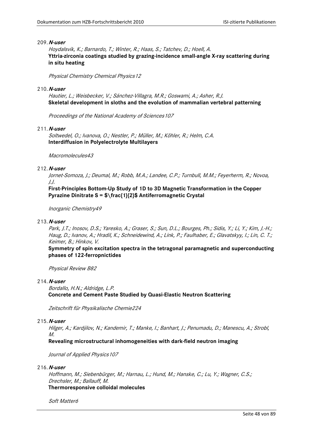Hoydalsvik, K.; Barnardo, T.; Winter, R.; Haas, S.; Tatchev, D.; Hoell, A. **Yttria-zirconia coatings studied by grazing-incidence small-angle X-ray scattering during in situ heating**

Physical Chemistry Chemical Physics12

# 210.**N-user**

Hautier, L.; Weisbecker, V.; Sánchez-Villagra, M.R.; Goswami, A.; Asher, R.J. **Skeletal development in sloths and the evolution of mammalian vertebral patterning**

Proceedings of the National Academy of Sciences107

# 211.**N-user**

Soltwedel, O.; Ivanova, O.; Nestler, P.; Müller, M.; Köhler, R.; Helm, C.A. **Interdiffusion in Polyelectrolyte Multilayers**

Macromolecules43

# 212.**N-user**

Jornet-Somoza, J.; Deumal, M.; Robb, M.A.; Landee, C.P.; Turnbull, M.M.; Feyerherm, R.; Novoa, J.J.

**First-Principles Bottom-Up Study of 1D to 3D Magnetic Transformation in the Copper Pyrazine Dinitrate S = \$\frac{1}{2}\$ Antiferromagnetic Crystal**

Inorganic Chemistry49

# 213.**N-user**

Park, J.T.; Inosov, D.S.; Yaresko, A.; Graser, S.; Sun, D.L.; Bourges, Ph.; Sidis, Y.; Li, Y.; Kim, J.-H.; Haug, D.; Ivanov, A.; Hradil, K.; Schneidewind, A.; Link, P.; Faulhaber, E.; Glavatskyy, I.; Lin, C. T.; Keimer, B.; Hinkov, V.

**Symmetry of spin excitation spectra in the tetragonal paramagnetic and superconducting phases of 122-ferropnictides**

Physical Review B82

## 214.**N-user**

Bordallo, H.N.; Aldridge, L.P. **Concrete and Cement Paste Studied by Quasi-Elastic Neutron Scattering**

Zeitschrift für Physikalische Chemie224

## 215.**N-user**

Hilger, A.; Kardjilov, N.; Kandemir, T.; Manke, I.; Banhart, J.; Penumadu, D.; Manescu, A.; Strobl, M.

**Revealing microstructural inhomogeneities with dark-field neutron imaging**

Journal of Applied Physics 107

# 216.**N-user**

Hoffmann, M.; Siebenbürger, M.; Harnau, L.; Hund, M.; Hanske, C.; Lu, Y.; Wagner, C.S.; Drechsler, M.; Ballauff, M. **Thermoresponsive colloidal molecules**

Soft Matter6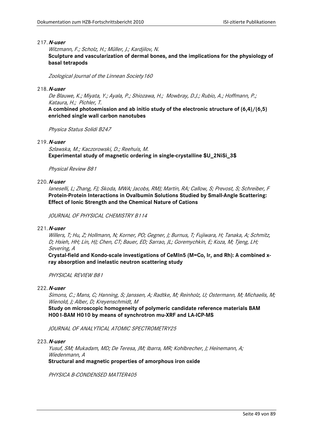Witzmann, F.; Scholz, H.; Müller, J.; Kardjilov, N.

**Sculpture and vascularization of dermal bones, and the implications for the physiology of basal tetrapods**

Zoological Journal of the Linnean Society160

## 218.**N-user**

De Blauwe, K.; Miyata, Y.; Ayala, P.; Shiozawa, H.; Mowbray, D.J.; Rubio, A.; Hoffmann, P.; Kataura, H.; Pichler, T.

**A combined photoemission and ab initio study of the electronic structure of (6,4)/(6,5) enriched single wall carbon nanotubes**

Physica Status Solidi B247

# 219.**N-user**

Szlawska, M.; Kaczorowski, D.; Reehuis, M. **Experimental study of magnetic ordering in single-crystalline \$U\_2NiSi\_3\$**

Physical Review B81

# 220.**N-user**

Ianeselli, L; Zhang, FJ; Skoda, MWA; Jacobs, RMJ; Martin, RA; Callow, S; Prevost, S; Schreiber, F **Protein-Protein Interactions in Ovalbumin Solutions Studied by Small-Angle Scattering: Effect of Ionic Strength and the Chemical Nature of Cations**

JOURNAL OF PHYSICAL CHEMISTRY B114

## 221.**N-user**

Willers, T; Hu, Z; Hollmann, N; Korner, PO; Gegner, J; Burnus, T; Fujiwara, H; Tanaka, A; Schmitz, D; Hsieh, HH; Lin, HJ; Chen, CT; Bauer, ED; Sarrao, JL; Goremychkin, E; Koza, M; Tjeng, LH; Severing, A

**Crystal-field and Kondo-scale investigations of CeMIn5 (M=Co, Ir, and Rh): A combined xray absorption and inelastic neutron scattering study**

PHYSICAL REVIEW B81

## 222.**N-user**

Simons, C.; Mans, C; Hanning, S; Janssen, A; Radtke, M; Reinholz, U; Ostermann, M; Michaelis, M; Wienold, J; Alber, D; Kreyenschmidt, M

**Study on microscopic homogeneity of polymeric candidate reference materials BAM H001-BAM H010 by means of synchrotron mu-XRF and LA-ICP-MS**

JOURNAL OF ANALYTICAL ATOMIC SPECTROMETRY25

#### 223.**N-user**

Yusuf, SM; Mukadam, MD; De Teresa, JM; Ibarra, MR; Kohlbrecher, J; Heinemann, A; Wiedenmann, A

**Structural and magnetic properties of amorphous iron oxide**

PHYSICA B-CONDENSED MATTER405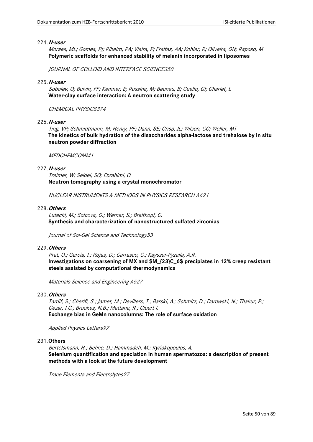Moraes, ML; Gomes, PJ; Ribeiro, PA; Vieira, P; Freitas, AA; Kohler, R; Oliveira, ON; Raposo, M **Polymeric scaffolds for enhanced stability of melanin incorporated in liposomes**

JOURNAL OF COLLOID AND INTERFACE SCIENCE350

#### 225.**N-user**

Sobolev, O; Buivin, FF; Kemner, E; Russina, M; Beuneu, B; Cuello, GJ; Charlet, L **Water-clay surface interaction: A neutron scattering study**

### CHEMICAL PHYSICS374

226.**N-user**

Ting, VP; Schmidtmann, M; Henry, PF; Dann, SE; Crisp, JL; Wilson, CC; Weller, MT **The kinetics of bulk hydration of the disaccharides alpha-lactose and trehalose by in situ neutron powder diffraction**

### MEDCHEMCOMM1

#### 227.**N-user**

Treimer, W; Seidel, SO; Ebrahimi, O **Neutron tomography using a crystal monochromator**

NUCLEAR INSTRUMENTS & METHODS IN PHYSICS RESEARCH A621

#### 228.**Others**

Lutecki, M.; Solcova, O.; Werner, S.; Breitkopf, C. **Synthesis and characterization of nanostructured sulfated zirconias**

Journal of Sol-Gel Science and Technology53

#### 229.**Others**

Prat, O.; Garcia, J.; Rojas, D.; Carrasco, C.; Kaysser-Pyzalla, A.R. **Investigations on coarsening of MX and \$M\_{23}C\_6\$ precipiates in 12% creep resistant steels assisted by computational thermodynamics**

Materials Science and Engineering A527

#### 230.**Others**

Tardif, S.; Cherifi, S.; Jamet, M.; Devillers, T.; Barski, A.; Schmitz, D.; Darowski, N.; Thakur, P.; Cezar, J.C.; Brookes, N.B.; Mattana, R.; Cibert J. **Exchange bias in GeMn nanocolumns: The role of surface oxidation**

Applied Physics Letters97

### 231.**Others**

Bertelsmann, H.; Behne, D.; Hammadeh, M.; Kyriakopoulos, A. **Selenium quantification and speciation in human spermatozoa: a description of present methods with a look at the future development**

Trace Elements and Electrolytes27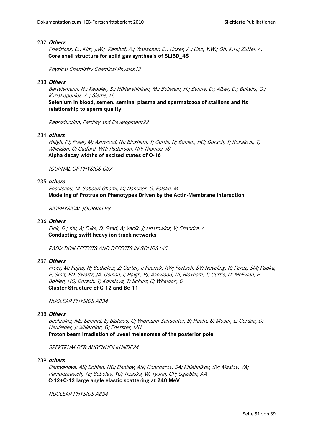### 232.**Others**

Friedrichs, O.; Kim, J.W.; Remhof, A.; Wallacher, D.; Hoser, A.; Cho, Y.W.; Oh, K.H.; Züttel, A. **Core shell structure for solid gas synthesis of \$LiBD\_4\$**

Physical Chemistry Chemical Physics12

### 233.**Others**

Bertelsmann, H.; Keppler, S.; Höltershinken, M.; Bollwein, H.; Behne, D.; Alber, D.; Bukalis, G.; Kyriakopoulos, A.; Sieme, H.

**Selenium in blood, semen, seminal plasma and spermatozoa of stallions and its relationship to sperm quality**

Reproduction, Fertility and Development22

### 234.**others**

Haigh, PJ; Freer, M; Ashwood, NI; Bloxham, T; Curtis, N; Bohlen, HG; Dorsch, T; Kokalova, T; Wheldon, C; Catford, WN; Patterson, NP; Thomas, JS **Alpha decay widths of excited states of O-16**

JOURNAL OF PHYSICS G37

# 235.**others**

Enculescu, M; Sabouri-Ghomi, M; Danuser, G; Falcke, M **Modeling of Protrusion Phenotypes Driven by the Actin-Membrane Interaction**

BIOPHYSICAL JOURNAL98

### 236.**Others**

Fink, D.; Kiv, A; Fuks, D; Saad, A; Vacik, J; Hnatowicz, V; Chandra, A **Conducting swift heavy ion track networks**

RADIATION EFFECTS AND DEFECTS IN SOLIDS165

# 237.**Others**

Freer, M; Fujita, H; Buthelezi, Z; Carter, J; Fearick, RW; Fortsch, SV; Neveling, R; Perez, SM; Papka, P; Smit, FD; Swartz, JA; Usman, I; Haigh, PJ; Ashwood, NI; Bloxham, T; Curtis, N; McEwan, P; Bohlen, HG; Dorsch, T; Kokalova, T; Schulz, C; Wheldon, C **Cluster Structure of C-12 and Be-11**

NUCLEAR PHYSICS A834

#### 238.**Others**

Bechrakis, NE; Schmid, E; Blatsios, G; Widmann-Schuchter, B; Hocht, S; Moser, L; Cordini, D; Heufelder, J; Willerding, G; Foerster, MH **Proton beam irradiation of uveal melanomas of the posterior pole**

SPEKTRUM DER AUGENHEILKUNDE24

#### 239.**others**

Demyanova, AS; Bohlen, HG; Danilov, AN; Goncharov, SA; Khlebnikov, SV; Maslov, VA; Penionzkevich, YE; Sobolev, YG; Trzaska, W; Tyurin, GP; Ogloblin, AA **C-12+C-12 large angle elastic scattering at 240 MeV**

NUCLEAR PHYSICS A834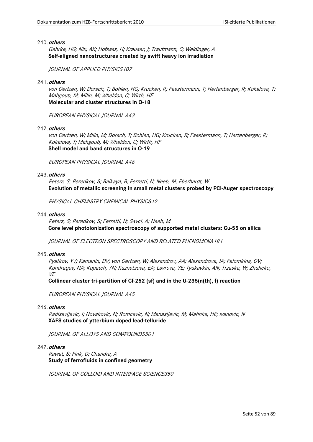### 240.**others**

Gehrke, HG; Nix, AK; Hofsass, H; Krauser, J; Trautmann, C; Weidinger, A **Self-aligned nanostructures created by swift heavy ion irradiation**

JOURNAL OF APPLIED PHYSICS107

### 241.**others**

von Oertzen, W; Dorsch, T; Bohlen, HG; Krucken, R; Faestermann, T; Hertenberger, R; Kokalova, T; Mahgoub, M; Milin, M; Wheldon, C; Wirth, HF **Molecular and cluster structures in O-18**

EUROPEAN PHYSICAL JOURNAL A43

### 242.**others**

von Oertzen, W; Milin, M; Dorsch, T; Bohlen, HG; Krucken, R; Faestermann, T; Hertenberger, R; Kokalova, T; Mahgoub, M; Wheldon, C; Wirth, HF **Shell model and band structures in O-19**

EUROPEAN PHYSICAL JOURNAL A46

#### 243.**others**

Peters, S; Peredkov, S; Balkaya, B; Ferretti, N; Neeb, M; Eberhardt, W **Evolution of metallic screening in small metal clusters probed by PCI-Auger spectroscopy**

PHYSICAL CHEMISTRY CHEMICAL PHYSICS 12

#### 244.**others**

Peters, S; Peredkov, S; Ferretti, N; Savci, A; Neeb, M **Core level photoionization spectroscopy of supported metal clusters: Cu-55 on silica**

JOURNAL OF ELECTRON SPECTROSCOPY AND RELATED PHENOMENA181

### 245.**others**

Pyatkov, YV; Kamanin, DV; von Oertzen, W; Alexandrov, AA; Alexandrova, IA; Falomkina, OV; Kondratjev, NA; Kopatch, YN; Kuznetsova, EA; Lavrova, YE; Tyukavkin, AN; Trzaska, W; Zhuhcko, VE

**Collinear cluster tri-partition of Cf-252 (sf) and in the U-235(n(th), f) reaction**

EUROPEAN PHYSICAL JOURNAL A45

# 246.**others**

Radisavljevic, I; Novakovic, N; Romcevic, N; Manasijevic, M; Mahnke, HE; Ivanovic, N **XAFS studies of ytterbium doped lead-telluride**

JOURNAL OF ALLOYS AND COMPOUNDS501

#### 247.**others**

Rawat, S; Fink, D; Chandra, A **Study of ferrofluids in confined geometry**

JOURNAL OF COLLOID AND INTERFACE SCIENCE350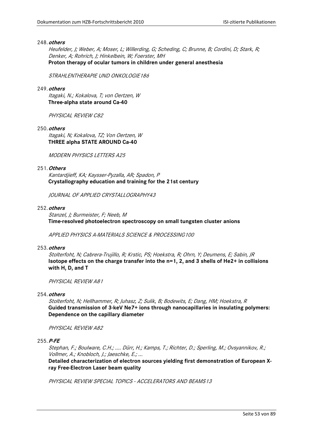### 248.**others**

Heufelder, J; Weber, A; Moser, L; Willerding, G; Scheding, C; Brunne, B; Cordini, D; Stark, R; Denker, A; Rohrich, J; Hinkelbein, W; Foerster, MH **Proton therapy of ocular tumors in children under general anesthesia**

STRAHLENTHERAPIE UND ONKOLOGIE186

# 249.**others**

Itagaki, N.; Kokalova, T; von Oertzen, W **Three-alpha state around Ca-40**

PHYSICAL REVIEW C82

250.**others**

Itagaki, N; Kokalova, TZ; Von Oertzen, W **THREE alpha STATE AROUND Ca-40**

MODERN PHYSICS LETTERS A25

### 251.**Others**

Kantardjieff, KA; Kaysser-Pyzalla, AR; Spadon, P **Crystallography education and training for the 21st century**

JOURNAL OF APPLIED CRYSTALLOGRAPHY43

### 252.**others**

Stanzel, J; Burmeister, F; Neeb, M **Time-resolved photoelectron spectroscopy on small tungsten cluster anions**

APPLIED PHYSICS A-MATERIALS SCIENCE & PROCESSING100

#### 253.**others**

Stolterfoht, N; Cabrera-Trujillo, R; Krstic, PS; Hoekstra, R; Ohrn, Y; Deumens, E; Sabin, JR **Isotope effects on the charge transfer into the n=1, 2, and 3 shells of He2+ in collisions with H, D, and T**

PHYSICAL REVIEW A81

## 254.**others**

Stolterfoht, N; Hellhammer, R; Juhasz, Z; Sulik, B; Bodewits, E; Dang, HM; Hoekstra, R **Guided transmission of 3-keV Ne7+ ions through nanocapillaries in insulating polymers: Dependence on the capillary diameter**

PHYSICAL REVIEW A82

255.**P-FE**

Stephan, F.; Boulware, C.H.; .... Dürr, H.; Kamps, T.; Richter, D.; Sperling, M.; Ovsyannikov, R.; Vollmer, A.; Knobloch, J.; Jaeschke, E.; ...

**Detailed characterization of electron sources yielding first demonstration of European Xray Free-Electron Laser beam quality** 

PHYSICAL REVIEW SPECIAL TOPICS - ACCELERATORS AND BEAMS13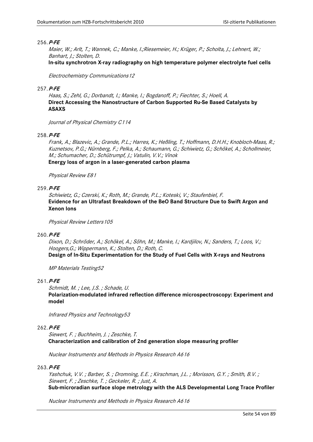Maier, W.; Arlt, T.; Wannek, C.; Manke, I.;Riesemeier, H.; Krüger, P.; Scholta, J.; Lehnert, W.; Banhart, J.; Stolten, D.

**In-situ synchrotron X-ray radiography on high temperature polymer electrolyte fuel cells**

Electrochemistry Communications12

### 257.**P-FE**

Haas, S.; Zehl, G.; Dorbandt, I.; Manke, I.; Bogdanoff, P.; Fiechter, S.; Hoell, A. **Direct Accessing the Nanostructure of Carbon Supported Ru-Se Based Catalysts by ASAXS**

Journal of Physical Chemistry C114

# 258.**P-FE**

Frank, A.; Blazevic, A.; Grande, P.L.; Harres, K.; Heßling, T.; Hoffmann, D.H.H.; Knobloch-Maas, R.; Kuznetsov, P.G.; Nürnberg, F.; Pelka, A.; Schaumann, G.; Schiwietz, G.; Schökel, A.; Schollmeier, M.; Schumacher, D.; Schütrumpf, J.; Vatulin, V.V.; Vinok **Energy loss of argon in a laser-generated carbon plasma**

Physical Review E81

# 259.**P-FE**

Schiwietz, G.; Czerski, K.; Roth, M.; Grande, P.L.; Koteski, V.; Staufenbiel, F. **Evidence for an Ultrafast Breakdown of the BeO Band Structure Due to Swift Argon and Xenon Ions**

Physical Review Letters105

# 260.**P-FE**

Dixon, D.; Schröder, A.; Schökel, A.; Söhn, M.; Manke, I.; Kardjilov, N.; Sanders, T.; Loos, V.; Hoogers,G.; Wippermann, K.; Stolten, D.; Roth, C.

**Design of In-Situ Experimentation for the Study of Fuel Cells with X-rays and Neutrons**

MP Materials Testing52

### 261.**P-FE**

Schmidt, M. ; Lee, J.S. ; Schade, U.

**Polarization-modulated infrared reflection difference microspectroscopy: Experiment and model**

Infrared Physics and Technology53

# 262.**P-FE**

Siewert, F. ; Buchheim, J. ; Zeschke, T. **Characterization and calibration of 2nd generation slope measuring profiler**

Nuclear Instruments and Methods in Physics Research A616

# 263.**P-FE**

Yashchuk, V.V. ; Barber, S. ; Dromning, E.E. ; Kirschman, J.L. ; Morisson, G.Y. ; Smith, B.V. ; Siewert, F. ; Zeschke, T. ; Geckeler, R. ; Just, A. **Sub-microradian surface slope metrology with the ALS Developmental Long Trace Profiler**

Nuclear Instruments and Methods in Physics Research A616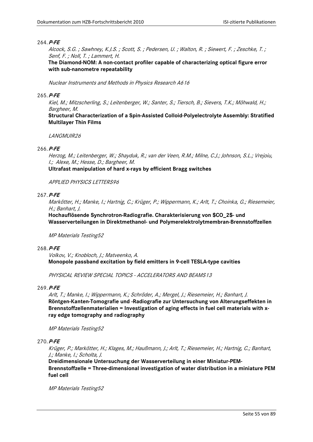Alcock, S.G. ; Sawhney, K.J.S. ; Scott, S. ; Pedersen, U. ; Walton, R. ; Siewert, F. ; Zeschke, T. ; Senf, F. ; Noll, T. ; Lammert, H.

**The Diamond-NOM: A non-contact profiler capable of characterizing optical figure error with sub-nanometre repeatability**

Nuclear Instruments and Methods in Physics Research A616

# 265.**P-FE**

Kiel, M.; Mitzscherling, S.; Leitenberger, W.; Santer, S.; Tiersch, B.; Sievers, T.K.; Möhwald, H.; Bargheer, M.

**Structural Characterization of a Spin-Assisted Colloid-Polyelectrolyte Assembly: Stratified Multilayer Thin Films**

LANGMUIR26

# 266.**P-FE**

Herzog, M.; Leitenberger, W.; Shayduk, R.; van der Veen, R.M.; Milne, C.J.; Johnson, S.L.; Vrejoiu, I.; Alexe, M.; Hesse, D.; Bargheer, M.

**Ultrafast manipulation of hard x-rays by efficient Bragg switches**

## APPLIED PHYSICS LETTERS96

# 267.**P-FE**

Markötter, H.; Manke, I.; Hartnig, C.; Krüger, P.; Wippermann, K.; Arlt, T.; Choinka, G.; Riesemeier, H.; Banhart, J.

**Hochauflösende Synchrotron-Radiografie. Charakterisierung von \$CO\_2\$- und Wasserverteilungen in Direktmethanol- und Polymerelektrolytmembran-Brennstoffzellen**

MP Materials Testing52

## 268.**P-FE**

Volkov, V.; Knobloch, J.; Matveenko, A. **Monopole passband excitation by field emitters in 9-cell TESLA-type cavities**

PHYSICAL REVIEW SPECIAL TOPICS - ACCELERATORS AND BEAMS13

# 269.**P-FE**

Arlt, T.; Manke, I.; Wippermann, K.; Schröder, A.; Mergel, J.; Riesemeier, H.; Banhart, J. **Röntgen-Kanten-Tomografie und -Radiografie zur Untersuchung von Alterungseffekten in Brennstoffzellenmaterialien = Investigation of aging effects in fuel cell materials with xray edge tomography and radiography**

MP Materials Testing52

# 270.**P-FE**

Krüger, P.; Markötter, H.; Klages, M.; Haußmann, J.; Arlt, T.; Riesemeier, H.; Hartnig, C.; Banhart, J.; Manke, I.; Scholta, J.

**Dreidimensionale Untersuchung der Wasserverteilung in einer Miniatur-PEM-Brennstoffzelle = Three-dimensional investigation of water distribution in a miniature PEM fuel cell**

MP Materials Testing52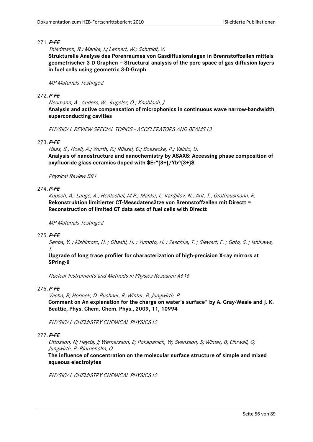Thiedmann, R.; Manke, I.; Lehnert, W.; Schmidt, V.

**Strukturelle Analyse des Porenraumes von Gasdiffusionslagen in Brennstoffzellen mittels geometrischer 3-D-Graphen = Structural analysis of the pore space of gas diffusion layers in fuel cells using geometric 3-D-Graph**

# MP Materials Testing52

# 272.**P-FE**

Neumann, A.; Anders, W.; Kugeler, O.; Knobloch, J. **Analysis and active compensation of microphonics in continuous wave narrow-bandwidth superconducting cavities**

PHYSICAL REVIEW SPECIAL TOPICS - ACCELERATORS AND BEAMS13

# 273.**P-FE**

Haas, S.; Hoell, A.; Wurth, R.; Rüssel, C.; Boesecke, P.; Vainio, U. **Analysis of nanostructure and nanochemistry by ASAXS: Accessing phase composition of oxyfluoride glass ceramics doped with \$Er^{3+}/Yb^{3+}\$**

Physical Review B81

# 274.**P-FE**

Kupsch, A.; Lange, A.; Hentschel, M.P.; Manke, I.; Kardjilov, N.; Arlt, T.; Grothausmann, R. **Rekonstruktion limitierter CT-Messdatensätze von Brennstoffzellen mit Directt = Reconstruction of limited CT data sets of fuel cells with Directt**

## MP Materials Testing52

# 275.**P-FE**

Senba, Y. ; Kishimoto, H. ; Ohashi, H. ; Yumoto, H. ; Zeschke, T. ; Siewert, F. ; Goto, S. ; Ishikawa, T.

**Upgrade of long trace profiler for characterization of high-precision X-ray mirrors at SPring-8**

Nuclear Instruments and Methods in Physics Research A616

## 276.**P-FE**

Vacha, R; Horinek, D; Buchner, R; Winter, B; Jungwirth, P **Comment on An explanation for the charge on water's surface" by A. Gray-Weale and J. K. Beattie, Phys. Chem. Chem. Phys., 2009, 11, 10994**

PHYSICAL CHEMISTRY CHEMICAL PHYSICS12

# 277.**P-FE**

Ottosson, N; Heyda, J; Wernersson, E; Pokapanich, W; Svensson, S; Winter, B; Ohrwall, G; Jungwirth, P; Bjorneholm, O

**The influence of concentration on the molecular surface structure of simple and mixed aqueous electrolytes**

PHYSICAL CHEMISTRY CHEMICAL PHYSICS12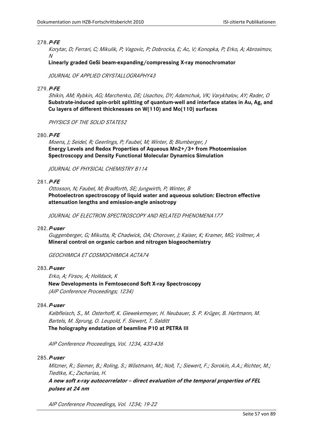Korytar, D; Ferrari, C; Mikulik, P; Vagovic, P; Dobrocka, E; Ac, V; Konopka, P; Erko, A; Abrosimov, N

**Linearly graded GeSi beam-expanding/compressing X-ray monochromator**

JOURNAL OF APPLIED CRYSTALLOGRAPHY43

# 279.**P-FE**

Shikin, AM; Rybkin, AG; Marchenko, DE; Usachov, DY; Adamchuk, VK; Varykhalov, AY; Rader, O **Substrate-induced spin-orbit splitting of quantum-well and interface states in Au, Ag, and Cu layers of different thicknesses on W(110) and Mo(110) surfaces**

PHYSICS OF THE SOLID STATE52

# 280.**P-FE**

Moens, J; Seidel, R; Geerlings, P; Faubel, M; Winter, B; Blumberger, J **Energy Levels and Redox Properties of Aqueous Mn2+/3+ from Photoemission Spectroscopy and Density Functional Molecular Dynamics Simulation**

JOURNAL OF PHYSICAL CHEMISTRY B114

# 281.**P-FE**

Ottosson, N; Faubel, M; Bradforth, SE; Jungwirth, P; Winter, B **Photoelectron spectroscopy of liquid water and aqueous solution: Electron effective attenuation lengths and emission-angle anisotropy**

JOURNAL OF ELECTRON SPECTROSCOPY AND RELATED PHENOMENA177

## 282.**P-user**

Guggenberger, G; Mikutta, R; Chadwick, OA; Chorover, J; Kaiser, K; Kramer, MG; Vollmer, A **Mineral control on organic carbon and nitrogen biogeochemistry**

GEOCHIMICA ET COSMOCHIMICA ACTA74

# 283.**P-user**

Erko, A; Firsov, A; Holldack, K **New Developments in Femtosecond Soft X-ray Spectroscopy** (AIP Conference Proceedings; 1234)

## 284.**P-user**

Kalbfleisch, S., M. Osterhoff, K. Giewekemeyer, H. Neubauer, S. P. Krüger, B. Hartmann, M. Bartels, M. Sprung, O. Leupold, F. Siewert, T. Salditt **The holography endstation of beamline P10 at PETRA III**

AIP Conference Proceedings, Vol. 1234, 433-436

## 285.**P-user**

Mitzner, R.; Siemer, B.; Roling, S.; Wöstmann, M.; Noll, T.; Siewert, F.; Sorokin, A.A.; Richter, M.; Tiedtke, K.; Zacharias, H.

**A new soft x-ray autocorrelator – direct evaluation of the temporal properties of FEL pulses at 24 nm** 

AIP Conference Proceedings, Vol. 1234; 19-22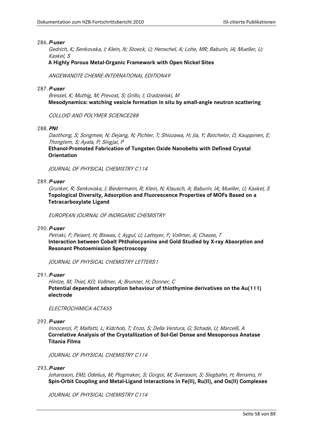Gedrich, K; Senkovska, I; Klein, N; Stoeck, U; Henschel, A; Lohe, MR; Baburin, IA; Mueller, U; Kaskel, S

## **A Highly Porous Metal-Organic Framework with Open Nickel Sites**

ANGEWANDTE CHEMIE-INTERNATIONAL EDITION49

## 287.**P-user**

Bressel, K; Muthig, M; Prevost, S; Grillo, I; Gradzielski, M **Mesodynamics: watching vesicle formation in situ by small-angle neutron scattering**

COLLOID AND POLYMER SCIENCE288

### 288.**PNI**

Daothong, S; Songmee, N; Dejang, N; Pichler, T; Shiozawa, H; Jia, Y; Batchelor, D; Kauppinen, E; Thongtem, S; Ayala, P; Singjai, P

**Ethanol-Promoted Fabrication of Tungsten Oxide Nanobelts with Defined Crystal Orientation**

JOURNAL OF PHYSICAL CHEMISTRY C114

# 289.**P-user**

Grunker, R; Senkovska, I; Biedermann, R; Klein, N; Klausch, A; Baburin, IA; Mueller, U; Kaskel, S **Topological Diversity, Adsorption and Fluorescence Properties of MOFs Based on a Tetracarboxylate Ligand**

EUROPEAN JOURNAL OF INORGANIC CHEMISTRY

#### 290.**P-user**

Petraki, F; Peisert, H; Biswas, I; Aygul, U; Latteyer, F; Vollmer, A; Chasse, T **Interaction between Cobalt Phthalocyanine and Gold Studied by X-ray Absorption and Resonant Photoemission Spectroscopy**

JOURNAL OF PHYSICAL CHEMISTRY LETTERS1

# 291.**P-user**

Hintze, M; Thiel, KO; Vollmer, A; Brunner, H; Donner, C **Potential dependent adsorption behaviour of thiothymine derivatives on the Au(111) electrode**

ELECTROCHIMICA ACTA55

## 292.**P-user**

Innocenzi, P; Malfatti, L; Kidchob, T; Enzo, S; Della Ventura, G; Schade, U; Marcelli, A **Correlative Analysis of the Crystallization of Sol-Gel Dense and Mesoporous Anatase Titania Films**

JOURNAL OF PHYSICAL CHEMISTRY C114

# 293.**P-user**

Johansson, EMJ; Odelius, M; Plogmaker, S; Gorgoi, M; Svensson, S; Siegbahn, H; Rensmo, H **Spin-Orbit Coupling and Metal-Ligand Interactions in Fe(II), Ru(II), and Os(II) Complexes**

JOURNAL OF PHYSICAL CHEMISTRY C114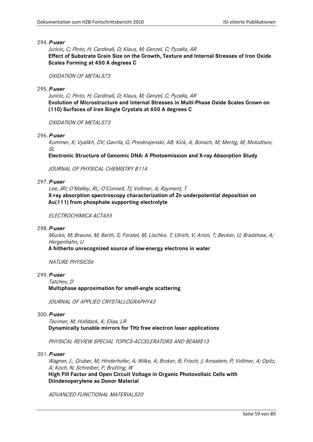Juricic, C; Pinto, H; Cardinali, D; Klaus, M; Genzel, C; Pyzalla, AR **Effect of Substrate Grain Size on the Growth, Texture and Internal Stresses of Iron Oxide Scales Forming at 450 A degrees C**

#### OXIDATION OF METALS73

295.**P-user**

Juricic, C; Pinto, H; Cardinali, D; Klaus, M; Genzel, C; Pyzalla, AR **Evolution of Microstructure and Internal Stresses in Multi-Phase Oxide Scales Grown on (110) Surfaces of Iron Single Crystals at 650 A degrees C**

OXIDATION OF METAL S73

296.**P-user**

Kummer, K; Vyalikh, DV; Gavrila, G; Preobrajenski, AB; Kick, A; Bonsch, M; Mertig, M; Molodtsov,  $\mathcal{S}/\mathcal{S}$ 

**Electronic Structure of Genomic DNA: A Photoemission and X-ray Absorption Study**

JOURNAL OF PHYSICAL CHEMISTRY B114

# 297.**P-user**

Lee, IRI; O'Malley, RL; O'Connell, TJ; Vollmer, A; Rayment, T **X-ray absorption spectroscopy characterization of Zn underpotential deposition on Au(111) from phosphate supporting electrolyte**

ELECTROCHIMICA ACTA55

#### 298.**P-user**

Mucke, M; Braune, M; Barth, S; Forstel, M; Lischke, T; Ulrich, V; Arion, T; Becker, U; Bradshaw, A; Hergenhahn, U

**A hitherto unrecognized source of low-energy electrons in water**

**NATURE PHYSICS6** 

# 299.**P-user**

Tatchev, D

#### **Multiphase approximation for small-angle scattering**

JOURNAL OF APPLIED CRYSTALLOGRAPHY43

# 300.**P-user**

Tecimer, M; Holldack, K; Elias, LR **Dynamically tunable mirrors for THz free electron laser applications**

PHYSICAL REVIEW SPECIAL TOPICS-ACCELERATORS AND BEAMS13

# 301.**P-user**

Wagner, J.; Gruber, M; Hinderhofer, A; Wilke, A; Broker, B; Frisch, J; Amsalem, P; Vollmer, A; Opitz, A; Koch, N; Schreiber, F; Brutting, W **High Fill Factor and Open Circuit Voltage in Organic Photovoltaic Cells with Diindenoperylene as Donor Material**

ADVANCED FUNCTIONAL MATERIALS20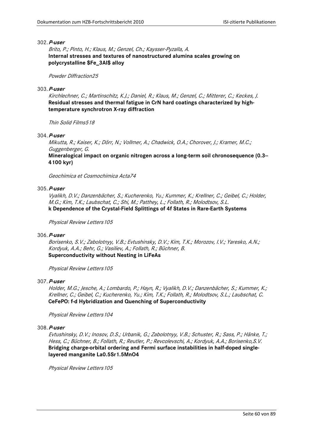Brito, P.; Pinto, H.; Klaus, M.; Genzel, Ch.; Kaysser-Pyzalla, A. **Internal stresses and textures of nanostructured alumina scales growing on polycrystalline \$Fe\_3Al\$ alloy**

#### Powder Diffraction25

### 303.**P-user**

Kirchlechner, C.; Martinschitz, K.J.; Daniel, R.; Klaus, M.; Genzel, C.; Mitterer, C.; Keckes, J. **Residual stresses and thermal fatigue in CrN hard coatings characterized by hightemperature synchrotron X-ray diffraction**

Thin Solid Films518

# 304.**P-user**

Mikutta, R.; Kaiser, K.; Dörr, N.; Vollmer, A.; Chadwick, O.A.; Chorover, J.; Kramer, M.C.; Guggenberger, G.

**Mineralogical impact on organic nitrogen across a long-term soil chronosequence (0.3-- 4100 kyr)**

Geochimica et Cosmochimica Acta74

### 305.**P-user**

Vyalikh, D.V.; Danzenbächer, S.; Kucherenko, Yu.; Kummer, K.; Krellner, C.; Geibel, C.; Holder, M.G.; Kim, T.K.; Laubschat, C.; Shi, M.; Patthey, L.; Follath, R.; Molodtsov, S.L.

# **k Dependence of the Crystal-Field Splittings of 4f States in Rare-Earth Systems**

Physical Review Letters105

#### 306.**P-user**

Borisenko, S.V.; Zabolotnyy, V.B.; Evtushinsky, D.V.; Kim, T.K.; Morozov, I.V.; Yaresko, A.N.; Kordyuk, A.A.; Behr, G.; Vasiliev, A.; Follath, R.; Büchner, B. **Superconductivity without Nesting in LiFeAs**

Physical Review Letters105

### 307.**P-user**

Holder, M.G.; Jesche, A.; Lombardo, P.; Hayn, R.; Vyalikh, D.V.; Danzenbächer, S.; Kummer, K.; Krellner, C.; Geibel, C.; Kucherenko, Yu.; Kim, T.K.; Follath, R.; Molodtsov, S.L.; Laubschat, C. **CeFePO: f-d Hybridization and Quenching of Superconductivity**

Physical Review Letters104

## 308.**P-user**

Evtushinsky, D.V.; Inosov, D.S.; Urbanik, G.; Zabolotnyy, V.B.; Schuster, R.; Sass, P.; Hänke, T.; Hess, C.; Büchner, B.; Follath, R.; Reutler, P.; Revcolevschi, A.; Kordyuk, A.A.; Borisenko,S.V. **Bridging charge-orbital ordering and Fermi surface instabilities in half-doped singlelayered manganite La0.5Sr1.5MnO4**

Physical Review Letters105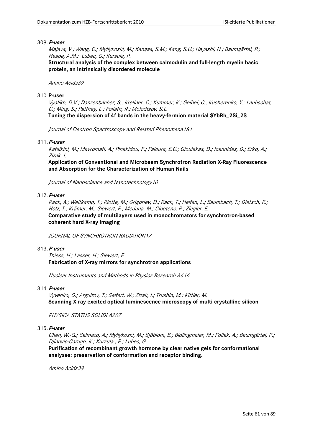Majava, V.; Wang, C.; Myllykoski, M.; Kangas, S.M.; Kang, S.U.; Hayashi, N.; Baumgärtel, P.; Heape, A.M.; Lubec, G.; Kursula, P.

**Structural analysis of the complex between calmodulin and full-length myelin basic protein, an intrinsically disordered molecule**

Amino Acids39

### 310.**P-user**

Vyalikh, D.V.; Danzenbächer, S.; Krellner, C.; Kummer, K.; Geibel, C.; Kucherenko, Y.; Laubschat, C.; Ming, S.; Patthey, L.; Follath, R.; Molodtsov, S.L.

**Tuning the dispersion of 4f bands in the heavy-fermion material \$YbRh\_2Si\_2\$** 

Journal of Electron Spectroscopy and Related Phenomena181

# 311.**P-user**

Katsikini, M.; Mavromati, A.; Pinakidou, F.; Paloura, E.C.; Gioulekas, D.; Ioannides, D.; Erko, A.; Zizak, I.

**Application of Conventional and Microbeam Synchrotron Radiation X-Ray Fluorescence and Absorption for the Characterization of Human Nails**

Journal of Nanoscience and Nanotechnology10

# 312.**P-user**

Rack, A.; Weitkamp, T.; Riotte, M.; Grigoriev, D.; Rack, T.; Helfen, L.; Baumbach, T.; Dietsch, R.; Holz, T.; Krämer, M.; Siewert, F.; Meduna, M.; Cloetens, P.; Ziegler, E. **Comparative study of multilayers used in monochromators for synchrotron-based coherent hard X-ray imaging**

JOURNAL OF SYNCHROTRON RADIATION17

# 313.**P-user**

Thiess, H.; Lasser, H.; Siewert, F. **Fabrication of X-ray mirrors for synchrotron applications**

Nuclear Instruments and Methods in Physics Research A616

## 314.**P-user**

Vyvenko, O.; Arguirov, T.; Seifert, W.; Zizak, I.; Trushin, M.; Kittler, M. **Scanning X-ray excited optical luminescence microscopy of multi-crystalline silicon**

PHYSICA STATUS SOLIDI A207

#### 315.**P-user**

Chen, W.-Q.; Salmazo, A.; Myllykoski, M.; Sjöblom, B.; Bidlingmaier, M.; Pollak, A.; Baumgärtel, P.; Djinovic-Carugo, K.; Kursula , P.; Lubec, G.

**Purification of recombinant growth hormone by clear native gels for conformational analyses: preservation of conformation and receptor binding.**

Amino Acids39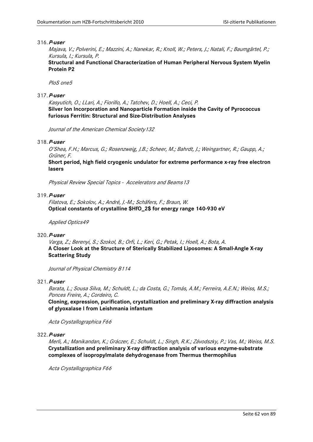Majava, V.; Polverini, E.; Mazzini, A.; Nanekar, R.; Knoll, W.; Peters, J.; Natali, F.; Baumgärtel, P.; Kursula, I.; Kursula, P.

**Structural and Functional Characterization of Human Peripheral Nervous System Myelin Protein P2**

PloS one5

# 317.**P-user**

Kasyutich, O.; LLari, A.; Fiorillo, A.; Tatchev, D.; Hoell, A.; Ceci, P. **Silver Ion Incorporation and Nanoparticle Formation inside the Cavity of Pyrococcus furiosus Ferritin: Structural and Size-Distribution Analyses**

Journal of the American Chemical Society132

# 318.**P-user**

O'Shea, F.H.; Marcus, G.; Rosenzweig, J.B.; Scheer, M.; Bahrdt, J.; Weingartner, R.; Gaupp, A.; Grüner, F.

**Short period, high field cryogenic undulator for extreme performance x-ray free electron lasers**

Physical Review Special Topics - Accelerators and Beams13

# 319.**P-user**

Filatova, E.; Sokolov, A.; André, J.-M.; Schäfers, F.; Braun, W. **Optical constants of crystalline \$HfO\_2\$ for energy range 140-930 eV**

Applied Optics49

## 320.**P-user**

Varga, Z.; Berenyi, S.; Szokol, B.; Orfi, L.; Keri, G.; Petak, I.; Hoell, A.; Bota, A. **A Closer Look at the Structure of Sterically Stabilized Liposomes: A Small-Angle X-ray Scattering Study**

Journal of Physical Chemistry B114

## 321.**P-user**

Barata, L.; Sousa Silva, M.; Schuldt, L.; da Costa, G.; Tomás, A.M.; Ferreira, A.E.N.; Weiss, M.S.; Ponces Freire, A.; Cordeiro, C.

**Cloning, expression, purification, crystallization and preliminary X-ray diffraction analysis of glyoxalase I from Leishmania infantum**

Acta Crystallographica F66

# 322.**P-user**

Merli, A.; Manikandan, K.; Gráczer, E.; Schuldt, L.; Singh, R.K.; Závodszky, P.; Vas, M.; Weiss, M.S. **Crystallization and preliminary X-ray diffraction analysis of various enzyme-substrate complexes of isopropylmalate dehydrogenase from Thermus thermophilus**

Acta Crystallographica F66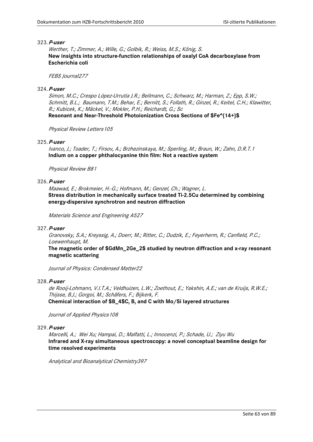Werther, T.; Zimmer, A.; Wille, G.; Golbik, R.; Weiss, M.S.; König, S. **New insights into structure-function relationships of oxalyl CoA decarboxylase from Escherichia coli**

# FEBS Journal277

# 324.**P-user**

Simon, M.C.; Crespo López-Urrutia J.R.; Beilmann, C.; Schwarz, M.; Harman, Z.; Epp, S.W.; Schmitt, B.L.; Baumann, T.M.; Behar, E.; Bernitt, S.; Follath, R.; Ginzel, R.; Keitel, C.H.; Klawitter, R.; Kubicek, K.; Mäckel, V.; Mokler, P.H.; Reichardt, G.; Sc

**Resonant and Near-Threshold Photoionization Cross Sections of \$Fe^{14+}\$**

Physical Review Letters 105

# 325.**P-user**

Ivanco, J.; Toader, T.; Firsov, A.; Brzhezinskaya, M.; Sperling, M.; Braun, W.; Zahn, D.R.T.1 **Indium on a copper phthalocyanine thin film: Not a reactive system**

Physical Review B81

# 326.**P-user**

Maawad, E.; Brokmeier, H.-G.; Hofmann, M.; Genzel, Ch.; Wagner, L. **Stress distribution in mechanically surface treated Ti-2.5Cu determined by combining energy-dispersive synchrotron and neutron diffraction**

Materials Science and Engineering A527

# 327.**P-user**

Granovsky, S.A.; Kreyssig, A.; Doerr, M.; Ritter, C.; Dudzik, E.; Feyerherm, R.; Canfield, P.C.; Loewenhaupt, M.

**The magnetic order of \$GdMn\_2Ge\_2\$ studied by neutron diffraction and x-ray resonant magnetic scattering**

Journal of Physics: Condensed Matter22

## 328.**P-user**

de Rooij-Lohmann, V.I.T.A.; Veldhuizen, L.W.; Zoethout, E.; Yakshin, A.E.; van de Kruijs, R.W.E.; Thijsse, B.J.; Gorgoi, M.; Schäfers, F.; Bijkerk, F. **Chemical interaction of \$B\_4\$C, B, and C with Mo/Si layered structures**

Journal of Applied Physics108

# 329.**P-user**

Marcelli, A.; Wei Xu; Hampai, D.; Malfatti, L.; Innocenzi, P.; Schade, U.; Ziyu Wu **Infrared and X-ray simultaneous spectroscopy: a novel conceptual beamline design for time resolved experiments**

Analytical and Bioanalytical Chemistry397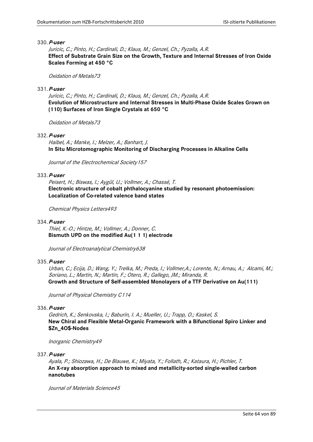Juricic, C.; Pinto, H.; Cardinali, D.; Klaus, M.; Genzel, Ch.; Pyzalla, A.R. **Effect of Substrate Grain Size on the Growth, Texture and Internal Stresses of Iron Oxide Scales Forming at 450 °C**

#### Oxidation of Metals73

### 331.**P-user**

Juricic, C.; Pinto, H.; Cardinali, D.; Klaus, M.; Genzel, Ch.; Pyzalla, A.R. **Evolution of Microstructure and Internal Stresses in Multi-Phase Oxide Scales Grown on (110) Surfaces of Iron Single Crystals at 650 °C**

Oxidation of Metals73

### 332.**P-user**

Haibel, A.; Manke, I.; Melzer, A.; Banhart, J. **In Situ Microtomographic Monitoring of Discharging Processes in Alkaline Cells**

Journal of the Electrochemical Society157

### 333.**P-user**

Peisert, H.; Biswas, I.; Aygül, U.; Vollmer, A.; Chassé, T. **Electronic structure of cobalt phthalocyanine studied by resonant photoemission: Localization of Co-related valence band states**

Chemical Physics Letters493

#### 334.**P-user**

Thiel, K.-O.; Hintze, M.; Vollmer, A.; Donner, C. **Bismuth UPD on the modified Au(1 1 1) electrode**

Journal of Electroanalytical Chemistry638

### 335.**P-user**

Urban, C.; Ecija, D.; Wang, Y.; Trelka, M.; Preda, I.; Vollmer,A.; Lorente, N.; Arnau, A.; Alcami, M.; Soriano, L.; Martin, N.; Martin, F.; Otero, R.; Gallego, JM.; Miranda, R. **Growth and Structure of Self-assembled Monolayers of a TTF Derivative on Au(111)**

Journal of Physical Chemistry C114

### 336.**P-user**

Gedrich, K.; Senkovska, I.; Baburin, I. A.; Mueller, U.; Trapp, O.; Kaskel, S. **New Chiral and Flexible Metal-Organic Framework with a Bifunctional Spiro Linker and \$Zn\_4O\$-Nodes**

Inorganic Chemistry49

337.**P-user**

Ayala, P.; Shiozawa, H.; De Blauwe, K.; Miyata, Y.; Follath, R.; Kataura, H.; Pichler, T. **An X-ray absorption approach to mixed and metallicity-sorted single-walled carbon nanotubes**

Journal of Materials Science45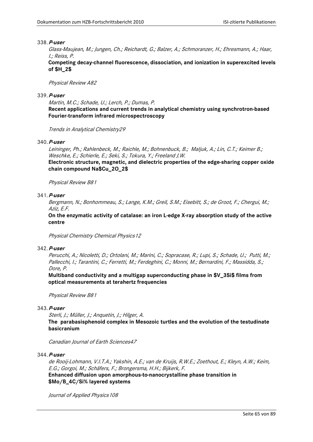Glass-Maujean, M.; Jungen, Ch.; Reichardt, G.; Balzer, A.; Schmoranzer, H.; Ehresmann, A.; Haar, I.; Reiss, P.

**Competing decay-channel fluorescence, dissociation, and ionization in superexcited levels of \$H\_2\$**

Physical Review A82

### 339.**P-user**

Martin, M.C.; Schade, U.; Lerch, P.; Dumas, P.

**Recent applications and current trends in analytical chemistry using synchrotron-based Fourier-transform infrared microspectroscopy**

Trends in Analytical Chemistry29

# 340.**P-user**

Leininger, Ph.; Rahlenbeck, M.; Raichle, M.; Bohnenbuck, B.; Maljuk, A.; Lin, C.T.; Keimer B.; Weschke, E.; Schierle, E.; Seki, S.; Tokura, Y.; Freeland J.W.

**Electronic structure, magnetic, and dielectric properties of the edge-sharing copper oxide chain compound Na\$Cu\_2O\_2\$**

Physical Review B81

### 341.**P-user**

Bergmann, N.; Bonhommeau, S.; Lange, K.M.; Greil, S.M.; Eisebitt, S.; de Groot, F.; Chergui, M.; Aziz, E.F.

**On the enzymatic activity of catalase: an iron L-edge X-ray absorption study of the active centre**

Physical Chemistry Chemical Physics12

# 342.**P-user**

Perucchi, A.; Nicoletti, D.; Ortolani, M.; Marini, C.; Sopracase, R.; Lupi, S.; Schade, U.; Putti, M.; Pallecchi, I.; Tarantini, C.; Ferretti, M.; Ferdeghini, C.; Monni, M.; Bernardini, F.; Massidda, S.; Dore, P.

**Multiband conductivity and a multigap superconducting phase in \$V\_3Si\$ films from optical measurements at terahertz frequencies**

Physical Review B81

# 343.**P-user**

Sterli, J.; Müller, J.; Anquetin, J.; Hilger, A.

**The parabasisphenoid complex in Mesozoic turtles and the evolution of the testudinate basicranium**

Canadian Journal of Earth Sciences47

344.**P-user**

de Rooij-Lohmann, V.I.T.A.; Yakshin, A.E.; van de Kruijs, R.W.E.; Zoethout, E.; Kleyn, A.W.; Keim, E.G.; Gorgoi, M.; Schäfers, F.; Brongersma, H.H.; Bijkerk, F.

**Enhanced diffusion upon amorphous-to-nanocrystalline phase transition in \$Mo/B\_4C/Si% layered systems**

Journal of Applied Physics 108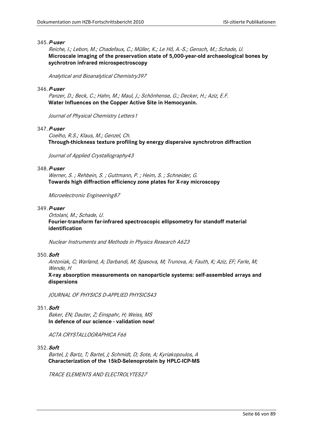Reiche, I.; Lebon, M.; Chadefaux, C.; Müller, K.; Le Hô, A.-S.; Gensch, M.; Schade, U. **Microscale imaging of the preservation state of 5,000-year-old archaeological bones by sychrotron infrared microspectroscopy**

Analytical and Bioanalytical Chemistry397

### 346.**P-user**

Panzer, D.; Beck, C.; Hahn, M.; Maul, J.; Schönhense, G.; Decker, H.; Aziz, E.F. **Water Influences on the Copper Active Site in Hemocyanin.**

Journal of Physical Chemistry Letters1

# 347.**P-user**

Coelho, R.S.; Klaus, M.; Genzel, Ch. **Through-thickness texture profiling by energy dispersive synchrotron diffraction**

Journal of Applied Crystallography43

### 348.**P-user**

Werner, S. ; Rehbein, S. ; Guttmann, P. ; Heim, S. ; Schneider, G. **Towards high diffraction efficiency zone plates for X-ray microscopy**

Microelectronic Engineering87

#### 349.**P-user**

Ortolani, M.; Schade, U. **Fourier-transform far-infrared spectroscopic ellipsometry for standoff material identification**

Nuclear Instruments and Methods in Physics Research A623

## 350.**Soft**

Antoniak, C; Warland, A; Darbandi, M; Spasova, M; Trunova, A; Fauth, K; Aziz, EF; Farle, M; Wende, H

**X-ray absorption measurements on nanoparticle systems: self-assembled arrays and dispersions**

JOURNAL OF PHYSICS D-APPLIED PHYSICS43

# 351.**Soft**

Baker, EN; Dauter, Z; Einspahr, H; Weiss, MS **In defence of our science - validation now!**

ACTA CRYSTALLOGRAPHICA F66

# 352.**Soft**

Bartel, J; Bartz, T; Bartel, J; Schmidt, D; Sote, A; Kyriakopoulos, A **Characterization of the 15kD-Selenoprotein by HPLC-ICP-MS**

TRACE ELEMENTS AND ELECTROLYTES27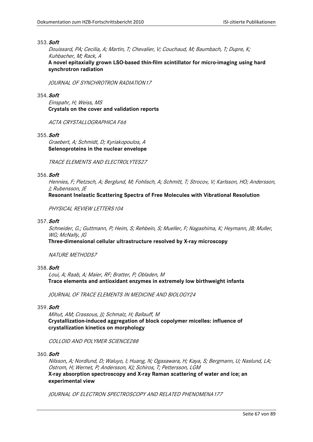# 353.**Soft**

Douissard, PA; Cecilia, A; Martin, T; Chevalier, V; Couchaud, M; Baumbach, T; Dupre, K; Kuhbacher, M; Rack, A

**A novel epitaxially grown LSO-based thin-film scintillator for micro-imaging using hard synchrotron radiation**

JOURNAL OF SYNCHROTRON RADIATION17

# 354.**Soft**

Einspahr, H; Weiss, MS **Crystals on the cover and validation reports**

ACTA CRYSTALLOGRAPHICA F66

# 355.**Soft**

Graebert, A; Schmidt, D; Kyriakopoulos, A **Selenoproteins in the nuclear envelope**

TRACE ELEMENTS AND ELECTROLYTES27

## 356.**Soft**

Hennies, F; Pietzsch, A; Berglund, M; Fohlisch, A; Schmitt, T; Strocov, V; Karlsson, HO; Andersson, J; Rubensson, JE

# **Resonant Inelastic Scattering Spectra of Free Molecules with Vibrational Resolution**

PHYSICAL REVIEW LETTERS104

# 357.**Soft**

Schneider, G.; Guttmann, P; Heim, S; Rehbein, S; Mueller, F; Nagashima, K; Heymann, JB; Muller, WG: McNally, IG

**Three-dimensional cellular ultrastructure resolved by X-ray microscopy**

## NATURE METHODS7

# 358.**Soft**

Loui, A; Raab, A; Maier, RF; Bratter, P; Obladen, M **Trace elements and antioxidant enzymes in extremely low birthweight infants**

JOURNAL OF TRACE ELEMENTS IN MEDICINE AND BIOLOGY24

# 359.**Soft**

Mihut, AM; Crassous, JJ; Schmalz, H; Ballauff, M **Crystallization-induced aggregation of block copolymer micelles: influence of crystallization kinetics on morphology**

COLLOID AND POLYMER SCIENCE288

# 360.**Soft**

Nilsson, A; Nordlund, D; Waluyo, I; Huang, N; Ogasawara, H; Kaya, S; Bergmann, U; Naslund, LA; Ostrom, H; Wernet, P; Andersson, KJ; Schiros, T; Pettersson, LGM **X-ray absorption spectroscopy and X-ray Raman scattering of water and ice; an experimental view**

JOURNAL OF ELECTRON SPECTROSCOPY AND RELATED PHENOMENA177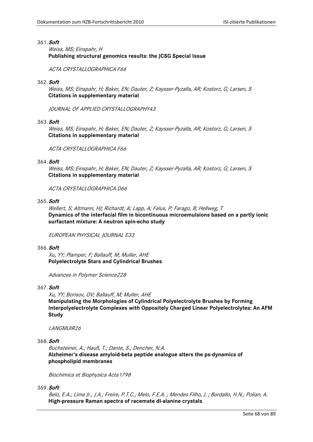### 361.**Soft**

Weiss, MS; Einspahr, H **Publishing structural genomics results: the JCSG Special Issue**

ACTA CRYSTALLOGRAPHICA F66

### 362.**Soft**

Weiss, MS; Einspahr, H; Baker, EN; Dauter, Z; Kaysser-Pyzalla, AR; Kostorz, G; Larsen, S **Citations in supplementary material**

JOURNAL OF APPLIED CRYSTALLOGRAPHY43

#### 363.**Soft**

Weiss, MS; Einspahr, H; Baker, EN; Dauter, Z; Kaysser-Pyzalla, AR; Kostorz, G; Larsen, S **Citations in supplementary material**

ACTA CRYSTALLOGRAPHICA F66

### 364.**Soft**

Weiss, MS; Einspahr, H; Baker, EN; Dauter, Z; Kaysser-Pyzalla, AR; Kostorz, G; Larsen, S **Citations in supplementary material**

ACTA CRYSTALLOGRAPHICA D66

#### 365.**Soft**

Wellert, S; Altmann, HJ; Richardt, A; Lapp, A; Falus, P; Farago, B; Hellweg, T **Dynamics of the interfacial film in bicontinuous microemulsions based on a partly ionic surfactant mixture: A neutron spin-echo study**

EUROPEAN PHYSICAL JOURNAL E33

#### 366.**Soft**

Xu, YY; Plamper, F; Ballauff, M; Muller, AHE **Polyelectrolyte Stars and Cylindrical Brushes**

Advances in Polymer Science228

# 367.**Soft**

Xu, YY; Borisov, OV; Ballauff, M; Muller, AHE **Manipulating the Morphologies of Cylindrical Polyelectrolyte Brushes by Forming Interpolyelectrolyte Complexes with Oppositely Charged Linear Polyelectrolytes: An AFM Study**

#### LANGMUIR26

## 368.**Soft**

Buchsteiner, A.; Hauß, T.; Dante, S.; Dencher, N.A. **Alzheimer's disease amyloid-beta peptide analogue alters the ps-dynamics of phospholipid membranes**

Biochimica et Biophysica Acta1798

369.**Soft**

Belo, E.A.; Lima Jr., J.A.; Freire, P.T.C.; Melo, F.E.A. ; Mendes Filho, J. ; Bordallo, H.N.; Polian, A. **High-pressure Raman spectra of racemate dl-alanine crystals**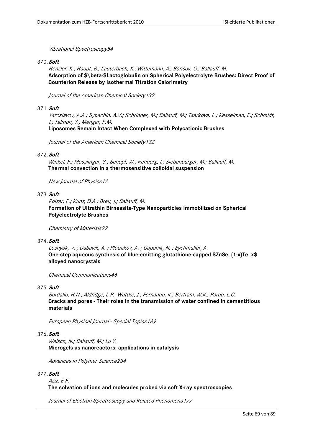# Vibrational Spectroscopy54

### 370.**Soft**

Henzler, K.; Haupt, B.; Lauterbach, K.; Wittemann, A.; Borisov, O.; Ballauff, M. **Adsorption of \$\beta-\$Lactoglobulin on Spherical Polyelectrolyte Brushes: Direct Proof of Counterion Release by Isothermal Titration Calorimetry**

Journal of the American Chemical Society132

# 371.**Soft**

Yaroslavov, A.A.; Sybachin, A.V.; Schrinner, M.; Ballauff, M.; Tsarkova, L.; Kesselman, E.; Schmidt, J.; Talmon, Y.; Menger, F.M. **Liposomes Remain Intact When Complexed with Polycationic Brushes**

Journal of the American Chemical Society132

#### 372.**Soft**

Winkel, F.; Messlinger, S.; Schöpf, W.; Rehberg, I.; Siebenbürger, M.; Ballauff, M. **Thermal convection in a thermosensitive colloidal suspension**

New Journal of Physics12

### 373.**Soft**

Polzer, F.; Kunz, D.A.; Breu, J.; Ballauff, M. **Formation of Ultrathin Birnessite-Type Nanoparticles Immobilized on Spherical Polyelectrolyte Brushes**

Chemistry of Materials22

# 374.**Soft**

Lesnyak, V. ; Dubavik, A. ; Plotnikov, A. ; Gaponik, N. ; Eychmüller, A. **One-step aqueous synthesis of blue-emitting glutathione-capped \$ZnSe\_{1-x}Te\_x\$ alloyed nanocrystals**

Chemical Communications46

# 375.**Soft**

Bordallo, H.N.; Aldridge, L.P.; Wuttke, J.; Fernando, K.; Bertram, W.K.; Pardo, L.C. **Cracks and pores - Their roles in the transmission of water confined in cementitious materials** 

European Physical Journal - Special Topics189

### 376.**Soft**

Welsch, N.; Ballauff, M.; Lu Y. **Microgels as nanoreactors: applications in catalysis**

Advances in Polymer Science234

#### 377.**Soft**

Aziz, E.F. **The solvation of ions and molecules probed via soft X-ray spectroscopies**

Journal of Electron Spectroscopy and Related Phenomena177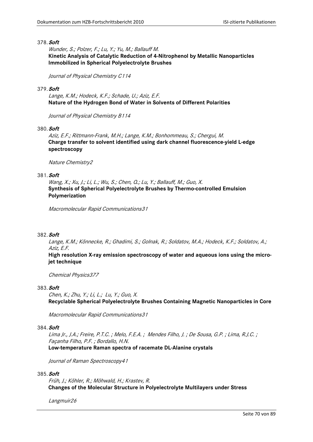### 378.**Soft**

Wunder, S.; Polzer, F.; Lu, Y.; Yu, M.; Ballauff M. **Kinetic Analysis of Catalytic Reduction of 4-Nitrophenol by Metallic Nanoparticles Immobilized in Spherical Polyelectrolyte Brushes**

Journal of Physical Chemistry C114

### 379.**Soft**

Lange, K.M.; Hodeck, K.F.; Schade, U.; Aziz, E.F. **Nature of the Hydrogen Bond of Water in Solvents of Different Polarities** 

Journal of Physical Chemistry B114

### 380.**Soft**

Aziz, E.F.; Rittmann-Frank, M.H.; Lange, K.M.; Bonhommeau, S.; Chergui, M. **Charge transfer to solvent identified using dark channel fluorescence-yield L-edge spectroscopy**

Nature Chemistry2

### 381.**Soft**

Wang, X.; Xu, J.; Li, L.; Wu, S.; Chen, Q.; Lu, Y.; Ballauff, M.; Guo, X. **Synthesis of Spherical Polyelectrolyte Brushes by Thermo-controlled Emulsion Polymerization**

Macromolecular Rapid Communications31

### 382.**Soft**

Lange, K.M.; Könnecke, R.; Ghadimi, S.; Golnak, R.; Soldatov, M.A.; Hodeck, K.F.; Soldatov, A.; Aziz, E.F.

# **High resolution X-ray emission spectroscopy of water and aqueous ions using the microjet technique**

Chemical Physics377

#### 383.**Soft**

Chen, K.; Zhu, Y.; Li, L.; Lu, Y.; Guo, X. **Recyclable Spherical Polyelectrolyte Brushes Containing Magnetic Nanoparticles in Core**

Macromolecular Rapid Communications31

#### 384.**Soft**

Lima Jr., J.A.; Freire, P.T.C. ; Melo, F.E.A. ; Mendes Filho, J. ; De Sousa, G.P. ; Lima, R.J.C. ; Façanha Filho, P.F. ; Bordallo, H.N. **Low-temperature Raman spectra of racemate DL-Alanine crystals**

Journal of Raman Spectroscopy41

#### 385.**Soft**

Früh, J.; Köhler, R.; Möhwald, H.; Krastev, R. **Changes of the Molecular Structure in Polyelectrolyte Multilayers under Stress**

Langmuir26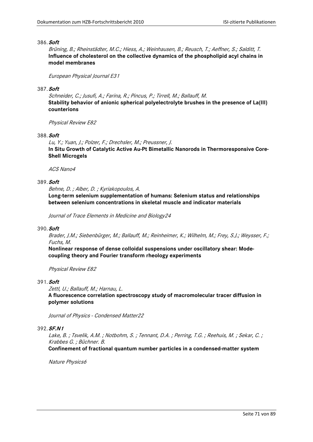### 386.**Soft**

Brüning, B.; Rheinstädter, M.C.; Hiess, A.; Weinhausen, B.; Reusch, T.; Aeffner, S.; Salditt, T. **Influence of cholesterol on the collective dynamics of the phospholipid acyl chains in model membranes**

European Physical Journal E31

# 387.**Soft**

Schneider, C.; Jusufi, A.; Farina, R.; Pincus, P.; Tirrell, M.; Ballauff, M. **Stability behavior of anionic spherical polyelectrolyte brushes in the presence of La(III) counterions**

Physical Review E82

# 388.**Soft**

Lu, Y.; Yuan, J.; Polzer, F.; Drechsler, M.; Preussner, J. **In Situ Growth of Catalytic Active Au-Pt Bimetallic Nanorods in Thermoresponsive Core-Shell Microgels**

ACS Nano4

# 389.**Soft**

Behne, D. ; Alber, D. ; Kyriakopoulos, A.

**Long-term selenium supplementation of humans: Selenium status and relationships between selenium concentrations in skeletal muscle and indicator materials**

Journal of Trace Elements in Medicine and Biology24

#### 390.**Soft**

Brader, J.M.; Siebenbürger, M.; Ballauff, M.; Reinheimer, K.; Wilhelm, M.; Frey, S.J.; Weysser, F.; Fuchs, M.

**Nonlinear response of dense colloidal suspensions under oscillatory shear: Modecoupling theory and Fourier transform rheology experiments**

Physical Review E82

## 391.**Soft**

Zettl, U.; Ballauff, M.; Harnau, L.

**A fluorescence correlation spectroscopy study of macromolecular tracer diffusion in polymer solutions**

Journal of Physics - Condensed Matter22

## 392.**SF.N1**

Lake, B.; Tsvelik, A.M.; Notbohm, S.; Tennant, D.A.; Perring, T.G.; Reehuis, M.; Sekar, C.; Krabbes G. ; Büchner. B.

**Confinement of fractional quantum number particles in a condensed-matter system**

Nature Physics6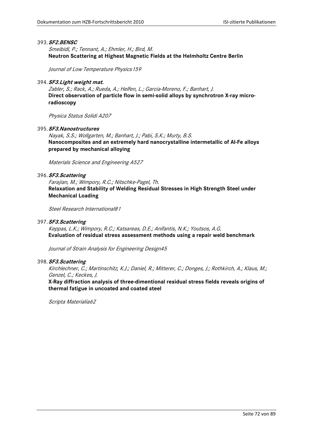### 393.**SF2.BENSC**

Smeibidl, P.; Tennant, A.; Ehmler, H.; Bird, M. **Neutron Scattering at Highest Magnetic Fields at the Helmholtz Centre Berlin**

Journal of Low Temperature Physics159

#### 394.**SF3.Light weight mat.**

Zabler, S.; Rack, A.; Rueda, A.; Helfen, L.; Garcia-Moreno, F.; Banhart, J. **Direct observation of particle flow in semi-solid alloys by synchrotron X-ray microradioscopy**

Physica Status Solidi A207

# 395.**SF3.Nanostructures**

Nayak, S.S.; Wollgarten, M.; Banhart, J.; Pabi, S.K.; Murty, B.S. **Nanocomposites and an extremely hard nanocrystalline intermetallic of Al-Fe alloys prepared by mechanical alloying**

Materials Science and Engineering A527

# 396.**SF3.Scattering**

Farajian, M.; Wimpory, R.C.; Nitschke-Pagel, Th. **Relaxation and Stability of Welding Residual Stresses in High Strength Steel under Mechanical Loading**

Steel Research International81

### 397.**SF3.Scattering**

Keppas, L.K.; Wimpory, R.C.; Katsareas, D.E.; Anifantis, N.K.; Youtsos, A.G. **Evaluation of residual stress assessment methods using a repair weld benchmark**

Journal of Strain Analysis for Engineering Design45

#### 398.**SF3.Scattering**

Kirchlechner, C.; Martinschitz, K.J.; Daniel, R.; Mitterer, C.; Donges, J.; Rothkirch, A.; Klaus, M.; Genzel, C.; Keckes, J.

**X-Ray diffraction analysis of three-dimentional residual stress fields reveals origins of thermal fatigue in uncoated and coated steel**

Scripta Materialia62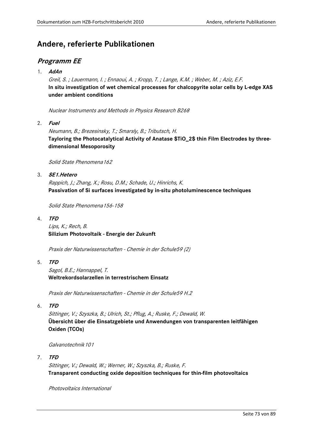# **Andere, referierte Publikationen**

# **Programm EE**

1. **AdAn**

Greil, S. ; Lauermann, I. ; Ennaoui, A. ; Kropp, T. ; Lange, K.M. ; Weber, M. ; Aziz, E.F. **In situ investigation of wet chemical processes for chalcopyrite solar cells by L-edge XAS under ambient conditions**

Nuclear Instruments and Methods in Physics Research B268

2. **Fuel**

Neumann, B.; Brezesinsky, T.; Smarsly, B.; Tributsch, H. **Tayloring the Photocatalytical Activity of Anatase \$TiO\_2\$ thin Film Electrodes by threedimensional Mesoporosity**

Solid State Phenomena 162

3. **SE1.Hetero**

Rappich, J.; Zhang, X.; Rosu, D.M.; Schade, U.; Hinrichs, K. **Passivation of Si surfaces investigated by in-situ photoluminescence techniques**

Solid State Phenomena156-158

4. **TFD**

Lips, K.; Rech, B. **Silizium Photovoltaik - Energie der Zukunft**

Praxis der Naturwissenschaften - Chemie in der Schule59 (2)

5. **TFD**

Sagol, B.E.; Hannappel, T. **Weltrekordsolarzellen in terrestrischem Einsatz**

Praxis der Naturwissenschaften - Chemie in der Schule59 H.2

6. **TFD**

Sittinger, V.; Szyszka, B.; Ulrich, St.; Pflug, A.; Ruske, F.; Dewald, W. **Übersicht über die Einsatzgebiete und Anwendungen von transparenten leitfähigen Oxiden (TCOs)**

Galvanotechnik101

7. **TFD**

Sittinger, V.; Dewald, W.; Werner, W.; Szyszka, B.; Ruske, F. **Transparent conducting oxide deposition techniques for thin-film photovoltaics**

Photovoltaics International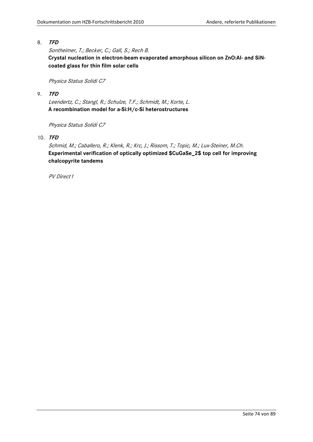Sontheimer, T.; Becker, C.; Gall, S.; Rech B. **Crystal nucleation in electron-beam evaporated amorphous silicon on ZnO:Al- and SiNcoated glass for thin film solar cells**

Physica Status Solidi C7

9. **TFD**

Leendertz, C.; Stangl, R.; Schulze, T.F.; Schmidt, M.; Korte, L. **A recombination model for a-Si:H/c-Si heterostructures**

Physica Status Solidi C7

10. **TFD**

Schmid, M.; Caballero, R.; Klenk, R.; Krc, J.; Rissom, T.; Topic, M.; Lux-Steiner, M.Ch. **Experimental verification of optically optimized \$CuGaSe\_2\$ top cell for improving chalcopyrite tandems**

PV Direct1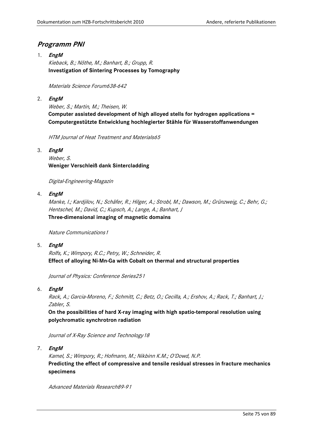# **Programm PNI**

1. **EngM** Kieback, B.; Nöthe, M.; Banhart, B.; Grupp, R. **Investigation of Sintering Processes by Tomography**

Materials Science Forum638-642

2. **EngM**

Weber, S.; Martin, M.; Theisen, W. **Computer assisted development of high alloyed stells for hydrogen applications = Computergestützte Entwicklung hochlegierter Stähle für Wasserstoffanwendungen**

HTM Journal of Heat Treatment and Materials65

3. **EngM**

Weber, S. **Weniger Verschleiß dank Sintercladding**

Digital-Engineering-Magazin

4. **EngM**

Manke, I.; Kardjilov, N.; Schäfer, R.; Hilger, A.; Strobl, M.; Dawson, M.; Grünzweig, C.; Behr, G.; Hentschel, M.; David, C.; Kupsch, A.; Lange, A.; Banhart, J **Three-dimensional imaging of magnetic domains**

Nature Communications1

5. **EngM**

Rolfs, K.; Wimpory, R.C.; Petry, W.; Schneider, R. **Effect of alloying Ni-Mn-Ga with Cobalt on thermal and structural properties**

Journal of Physics: Conference Series251

6. **EngM**

Rack, A.; Garcia-Moreno, F.; Schmitt, C.; Betz, O.; Cecilla, A.; Ershov, A.; Rack, T.; Banhart, J.; Zabler, S.

**On the possibilities of hard X-ray imaging with high spatio-temporal resolution using polychromatic synchrotron radiation** 

Journal of X-Ray Science and Technology18

7. **EngM**

Kamel, S.; Wimpory, R.; Hofmann, M.; Nikbinn K.M.; O'Dowd, N.P. **Predicting the effect of compressive and tensile residual stresses in fracture mechanics specimens**

Advanced Materials Research89-91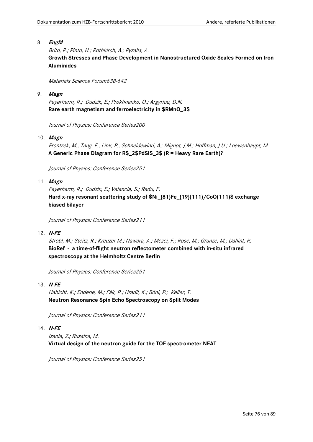#### 8. **EngM**

Brito, P.; Pinto, H.; Rothkirch, A.; Pyzalla, A. **Growth Stresses and Phase Development in Nanostructured Oxide Scales Formed on Iron Aluminides**

Materials Science Forum638-642

9. **Magn**

Feyerherm, R.; Dudzik, E.; Prokhnenko, O.; Argyriou, D.N. **Rare earth magnetism and ferroelectricity in \$RMnO\_3\$**

Journal of Physics: Conference Series200

10. **Magn**

Frontzek, M.; Tang, F.; Link, P.; Schneidewind, A.; Mignot, J.M.; Hoffman, J.U.; Loewenhaupt, M. **A Generic Phase Diagram for R\$\_2\$PdSi\$\_3\$ (R = Heavy Rare Earth)?**

Journal of Physics: Conference Series251

#### 11. **Magn**

Feyerherm, R.; Dudzik, E.; Valencia, S.; Radu, F. **Hard x-ray resonant scattering study of \$Ni\_{81}Fe\_{19}(111)/CoO(111)\$ exchange biased bilayer**

Journal of Physics: Conference Series211

12. **N-FE**

Strobl, M.; Steitz, R.; Kreuzer M.; Nawara, A.; Mezei, F.; Rose, M.; Grunze, M.; Dahint, R. **BioRef - a time-of-flight neutron reflectometer combined with in-situ infrared spectroscopy at the Helmholtz Centre Berlin**

Journal of Physics: Conference Series251

13. **N-FE**

Habicht, K.; Enderle, M.; Fåk, P.; Hradil, K.; Böni, P.; Keller, T. **Neutron Resonance Spin Echo Spectroscopy on Split Modes**

Journal of Physics: Conference Series211

#### 14. **N-FE**

Izaola, Z.; Russina, M. **Virtual design of the neutron guide for the TOF spectrometer NEAT**

Journal of Physics: Conference Series251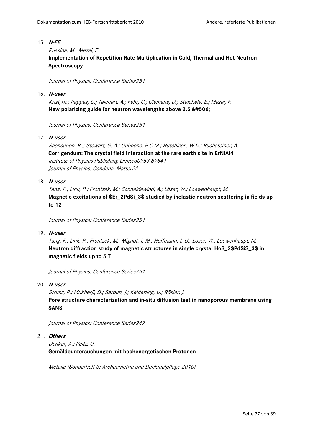#### 15. **N-FE**

#### Russina, M.; Mezei, F.

**Implementation of Repetition Rate Multiplication in Cold, Thermal and Hot Neutron Spectroscopy**

Journal of Physics: Conference Series251

#### 16. **N-user**

Krist,Th.; Pappas, C.; Teichert, A.; Fehr, C.; Clemens, D.; Steichele, E.; Mezei, F. New polarizing guide for neutron wavelengths above 2.5 Ǻ

Journal of Physics: Conference Series251

#### 17. **N-user**

Saensunon, B..; Stewart, G. A.; Gubbens, P.C.M.; Hutchison, W.D.; Buchsteiner, A. **Corrigendum: The crystal field interaction at the rare earth site in ErNiAl4** Institute of Physics Publishing Limited0953-89841 Journal of Physics: Condens. Matter22

#### 18. **N-user**

Tang, F.; Link, P.; Frontzek, M.; Schneidewind, A.; Löser, W.; Loewenhaupt, M. **Magnetic excitations of \$Er\_2PdSi\_3\$ studied by inelastic neutron scattering in fields up to 12**

Journal of Physics: Conference Series251

#### 19. **N-user**

Tang, F.; Link, P.; Frontzek, M.; Mignot, J.-M.; Hoffmann, J.-U.; Löser, W.; Loewenhaupt, M. **Neutron diffraction study of magnetic structures in single crystal Ho\$\_2\$PdSi\$\_3\$ in magnetic fields up to 5 T**

Journal of Physics: Conference Series251

#### 20. **N-user**

Strunz, P.; Mukherji, D.; Saroun, J.; Keiderling, U.; Rösler, J. **Pore structure characterization and in-situ diffusion test in nanoporous membrane using SANS**

Journal of Physics: Conference Series247

## 21. **Others**

Denker, A.; Peltz, U. **Gemäldeuntersuchungen mit hochenergetischen Protonen**

Metalla (Sonderheft 3: Archäometrie und Denkmalpflege 2010)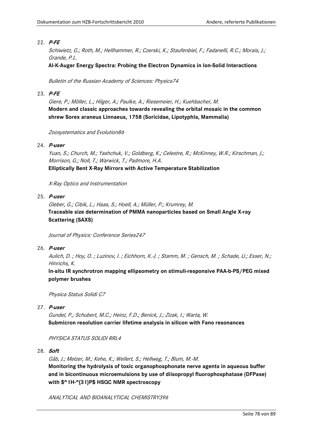#### 22. **P-FE**

Schiwietz, G.; Roth, M.; Hellhammer, R.; Czerski, K.; Staufenbiel, F.; Fadanelli, R.C.; Morais, J.; Grande, P.L.

**Al-K-Auger Energy Spectra: Probing the Electron Dynamics in Ion-Solid Interactions**

Bulletin of the Russian Academy of Sciences: Physics74

#### 23. **P-FE**

Giere, P.; Möller, L.; Hilger, A.; Paulke, A.; Riesemeier, H.; Kuehbacher, M. **Modern and classic approaches towards revealing the orbital mosaic in the common shrew Sorex araneus Linnaeus, 1758 (Soricidae, Lipotyphla, Mammalia)**

Zoosystematics and Evolution86

#### 24. **P-user**

Yuan, S.; Church, M.; Yashchuk, V.; Goldberg, K.; Celestre, R.; McKinney, W.R.; Kirschman, J.; Morrison, G.; Noll, T.; Warwick, T.; Padmore, H.A. **Elliptically Bent X-Ray Mirrors with Active Temperature Stabilization**

X-Ray Optics and Instrumentation

## 25. **P-user**

Gleber, G.; Cibik, L.; Haas, S.; Hoell, A.; Müller, P.; Krumrey, M. **Traceable size determination of PMMA nanoparticles based on Small Angle X-ray Scattering (SAXS)**

Journal of Physics: Conference Series247

#### 26. **P-user**

Aulich, D. ; Hoy, O. ; Luzinov, I. ; Eichhorn, K.-J. ; Stamm, M. ; Gensch, M. ; Schade, U.; Esser, N.; Hinrichs, K.

**In-situ IR synchrotron mapping ellipsometry on stimuli-responsive PAA-b-PS/PEG mixed polymer brushes**

Physica Status Solidi C7

27. **P-user**

Gundel, P.; Schubert, M.C.; Heinz, F.D.; Benick, J.; Zizak, I.; Warta, W. **Submicron resolution carrier lifetime analysis in silicon with Fano resonances**

#### PHYSICA STATUS SOLIDI RRL4

28. **Soft**

Gäb, J.; Melzer, M.; Kehe, K.; Wellert, S.; Hellweg, T.; Blum, M.-M. **Monitoring the hydrolysis of toxic organophosphonate nerve agents in aqueous buffer and in bicontinuous microemulsions by use of diisopropyl fluorophosphatase (DFPase) with \$^1H-^{31}P\$ HSQC NMR spectroscopy**

ANALYTICAL AND BIOANALYTICAL CHEMISTRY396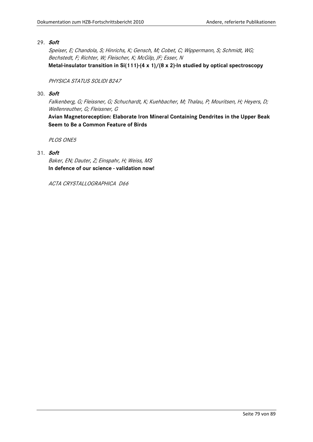#### 29. **Soft**

Speiser, E; Chandola, S; Hinrichs, K; Gensch, M; Cobet, C; Wippermann, S; Schmidt, WG; Bechstedt, F; Richter, W; Fleischer, K; McGilp, JF; Esser, N **Metal-insulator transition in Si(111)-(4 x 1)/(8 x 2)-In studied by optical spectroscopy**

#### PHYSICA STATUS SOLIDI B247

#### 30. **Soft**

Falkenberg, G; Fleissner, G; Schuchardt, K; Kuehbacher, M; Thalau, P; Mouritsen, H; Heyers, D; Wellenreuther, G; Fleissner, G

**Avian Magnetoreception: Elaborate Iron Mineral Containing Dendrites in the Upper Beak Seem to Be a Common Feature of Birds**

PLOS ONE5

# 31. **Soft**

Baker, EN; Dauter, Z; Einspahr, H; Weiss, MS **In defence of our science - validation now!**

ACTA CRYSTALLOGRAPHICA D66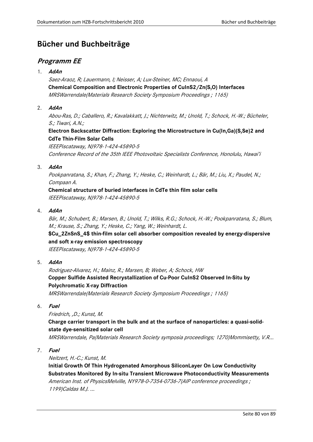# **Bücher und Buchbeiträge**

# **Programm EE**

1. **AdAn**

Saez-Araoz, R; Lauermann, I; Neisser, A; Lux-Steiner, MC; Ennaoui, A **Chemical Composition and Electronic Properties of CuInS2/Zn(S,O) Interfaces** MRSWarrendale(Materials Research Society Symposium Proceedings ; 1165)

# 2. **AdAn**

Abou-Ras, D.; Caballero, R.; Kavalakkatt, J.; Nichterwitz, M.; Unold, T.; Schock, H.-W.; Bücheler, S.; Tiwari, A.N.;

# **Electron Backscatter Diffraction: Exploring the Microstructure in Cu(In,Ga)(S,Se)2 and CdTe Thin-Film Solar Cells**

IEEEPiscataway, NJ978-1-424-45890-5 Conference Record of the 35th IEEE Photovoltaic Specialists Conference, Honolulu, Hawai'i

# 3. **AdAn**

Pookpanratana, S.; Khan, F.; Zhang, Y.; Heske, C.; Weinhardt, L.; Bär, M.; Liu, X.; Paudel, N.; Compaan A.

**Chemical structure of buried interfaces in CdTe thin film solar cells** IEEEPiscataway, NJ978-1-424-45890-5

4. **AdAn**

Bär, M.; Schubert, B.; Marsen, B.; Unold, T.; Wilks, R.G.; Schock, H.-W.; Pookpanratana, S.; Blum, M.; Krause, S.; Zhang, Y.; Heske, C.; Yang, W.; Weinhardt, L.

**\$Cu\_2ZnSnS\_4\$ thin-film solar cell absorber composition revealed by energy-dispersive and soft x-ray emission spectroscopy** IEEEPiscataway, NJ978-1-424-45890-5

5. **AdAn**

Rodriguez-Alvarez, H.; Mainz, R.; Marsen, B; Weber, A; Schock, HW **Copper Sulfide Assisted Recrystallization of Cu-Poor CuInS2 Observed In-Situ by Polychromatic X-ray Diffraction** MRSWarrendale(Materials Research Society Symposium Proceedings ; 1165)

6. **Fuel**

Friedrich, ,D.; Kunst, M.

**Charge carrier transport in the bulk and at the surface of nanoparticles: a quasi-solidstate dye-sensitized solar cell**

MRSWarrendale, Pa(Materials Research Society symposia proceedings; 1270)Mommisetty, V.R...

7. **Fuel**

Neitzert, H.-C.; Kunst, M.

**Initial Growth Of Thin Hydrogenated Amorphous SiliconLayer On Low Conductivity Substrates Monitored By In-situ Transient Microwave Photoconductivity Measurements** American Inst. of PhysicsMelville, NY978-0-7354-0736-7(AIP conference proceedings; 1199)Caldas M.J. ...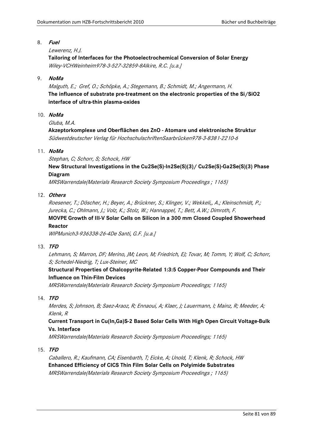### 8. **Fuel**

# Lewerenz, H.J.

**Tailoring of Interfaces for the Photoelectrochemical Conversion of Solar Energy** Wiley-VCHWeinheim978-3-527-32859-8Alkire, R.C. [u.a.]

# 9. **NoMa**

Malguth, E.; Gref, O.; Schöpke, A.; Stegemann, B.; Schmidt, M.; Angermann, H. **The influence of substrate pre-treatment on the electronic properties of the Si/SiO2 interface of ultra-thin plasma-oxides**

### 10. **NoMa**

Gluba, M.A.

**Akzeptorkomplexe und Oberflächen des ZnO - Atomare und elektronische Struktur** Südwestdeutscher Verlag für HochschulschriftenSaarbrücken978-3-8381-2210-6

### 11. **NoMa**

Stephan, C; Schorr, S; Schock, HW

**New Structural Investigations in the Cu2Se(S)-In2Se(S)(3)/ Cu2Se(S)-Ga2Se(S)(3) Phase Diagram**

MRSWarrendale(Materials Research Society Symposium Proceedings ; 1165)

### 12. **Others**

Roesener, T.; Döscher, H.; Beyer, A.; Brückner, S.; Klinger, V.; Wekkeli,, A.; Kleinschmidt, P.; Jurecka, C.; Ohlmann, J.; Volz, K.; Stolz, W.; Hannappel, T.; Bett, A.W.; Dimroth, F.

# **MOVPE Growth of III-V Solar Cells on Silicon in a 300 mm Closed Coupled Showerhead Reactor**

WIPMunich3-936338-26-4De Santi, G.F. [u.a.]

#### 13. **TFD**

Lehmann, S; Marron, DF; Merino, JM; Leon, M; Friedrich, EJ; Tovar, M; Tomm, Y; Wolf, C; Schorr, S; Schedel-Niedrig, T; Lux-Steiner, MC

# **Structural Properties of Chalcopyrite-Related 1:3:5 Copper-Poor Compounds and Their Influence on Thin-Film Devices**

MRSWarrendale(Materials Research Society Symposium Proceedings; 1165)

# 14. **TFD**

Merdes, S; Johnson, B; Saez-Araoz, R; Ennaoui, A; Klaer, J; Lauermann, I; Mainz, R; Meeder, A; Klenk, R

**Current Transport in Cu(In,Ga)S-2 Based Solar Cells With High Open Circuit Voltage-Bulk Vs. Interface**

MRSWarrendale(Materials Research Society Symposium Proceedings; 1165)

# 15. **TFD**

Caballero, R.; Kaufmann, CA; Eisenbarth, T; Eicke, A; Unold, T; Klenk, R; Schock, HW **Enhanced Efficiency of CICS Thin Film Solar Cells on Polyimide Substrates** MRSWarrendale(Materials Research Society Symposium Proceedings ; 1165)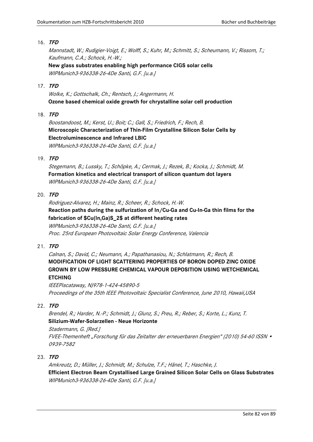Mannstadt, W.; Rudigier-Voigt, E.; Wolff, S.; Kuhr, M.; Schmitt, S.; Scheumann, V.; Rissom, T.; Kaufmann, C.A.; Schock, H.-W.;

**New glass substrates enabling high performance CIGS solar cells** WIPMunich3-936338-26-4De Santi, G.F. [u.a.]

#### 17. **TFD**

Wolke, K.; Gottschalk, Ch.; Rentsch, J.; Angermann, H. **Ozone based chemical oxide growth for chrystalline solar cell production**

#### 18. **TFD**

Boostandoost, M.; Kerst, U.; Boit; C.; Gall, S.; Friedrich, F.; Rech, B. **Microscopic Characterization of Thin-Film Crystalline Silicon Solar Cells by Electroluminescence and Infrared LBIC** WIPMunich3-936338-26-4De Santi, G.F. [u.a.]

# 19. **TFD**

Stegemann, B.; Lussky, T.; Schöpke, A.; Cermak, J.; Rezek, B.; Kocka, J.; Schmidt, M. **Formation kinetics and electrical transport of silicon quantum dot layers** WIPMunich3-936338-26-4De Santi, G.F. [u.a.]

#### 20. **TFD**

Rodriguez-Alvarez, H.; Mainz, R.; Scheer, R.; Schock, H.-W. **Reaction paths during the sulfurization of In/Cu-Ga and Cu-In-Ga thin films for the fabrication of \$Cu(In,Ga)S\_2\$ at different heating rates** WIPMunich3-936338-26-4De Santi, G.F. [u.a.] Proc. 25rd European Photovoltaic Solar Energy Conference, Valencia

#### 21. **TFD**

Calnan, S.; David, C.; Neumann, A.; Papathanasiou, N.; Schlatmann, R.; Rech, B. **MODIFICATION OF LIGHT SCATTERING PROPERTIES OF BORON DOPED ZINC OXIDE GROWN BY LOW PRESSURE CHEMICAL VAPOUR DEPOSITION USING WETCHEMICAL ETCHING**

IEEEPiscataway, NJ978-1-424-45890-5 Proceedings of the 35th IEEE Photovoltaic Specialist Conference, June 2010, Hawaii,USA

# 22. **TFD**

Brendel, R.; Harder, N.-P.; Schmidt, J.; Glunz, S.; Preu, R.; Reber, S.; Korte, L.; Kunz, T. **Silizium-Wafer-Solarzellen - Neue Horizonte**

Stadermann, G. [Red.] FVEE-Themenheft "Forschung für das Zeitalter der erneuerbaren Energien" (2010) 54-60 ISSN • 0939-7582

#### 23. **TFD**

Amkreutz, D.; Müller, J.; Schmidt, M.; Schulze, T.F.; Hänel, T.; Haschke, J. **Efficient Electron Beam Crystallised Large Grained Silicon Solar Cells on Glass Substrates** WIPMunich3-936338-26-4De Santi, G.F. [u.a.]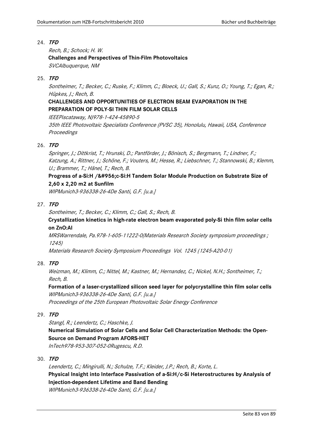Rech, B.; Schock; H. W. **Challenges and Perspectives of Thin-Film Photovoltaics** SVCAlbuquerque, NM

#### 25. **TFD**

Sontheimer, T.; Becker, C.; Ruske, F.; Klimm, C.; Bloeck, U.; Gall, S.; Kunz, O.; Young, T.; Egan, R.; Hüpkes, J.; Rech, B.

# **CHALLENGES AND OPPORTUNITIES OF ELECTRON BEAM EVAPORATION IN THE PREPARATION OF POLY-SI THIN FILM SOLAR CELLS**

IEEEPiscataway, NJ978-1-424-45890-5

35th IEEE Photovoltaic Specialists Conference (PVSC 35), Honolulu, Hawaii, USA, Conference **Proceedings** 

#### 26. **TFD**

Springer, J.; Dittkrist, T.; Hrunski, D.; Pantförder, J.; Bönisch, S.; Bergmann, T.; Lindner, F.; Katzung, A.; Rittner, J.; Schöne, F.; Vouters, M.; Hesse, R.; Liebschner, T.; Stannowski, B.; Klemm, U.; Brammer, T.; Hänel, T.; Rech, B.

# **Progress of a-Si:H /μc-Si:H Tandem Solar Module Production on Substrate Size of 2,60 x 2,20 m2 at Sunfilm**

WIPMunich3-936338-26-4De Santi, G.F. [u.a.]

### 27. **TFD**

Sontheimer, T.; Becker, C.; Klimm, C.; Gall, S.; Rech, B.

# **Crystallization kinetics in high-rate electron beam evaporated poly-Si thin film solar cells on ZnO:Al**

MRSWarrendale, Pa.978-1-605-11222-0(Materials Research Society symposium proceedings ; 1245)

Materials Research Society Symposium Proceedings Vol. 1245 (1245-A20-01)

#### 28. **TFD**

Weizman, M.; Klimm, C.; Nittel, M.; Kastner, M.; Hernandez, C.; Nickel, N.H.; Sontheimer, T.; Rech, B.

**Formation of a laser-crystallized silicon seed layer for polycrystalline thin film solar cells** WIPMunich3-936338-26-4De Santi, G.F. [u.a.]

Proceedings of the 25th European Photovoltaic Solar Energy Conference

#### 29. **TFD**

Stangl, R.; Leendertz, C.; Haschke, J.

**Numerical Simulation of Solar Cells and Solar Cell Characterization Methods: the Open-Source on Demand Program AFORS-HET**

InTech978-953-307-052-0Rugescu, R.D.

# 30. **TFD**

Leendertz, C.; Mingirulli, N.; Schulze, T.F.; Kleider, J.P.; Rech, B.; Korte, L. **Physical Insight into Interface Passivation of a-Si:H/c-Si Heterostructures by Analysis of Injection-dependent Lifetime and Band Bending** WIPMunich3-936338-26-4De Santi, G.F. [u.a.]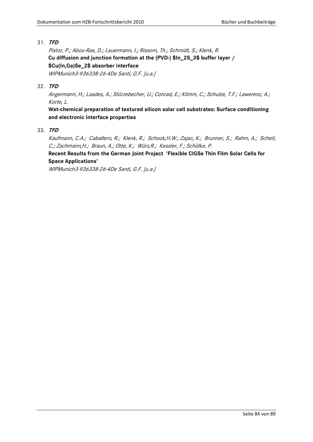Pistor, P.; Abou-Ras, D.; Lauermann, I.; Rissom, Th.; Schmidt, S.; Klenk, R. **Cu diffusion and junction formation at the (PVD-) \$In\_2S\_3\$ buffer layer / \$Cu(In,Ga)Se\_2\$ absorber interface**

WIPMunich3-936338-26-4De Santi, G.F. [u.a.]

# 32. **TFD**

Angermann, H.; Laades, A.; Stürzebecher, U.; Conrad, E.; Klimm, C.; Schulze, T.F.; Lawerenz, A.; Korte, L.

**Wet-chemical preparation of textured silicon solar cell substrates: Surface conditioning and electronic interface properties**

33. **TFD**

Kaufmann, C.A.; Caballero, R.; Klenk, R.; Schock,H.W.; Zajac, K.; Brunner, S.; Rahm, A.; Scheit, C.; Zachmann,H.; Braun, A.; Otte, K.; Würz,R.; Kessler, F.; Schülke, P.

# **Recent Results from the German Joint Project 'Flexible CIGSe Thin Film Solar Cells for Space Applications'**

WIPMunich3-936338-26-4De Santi, G.F. [u.a.]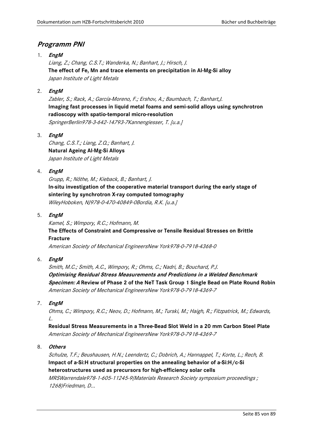# **Programm PNI**

# 1. **EngM**

Liang, Z.; Chang, C.S.T.; Wanderka, N.; Banhart, J.; Hirsch, J. **The effect of Fe, Mn and trace elements on precipitation in Al-Mg-Si alloy** Japan Institute of Light Metals

# 2. **EngM**

Zabler, S.; Rack, A.; García-Moreno, F.; Ershov, A.; Baumbach, T.; Banhart,J. **Imaging fast processes in liquid metal foams and semi-solid alloys using synchrotron radioscopy with spatio-temporal micro-resolution** SpringerBerlin978-3-642-14793-7Kannengiesser, T. [u.a.]

3. **EngM**

Chang, C.S.T.; Liang, Z.Q.; Banhart, J. **Natural Ageing Al-Mg-Si Alloys** Japan Institute of Light Metals

# 4. **EngM**

Grupp, R.; Nöthe, M.; Kieback, B.; Banhart, J. **In-situ investigation of the cooperative material transport during the early stage of sintering by synchrotron X-ray computed tomography** WileyHoboken, NJ978-0-470-40849-0Bordia, R.K. [u.a.]

5. **EngM**

Kamel, S.; Wimpory, R.C.; Hofmann, M. **The Effects of Constraint and Compressive or Tensile Residual Stresses on Brittle Fracture** American Society of Mechanical EngineersNew York978-0-7918-4368-0

6. **EngM**

Smith, M.C.; Smith, A.C., Wimpory, R.; Ohms, C.; Nadri, B.; Bouchard, P.J. **Optimising Residual Stress Measurements and Predictions in a Welded Benchmark Specimen: A Review of Phase 2 of the NeT Task Group 1 Single Bead on Plate Round Robin** American Society of Mechanical EngineersNew York978-0-7918-4369-7

7. **EngM**

Ohms, C.; Wimpory, R.C.; Neov, D.; Hofmann, M.; Turski, M.; Haigh, R.; Fitzpatrick, M.; Edwards,  $\mathcal{L}$ 

**Residual Stress Measurements in a Three-Bead Slot Weld in a 20 mm Carbon Steel Plate** American Society of Mechanical EngineersNew York978-0-7918-4369-7

8. **Others**

Schulze, T.F.; Beushausen, H.N.; Leendertz, C.; Dobrich, A.; Hannappel, T.; Korte, L.; Rech, B. **Impact of a-Si:H structural properties on the annealing behavior of a-Si:H/c-Si heterostructures used as precursors for high-efficiency solar cells** MRSWarrendale978-1-605-11245-9(Materials Research Society symposium proceedings ; 1268)Friedman, D...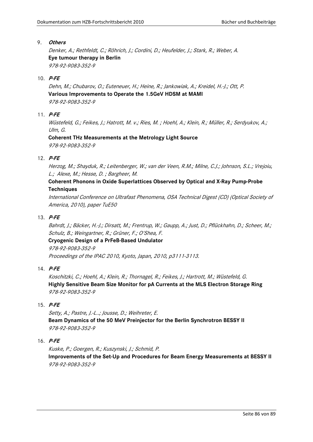#### 9. **Others**

Denker, A.; Rethfeldt, C.; Röhrich, J.; Cordini, D.; Heufelder, J.; Stark, R.; Weber, A. **Eye tumour therapy in Berlin** 978-92-9083-352-9

### 10. **P-FE**

Dehn, M.; Chubarov, O.; Euteneuer, H.; Heine, R.; Jankowiak, A.; Kreidel, H.-J.; Ott, P. **Various Improvements to Operate the 1.5GeV HDSM at MAMI** 978-92-9083-352-9

### 11. **P-FE**

Wüstefeld, G.; Feikes, J.; Hatrott, M. v.; Ries, M. ; Hoehl, A.; Klein, R.; Müller, R.; Serdyukov, A.; Ulm, G.

# **Coherent THz Measurements at the Metrology Light Source** 978-92-9083-352-9

### 12. **P-FE**

Herzog, M.; Shayduk, R.; Leitenberger, W.; van der Veen, R.M.; Milne, C.J.; Johnson, S.L.; Vrejoiu, L.; Alexe, M.; Hesse, D. ; Bargheer, M.

# **Coherent Phonons in Oxide Superlattices Observed by Optical and X-Ray Pump-Probe Techniques**

International Conference on Ultrafast Phenomena, OSA Technical Digest (CD) (Optical Society of America, 2010), paper TuE50

### 13. **P-FE**

Bahrdt, J.; Bäcker, H.-J.; Dirsatt, M.; Frentrup, W.; Gaupp, A.; Just, D.; Pflückhahn, D.; Scheer, M.; Schulz, B.; Weingartner, R.; Grüner, F.; O'Shea, F.

# **Cryogenic Design of a PrFeB-Based Undulator**

978-92-9083-352-9 Proceedings of the IPAC 2010, Kyoto, Japan, 2010, p3111-3113.

# 14. **P-FE**

Koschitzki, C.; Hoehl, A.; Klein, R.; Thornagel, R.; Feikes, J.; Hartrott, M.; Wüstefeld, G. **Highly Sensitive Beam Size Monitor for pA Currents at the MLS Electron Storage Ring** 978-92-9083-352-9

# 15. **P-FE**

Setty, A.; Pastre, J.-L..; Jousse, D.; Weihreter, E. **Beam Dynamics of the 50 MeV Preinjector for the Berlin Synchrotron BESSY II** 978-92-9083-352-9

# 16. **P-FE**

Kuske, P.; Goergen, R.; Kuszynski, J.; Schmid, P. **Improvements of the Set-Up and Procedures for Beam Energy Measurements at BESSY II** 978-92-9083-352-9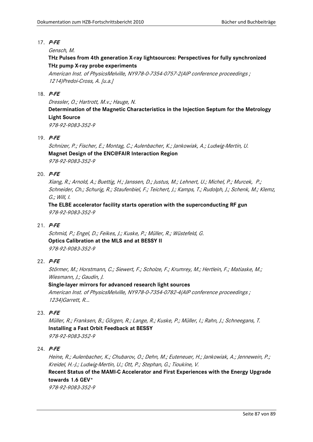#### 17. **P-FE**

#### Gensch, M.

# **THz Pulses from 4th generation X-ray lightsources: Perspectives for fully synchronized THz pump X-ray probe experiments**

American Inst. of PhysicsMelville, NY978-0-7354-0757-2(AIP conference proceedings ; 1214)Predoi-Cross, A. [u.a.]

### 18. **P-FE**

Dressler, O.; Hartrott, M.v.; Hauge, N.

# **Determination of the Magnetic Characteristics in the Injection Septum for the Metrology Light Source**

978-92-9083-352-9

# 19. **P-FE**

Schnizer, P.; Fischer, E.; Montag, C.; Aulenbacher, K.; Jankowiak, A.; Ludwig-Mertin, U. **Magnet Design of the ENC@FAIR Interaction Region**  978-92-9083-352-9

#### 20. **P-FE**

Xiang, R.; Arnold, A.; Buettig, H.; Janssen, D.; Justus, M.; Lehnert, U.; Michel, P.; Murcek, P.; Schneider, Ch.; Schurig, R.; Staufenbiel, F.; Teichert, J.; Kamps, T.; Rudolph, J.; Schenk, M.; Klemz, G.; Will, I.

**The ELBE accelerator facility starts operation with the superconducting RF gun** 978-92-9083-352-9

#### 21. **P-FE**

Schmid, P.; Engel, D.; Feikes, J.; Kuske, P.; Müller, R.; Wüstefeld, G. **Optics Calibration at the MLS and at BESSY II** 978-92-9083-352-9

#### 22. **P-FE**

Störmer, M.; Horstmann, C.; Siewert, F.; Scholze, F.; Krumrey, M.; Hertlein, F.; Matiaske, M.; Wiesmann, J.; Gaudin, J.

#### **Single-layer mirrors for advanced research light sources**

American Inst. of PhysicsMelville, NY978-0-7354-0782-4(AIP conference proceedings ; 1234)Garrett, R...

#### 23. **P-FE**

Müller, R.; Franksen, B.; Görgen, R.; Lange, R.; Kuske, P.; Müller, I.; Rahn, J.; Schneegans, T. **Installing a Fast Orbit Feedback at BESSY**  978-92-9083-352-9

#### 24. **P-FE**

Heine, R.; Aulenbacher, K.; Chubarov, O.; Dehn, M.; Euteneuer, H.; Jankowiak, A.; Jennewein, P.; Kreidel, H.-J.; Ludwig-Mertin, U.; Ott, P.; Stephan, G.; Tioukine, V. **Recent Status of the MAMI-C Accelerator and First Experiences with the Energy Upgrade towards 1.6 GEV\*** 978-92-9083-352-9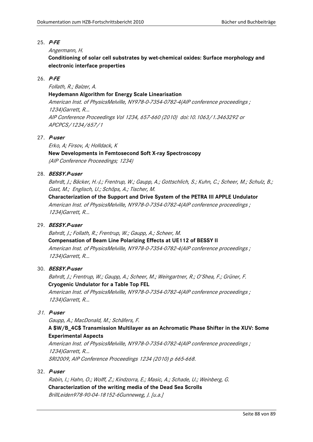## 25. **P-FE**

## Angermann, H.

**Conditioning of solar cell substrates by wet-chemical oxides: Surface morphology and electronic interface properties**

### 26. **P-FE**

Follath, R.; Balzer, A.

# **Heydemann Algorithm for Energy Scale Linearisation**

American Inst. of PhysicsMelville, NY978-0-7354-0782-4(AIP conference proceedings ; 1234)Garrett, R... AIP Conference Proceedings Vol 1234, 657-660 (2010) doi:10.1063/1.3463292 or APCPCS/1234/657/1

### 27. **P-user**

Erko, A; Firsov, A; Holldack, K **New Developments in Femtosecond Soft X-ray Spectroscopy** (AIP Conference Proceedings; 1234)

### 28. **BESSY.P-user**

Bahrdt, J.; Bäcker, H.-J.; Frentrup, W.; Gaupp, A.; Gottschlich, S.; Kuhn, C.; Scheer, M.; Schulz, B.; Gast, M.; Englisch, U.; Schöps, A.; Tischer, M.

**Characterization of the Support and Drive System of the PETRA III APPLE Undulator** American Inst. of PhysicsMelville, NY978-0-7354-0782-4(AIP conference proceedings ; 1234)Garrett, R...

# 29. **BESSY.P-user**

Bahrdt, J.; Follath, R.; Frentrup, W.; Gaupp, A.; Scheer, M. **Compensation of Beam Line Polarizing Effects at UE112 of BESSY II** American Inst. of PhysicsMelville, NY978-0-7354-0782-4(AIP conference proceedings ; 1234)Garrett, R...

#### 30. **BESSY.P-user**

Bahrdt, J.; Frentrup, W.; Gaupp, A.; Scheer, M.; Weingartner, R.; O'Shea, F.; Grüner, F. **Cryogenic Undulator for a Table Top FEL**

American Inst. of PhysicsMelville, NY978-0-7354-0782-4(AIP conference proceedings ; 1234)Garrett, R...

# 31. **P-user**

Gaupp, A.; MacDonald, M.; Schäfers, F.

# **A \$W/B\_4C\$ Transmission Multilayer as an Achromatic Phase Shifter in the XUV: Some Experimental Aspects**

American Inst. of PhysicsMelville, NY978-0-7354-0782-4(AIP conference proceedings ; 1234)Garrett, R... SRI2009, AIP Conference Proceedings 1234 (2010) p 665-668.

#### 32. **P-user**

Rabin, I.; Hahn, O.; Wolff, Z.; Kindzorra, E.; Masic, A.; Schade, U.; Weinberg, G. **Characterization of the writing media of the Dead Sea Scrolls** BrillLeiden978-90-04-18152-6Gunneweg, J. [u.a.]